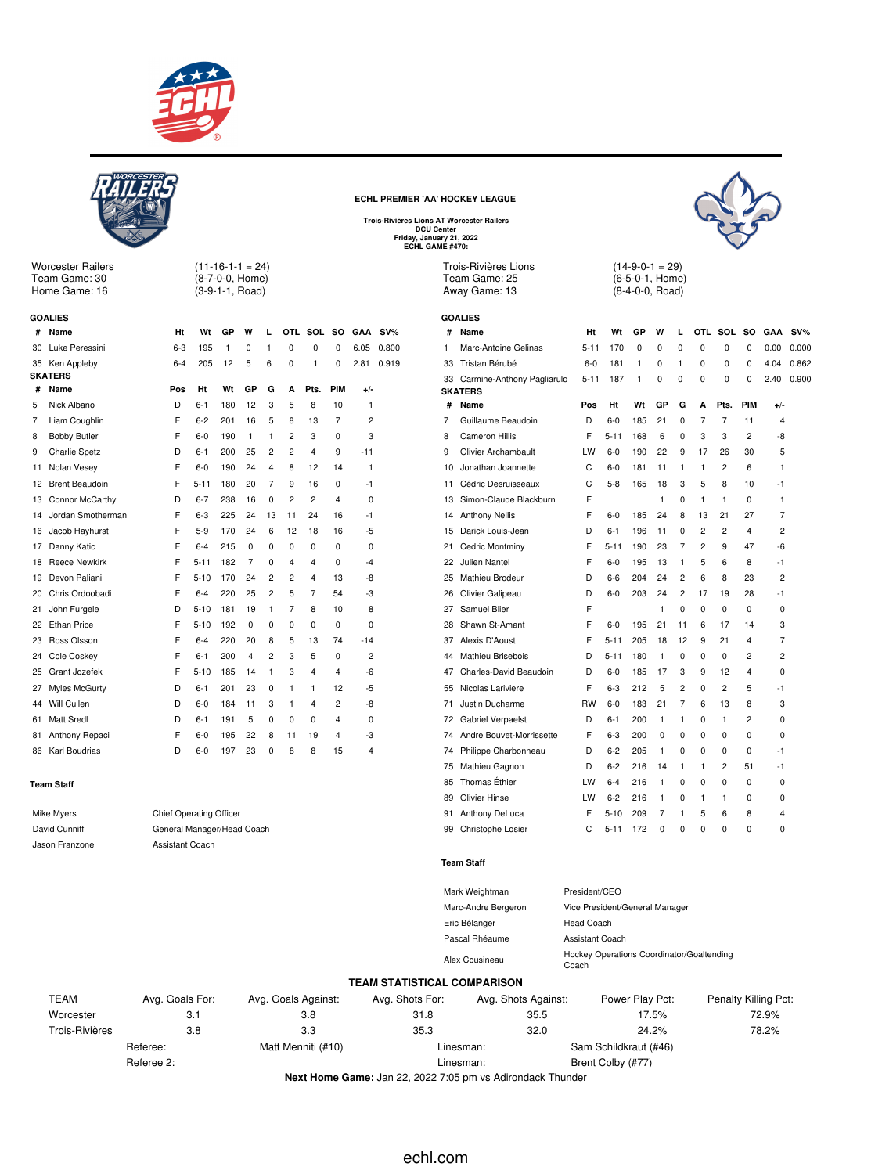



Worcester Railers Team Game: 30 Home Game: 16

 $(11-16-1-1 = 24)$ (8-7-0-0, Home) (3-9-1-1, Road)

| <b>GOALIES</b> |                       |         |          |     |          |                |    |                |     |                |        |
|----------------|-----------------------|---------|----------|-----|----------|----------------|----|----------------|-----|----------------|--------|
| #              | Name                  | Ht      | Wt       | GP  | W        | L              |    | OTL SOL        | so  | <b>GAA</b>     | $SV\%$ |
| 30             | Luke Peressini        | $6 - 3$ | 195      | 1   | 0        | 1              | 0  | 0              | 0   | 6.05           | 0.800  |
| 35             | Ken Appleby           | $6 - 4$ | 205      | 12  | 5        | 6              | 0  | 1              | 0   | 2.81           | 0.919  |
|                | <b>SKATERS</b>        |         |          |     |          |                |    |                |     |                |        |
| #              | Name                  | Pos     | Ht       | Wt  | GP       | G              | А  | Pts.           | PIM | +/-            |        |
| 5              | Nick Albano           | D       | $6 - 1$  | 180 | 12       | 3              | 5  | 8              | 10  | 1              |        |
| 7              | Liam Coughlin         | F       | $6 - 2$  | 201 | 16       | 5              | 8  | 13             | 7   | 2              |        |
| 8              | <b>Bobby Butler</b>   | F       | $6-0$    | 190 | 1        | 1              | 2  | 3              | 0   | 3              |        |
| 9              | <b>Charlie Spetz</b>  | D       | $6 - 1$  | 200 | 25       | 2              | 2  | 4              | 9   | $-11$          |        |
| 11             | Nolan Vesey           | F       | $6-0$    | 190 | 24       | 4              | 8  | 12             | 14  | 1              |        |
| 12             | <b>Brent Beaudoin</b> | F       | $5 - 11$ | 180 | 20       | 7              | 9  | 16             | 0   | -1             |        |
| 13             | Connor McCarthy       | D       | $6 - 7$  | 238 | 16       | 0              | 2  | $\overline{c}$ | 4   | 0              |        |
| 14             | Jordan Smotherman     | F       | $6 - 3$  | 225 | 24       | 13             | 11 | 24             | 16  | -1             |        |
| 16             | Jacob Hayhurst        | F       | $5-9$    | 170 | 24       | 6              | 12 | 18             | 16  | -5             |        |
| 17             | Danny Katic           | F       | $6 - 4$  | 215 | $\Omega$ | 0              | 0  | 0              | 0   | 0              |        |
| 18             | <b>Reece Newkirk</b>  | F       | $5 - 11$ | 182 | 7        | 0              | 4  | 4              | 0   | $-4$           |        |
| 19             | Devon Paliani         | F       | $5 - 10$ | 170 | 24       | 2              | 2  | 4              | 13  | -8             |        |
| 20             | Chris Ordoobadi       | F       | $6 - 4$  | 220 | 25       | $\overline{c}$ | 5  | 7              | 54  | -3             |        |
| 21             | John Furgele          | D       | $5 - 10$ | 181 | 19       | 1              | 7  | 8              | 10  | 8              |        |
| 22             | <b>Ethan Price</b>    | F       | $5 - 10$ | 192 | 0        | 0              | 0  | 0              | 0   | 0              |        |
| 23             | Ross Olsson           | F       | $6 - 4$  | 220 | 20       | 8              | 5  | 13             | 74  | $-14$          |        |
| 24             | Cole Coskey           | F       | $6 - 1$  | 200 | 4        | $\overline{c}$ | 3  | 5              | 0   | 2              |        |
| 25             | Grant Jozefek         | F       | $5 - 10$ | 185 | 14       | 1              | 3  | 4              | 4   | -6             |        |
| 27             | Myles McGurty         | D       | $6 - 1$  | 201 | 23       | 0              | 1  | 1              | 12  | -5             |        |
| 44             | Will Cullen           | D       | $6 - 0$  | 184 | 11       | 3              | 1  | 4              | 2   | -8             |        |
| 61             | Matt Sredl            | D       | $6 - 1$  | 191 | 5        | 0              | 0  | 0              | 4   | 0              |        |
| 81             | Anthony Repaci        | F       | $6 - 0$  | 195 | 22       | 8              | 11 | 19             | 4   | -3             |        |
| 86             | Karl Boudrias         | D       | $6-0$    | 197 | 23       | $\Omega$       | 8  | 8              | 15  | $\overline{4}$ |        |
|                |                       |         |          |     |          |                |    |                |     |                |        |

### **Team Staff**

| Mike Myers     | Chief Operating |
|----------------|-----------------|
| David Cunniff  | General Manage  |
| Jason Franzone | Assistant Coach |

**Chief Operating Officer** General Manager/Head Coach

### **ECHL PREMIER 'AA' HOCKEY LEAGUE**

**Trois-Rivières Lions AT Worcester Railers DCU Center Friday, January 21, 2022 ECHL GAME #470:**





 $(14-9-0-1 = 29)$ (6-5-0-1, Home) (8-4-0-0, Road)

|    | <b>GOALIES</b>                               |           |          |     |          |                |                |                |                |                |       |
|----|----------------------------------------------|-----------|----------|-----|----------|----------------|----------------|----------------|----------------|----------------|-------|
| #  | Name                                         | Ht        | Wt       | GP  | W        | L              |                | OTL SOL SO     |                | GAA            | SV%   |
| 1  | Marc-Antoine Gelinas                         | $5 - 11$  | 170      | 0   | 0        | 0              | 0              | 0              | 0              | 0.00           | 0.000 |
| 33 | Tristan Bérubé                               | $6-0$     | 181      | 1   | $\Omega$ | 1              | $\Omega$       | $\Omega$       | 0              | 4.04           | 0.862 |
| 33 | Carmine-Anthony Pagliarulo<br><b>SKATERS</b> | $5 - 11$  | 187      | 1   | 0        | 0              | 0              | 0              | 0              | 2.40           | 0.900 |
| #  | Name                                         | Pos       | Ht       | Wt  | GP       | G              | А              | Pts.           | PIM            | $+/-$          |       |
| 7  | Guillaume Beaudoin                           | D         | 6-0      | 185 | 21       | $\Omega$       | 7              | $\overline{7}$ | 11             | 4              |       |
| 8  | <b>Cameron Hillis</b>                        | F         | $5 - 11$ | 168 | 6        | 0              | 3              | 3              | $\overline{c}$ | -8             |       |
| 9  | Olivier Archambault                          | LW        | $6-0$    | 190 | 22       | 9              | 17             | 26             | 30             | 5              |       |
| 10 | Jonathan Joannette                           | C         | 6-0      | 181 | 11       | 1              | 1              | $\overline{2}$ | 6              | 1              |       |
| 11 | Cédric Desruisseaux                          | C         | $5-8$    | 165 | 18       | 3              | 5              | 8              | 10             | $-1$           |       |
| 13 | Simon-Claude Blackburn                       | F         |          |     | 1        | 0              | 1              | 1              | 0              | 1              |       |
| 14 | <b>Anthony Nellis</b>                        | F         | $6-0$    | 185 | 24       | 8              | 13             | 21             | 27             | 7              |       |
| 15 | Darick Louis-Jean                            | D         | 6-1      | 196 | 11       | $\Omega$       | $\overline{2}$ | $\overline{c}$ | 4              | $\overline{2}$ |       |
| 21 | Cedric Montminy                              | F         | $5 - 11$ | 190 | 23       | 7              | $\overline{2}$ | 9              | 47             | -6             |       |
| 22 | Julien Nantel                                | F         | $6-0$    | 195 | 13       | 1              | 5              | 6              | 8              | $-1$           |       |
| 25 | Mathieu Brodeur                              | D         | 6-6      | 204 | 24       | 2              | 6              | 8              | 23             | $\overline{2}$ |       |
| 26 | Olivier Galipeau                             | D         | $6-0$    | 203 | 24       | $\overline{c}$ | 17             | 19             | 28             | $-1$           |       |
| 27 | Samuel Blier                                 | F         |          |     | 1        | $\Omega$       | 0              | 0              | 0              | 0              |       |
| 28 | Shawn St-Amant                               | F         | $6-0$    | 195 | 21       | 11             | 6              | 17             | 14             | 3              |       |
| 37 | Alexis D'Aoust                               | F         | $5 - 11$ | 205 | 18       | 12             | 9              | 21             | 4              | 7              |       |
| 44 | Mathieu Brisebois                            | D         | $5 - 11$ | 180 | 1        | $\Omega$       | $\Omega$       | 0              | $\overline{2}$ | $\overline{2}$ |       |
| 47 | Charles-David Beaudoin                       | D         | $6-0$    | 185 | 17       | 3              | 9              | 12             | 4              | 0              |       |
| 55 | Nicolas Lariviere                            | F         | $6-3$    | 212 | 5        | 2              | 0              | $\overline{2}$ | 5              | -1             |       |
| 71 | Justin Ducharme                              | <b>RW</b> | 6-0      | 183 | 21       | 7              | 6              | 13             | 8              | 3              |       |
| 72 | Gabriel Verpaelst                            | D         | 6-1      | 200 | 1        | 1              | $\Omega$       | 1              | 2              | 0              |       |
| 74 | Andre Bouvet-Morrissette                     | F         | $6 - 3$  | 200 | 0        | $\Omega$       | 0              | 0              | 0              | 0              |       |
| 74 | Philippe Charbonneau                         | D         | $6 - 2$  | 205 | 1        | $\Omega$       | $\Omega$       | 0              | 0              | $-1$           |       |
| 75 | Mathieu Gagnon                               | D         | $6-2$    | 216 | 14       | 1              | 1              | $\overline{2}$ | 51             | -1             |       |
| 85 | Thomas Éthier                                | LW        | $6 - 4$  | 216 | 1        | 0              | 0              | 0              | 0              | 0              |       |
| 89 | Olivier Hinse                                | LW        | $6 - 2$  | 216 | 1        | $\Omega$       | 1              | 1              | 0              | 0              |       |
| 91 | Anthony DeLuca                               | F         | $5 - 10$ | 209 | 7        | 1              | 5              | 6              | 8              | 4              |       |
| 99 | Christophe Losier                            | C         | $5 - 11$ | 172 | 0        | 0              | 0              | 0              | 0              | 0              |       |
|    |                                              |           |          |     |          |                |                |                |                |                |       |

#### **Team Staff**

| Mark Weightman      | President/CEO                                      |
|---------------------|----------------------------------------------------|
| Marc-Andre Bergeron | Vice President/General Manager                     |
| Eric Bélanger       | Head Coach                                         |
| Pascal Rhéaume      | Assistant Coach                                    |
| Alex Cousineau      | Hockey Operations Coordinator/Goaltending<br>Coach |

### **TEAM STATISTICAL COMPARISON**

| <b>TEAM</b>    | Avg. Goals For: | Avg. Goals Against: | Avg. Shots For: | Avg. Shots Against: | Power Play Pct:       | Penalty Killing Pct: |
|----------------|-----------------|---------------------|-----------------|---------------------|-----------------------|----------------------|
| Worcester      | 3.1             | 3.8                 | 31.8            | 35.5                | 17.5%                 | 72.9%                |
| Trois-Rivières | 3.8             | 3.3                 | 35.3            | 32.0                | 24.2%                 | 78.2%                |
|                | Referee:        | Matt Menniti (#10)  | Linesman:       |                     | Sam Schildkraut (#46) |                      |
|                | Referee 2:      |                     | Linesman:       |                     | Brent Colby (#77)     |                      |

**Next Home Game:** Jan 22, 2022 7:05 pm vs Adirondack Thunder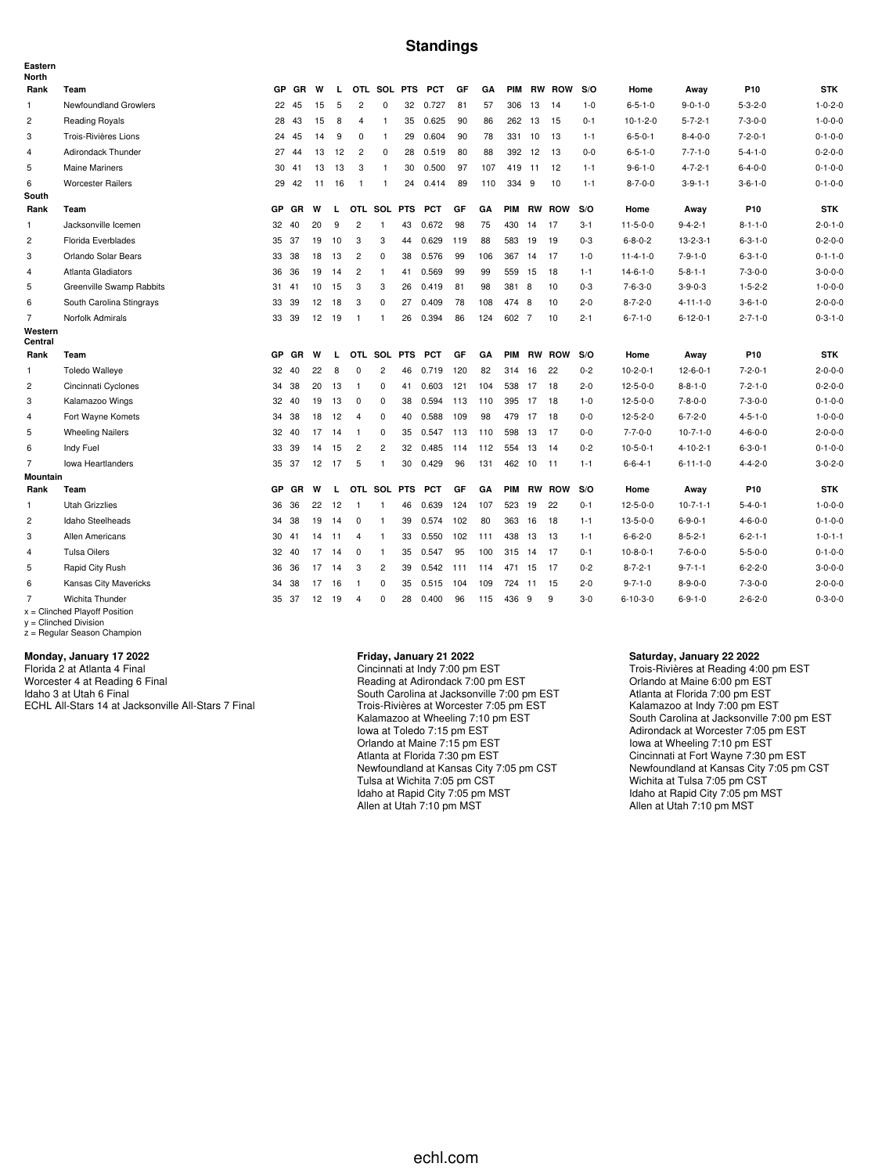### **Standings**

| Eastern<br><b>North</b> |                                                    |           |       |    |    |                |                |    |            |     |     |            |        |               |         |                  |                  |                 |                 |
|-------------------------|----------------------------------------------------|-----------|-------|----|----|----------------|----------------|----|------------|-----|-----|------------|--------|---------------|---------|------------------|------------------|-----------------|-----------------|
| Rank                    | Team                                               | <b>GP</b> | GR    | W  | L  |                | OTL SOL PTS    |    | <b>PCT</b> | GF  | GA  | <b>PIM</b> |        | <b>RW ROW</b> | S/O     | Home             | Away             | P10             | <b>STK</b>      |
| 1                       | Newfoundland Growlers                              | 22        | 45    | 15 | 5  | $\overline{c}$ | $\mathbf 0$    | 32 | 0.727      | 81  | 57  | 306        | 13     | -14           | $1 - 0$ | $6 - 5 - 1 - 0$  | $9 - 0 - 1 - 0$  | $5 - 3 - 2 - 0$ | $1 - 0 - 2 - 0$ |
| $\overline{c}$          | <b>Reading Royals</b>                              | 28        | 43    | 15 | 8  | $\overline{4}$ | $\mathbf{1}$   | 35 | 0.625      | 90  | 86  |            | 262 13 | 15            | $0 - 1$ | $10-1-2-0$       | $5 - 7 - 2 - 1$  | $7 - 3 - 0 - 0$ | $1 - 0 - 0 - 0$ |
| 3                       | Trois-Rivières Lions                               | 24        | 45    | 14 | 9  | 0              | $\mathbf{1}$   | 29 | 0.604      | 90  | 78  | 331        | 10     | 13            | $1 - 1$ | $6 - 5 - 0 - 1$  | $8 - 4 - 0 - 0$  | $7 - 2 - 0 - 1$ | $0 - 1 - 0 - 0$ |
| $\overline{4}$          | Adirondack Thunder                                 | 27        | 44    | 13 | 12 | $\overline{2}$ | 0              | 28 | 0.519      | 80  | 88  |            | 392 12 | -13           | $0 - 0$ | $6 - 5 - 1 - 0$  | $7 - 7 - 1 - 0$  | $5 - 4 - 1 - 0$ | $0 - 2 - 0 - 0$ |
| 5                       | <b>Maine Mariners</b>                              | 30        | 41    | 13 | 13 | 3              | $\mathbf{1}$   | 30 | 0.500      | 97  | 107 |            | 419 11 | 12            | $1 - 1$ | $9 - 6 - 1 - 0$  | $4 - 7 - 2 - 1$  | $6 - 4 - 0 - 0$ | $0 - 1 - 0 - 0$ |
| 6                       | <b>Worcester Railers</b>                           | 29        | 42    | 11 | 16 | $\overline{1}$ | -1             | 24 | 0.414      | 89  | 110 | 334        | -9     | 10            | $1 - 1$ | $8 - 7 - 0 - 0$  | $3 - 9 - 1 - 1$  | $3 - 6 - 1 - 0$ | $0 - 1 - 0 - 0$ |
| South                   |                                                    |           |       |    |    |                |                |    |            |     |     |            |        |               |         |                  |                  |                 |                 |
| Rank                    | Team                                               | <b>GP</b> | GR    | W  | L  |                | OTL SOL PTS    |    | <b>PCT</b> | GF  | GA  | <b>PIM</b> |        | <b>RW ROW</b> | S/O     | Home             | Away             | P <sub>10</sub> | <b>STK</b>      |
| $\mathbf{1}$            | Jacksonville Icemen                                | 32        | 40    | 20 | 9  | $\overline{2}$ | $\overline{1}$ | 43 | 0.672      | 98  | 75  | 430        | 14     | 17            | $3 - 1$ | $11 - 5 - 0 - 0$ | $9 - 4 - 2 - 1$  | $8 - 1 - 1 - 0$ | $2 - 0 - 1 - 0$ |
| $\overline{c}$          | Florida Everblades                                 |           | 35 37 | 19 | 10 | 3              | 3              | 44 | 0.629      | 119 | 88  | 583        | 19     | 19            | $0 - 3$ | $6 - 8 - 0 - 2$  | $13 - 2 - 3 - 1$ | $6 - 3 - 1 - 0$ | $0 - 2 - 0 - 0$ |
| 3                       | Orlando Solar Bears                                | 33        | 38    | 18 | 13 | $\overline{2}$ | 0              | 38 | 0.576      | 99  | 106 | 367        | 14     | -17           | $1 - 0$ | $11 - 4 - 1 - 0$ | $7 - 9 - 1 - 0$  | $6 - 3 - 1 - 0$ | $0 - 1 - 1 - 0$ |
| 4                       | Atlanta Gladiators                                 |           | 36 36 | 19 | 14 | $\overline{2}$ | -1             | 41 | 0.569      | 99  | 99  | 559        | 15     | 18            | $1 - 1$ | $14 - 6 - 1 - 0$ | $5 - 8 - 1 - 1$  | $7 - 3 - 0 - 0$ | $3 - 0 - 0 - 0$ |
| 5                       | Greenville Swamp Rabbits                           |           | 31 41 | 10 | 15 | 3              | 3              | 26 | 0.419      | 81  | 98  | 381        | 8      | 10            | $0 - 3$ | $7 - 6 - 3 - 0$  | $3 - 9 - 0 - 3$  | $1 - 5 - 2 - 2$ | $1 - 0 - 0 - 0$ |
| 6                       | South Carolina Stingrays                           |           | 33 39 | 12 | 18 | 3              | $\mathbf 0$    | 27 | 0.409      | 78  | 108 | 474        | 8      | 10            | $2 - 0$ | $8 - 7 - 2 - 0$  | $4 - 11 - 1 - 0$ | $3 - 6 - 1 - 0$ | $2 - 0 - 0 - 0$ |
| $\overline{7}$          | Norfolk Admirals                                   | 33        | 39    | 12 | 19 | $\overline{1}$ | $\mathbf{1}$   | 26 | 0.394      | 86  | 124 | 602 7      |        | 10            | $2 - 1$ | $6 - 7 - 1 - 0$  | $6 - 12 - 0 - 1$ | $2 - 7 - 1 - 0$ | $0 - 3 - 1 - 0$ |
| Western<br>Central      |                                                    |           |       |    |    |                |                |    |            |     |     |            |        |               |         |                  |                  |                 |                 |
| Rank                    | Team                                               |           | GP GR | W  | L  |                | OTL SOL PTS    |    | <b>PCT</b> | GF  | GA  | <b>PIM</b> |        | <b>RW ROW</b> | S/O     | Home             | Away             | P <sub>10</sub> | <b>STK</b>      |
| $\mathbf{1}$            | <b>Toledo Walleye</b>                              | 32        | 40    | 22 | 8  | 0              | $\overline{c}$ | 46 | 0.719      | 120 | 82  | 314        | 16     | 22            | $0 - 2$ | $10-2-0-1$       | $12 - 6 - 0 - 1$ | $7 - 2 - 0 - 1$ | $2 - 0 - 0 - 0$ |
| $\overline{2}$          | Cincinnati Cyclones                                | 34        | 38    | 20 | 13 | $\overline{1}$ | 0              | 41 | 0.603      | 121 | 104 | 538        | 17     | 18            | $2 - 0$ | $12 - 5 - 0 - 0$ | $8 - 8 - 1 - 0$  | $7 - 2 - 1 - 0$ | $0 - 2 - 0 - 0$ |
| 3                       | Kalamazoo Wings                                    |           | 32 40 | 19 | 13 | $\mathbf 0$    | $\mathbf 0$    | 38 | 0.594      | 113 | 110 | 395        | 17     | 18            | $1 - 0$ | $12 - 5 - 0 - 0$ | $7 - 8 - 0 - 0$  | $7 - 3 - 0 - 0$ | $0 - 1 - 0 - 0$ |
| 4                       | Fort Wayne Komets                                  | 34        | 38    | 18 | 12 | $\overline{4}$ | $\mathbf 0$    | 40 | 0.588      | 109 | 98  | 479        | 17     | 18            | $0 - 0$ | $12 - 5 - 2 - 0$ | $6 - 7 - 2 - 0$  | $4 - 5 - 1 - 0$ | $1 - 0 - 0 - 0$ |
| 5                       | <b>Wheeling Nailers</b>                            |           | 32 40 | 17 | 14 | $\overline{1}$ | $\mathbf 0$    | 35 | 0.547      | 113 | 110 | 598        | 13     | - 17          | $0 - 0$ | $7 - 7 - 0 - 0$  | $10 - 7 - 1 - 0$ | $4 - 6 - 0 - 0$ | $2 - 0 - 0 - 0$ |
| 6                       | Indy Fuel                                          |           | 33 39 | 14 | 15 | $\overline{c}$ | $\overline{c}$ | 32 | 0.485      | 114 | 112 | 554        | 13     | 14            | $0 - 2$ | $10 - 5 - 0 - 1$ | $4 - 10 - 2 - 1$ | $6 - 3 - 0 - 1$ | $0 - 1 - 0 - 0$ |
| $\overline{7}$          | <b>Iowa Heartlanders</b>                           |           | 35 37 | 12 | 17 | 5              | $\mathbf{1}$   | 30 | 0.429      | 96  | 131 | 462        | 10     | $-11$         | $1 - 1$ | $6 - 6 - 4 - 1$  | $6 - 11 - 1 - 0$ | $4 - 4 - 2 - 0$ | $3 - 0 - 2 - 0$ |
| <b>Mountain</b>         |                                                    |           |       |    |    |                |                |    |            |     |     |            |        |               |         |                  |                  |                 |                 |
| Rank                    | Team                                               | GP        | GR    | W  | L  | OTL SOL PTS    |                |    | <b>PCT</b> | GF  | GA  | PIM        |        | <b>RW ROW</b> | S/O     | Home             | Away             | P10             | <b>STK</b>      |
| $\mathbf{1}$            | <b>Utah Grizzlies</b>                              | 36        | 36    | 22 | 12 | $\overline{1}$ | $\mathbf{1}$   | 46 | 0.639      | 124 | 107 | 523        | 19     | 22            | $0 - 1$ | $12 - 5 - 0 - 0$ | $10-7-1-1$       | $5 - 4 - 0 - 1$ | $1 - 0 - 0 - 0$ |
| $\overline{c}$          | Idaho Steelheads                                   | 34        | 38    | 19 | 14 | $\mathbf 0$    | $\mathbf{1}$   | 39 | 0.574      | 102 | 80  | 363        | 16     | 18            | $1 - 1$ | $13 - 5 - 0 - 0$ | $6 - 9 - 0 - 1$  | $4 - 6 - 0 - 0$ | $0 - 1 - 0 - 0$ |
| 3                       | Allen Americans                                    |           | 30 41 | 14 | 11 | $\overline{4}$ | $\overline{1}$ | 33 | 0.550      | 102 | 111 | 438        | 13     | 13            | $1 - 1$ | $6 - 6 - 2 - 0$  | $8 - 5 - 2 - 1$  | $6 - 2 - 1 - 1$ | $1 - 0 - 1 - 1$ |
| $\overline{4}$          | <b>Tulsa Oilers</b>                                |           | 32 40 | 17 | 14 | $^{\circ}$     | $\overline{1}$ | 35 | 0.547      | 95  | 100 | 315        | 14     | -17           | $0 - 1$ | $10-8-0-1$       | $7 - 6 - 0 - 0$  | $5 - 5 - 0 - 0$ | $0 - 1 - 0 - 0$ |
| 5                       | Rapid City Rush                                    | 36        | 36    | 17 | 14 | 3              | $\overline{c}$ | 39 | 0.542      | 111 | 114 | 471        | 15     | -17           | $0 - 2$ | $8 - 7 - 2 - 1$  | $9 - 7 - 1 - 1$  | $6 - 2 - 2 - 0$ | $3 - 0 - 0 - 0$ |
| 6                       | Kansas City Mavericks                              | 34        | 38    | 17 | 16 | $\overline{1}$ | $\overline{0}$ | 35 | 0.515      | 104 | 109 | 724        | 11     | 15            | $2 - 0$ | $9 - 7 - 1 - 0$  | $8 - 9 - 0 - 0$  | $7 - 3 - 0 - 0$ | $2 - 0 - 0 - 0$ |
| 7                       | Wichita Thunder<br>$x =$ Clinched Playoff Position |           | 35 37 | 12 | 19 | $\overline{4}$ | $\Omega$       | 28 | 0.400      | 96  | 115 | 436        | -9     | 9             | $3 - 0$ | $6 - 10 - 3 - 0$ | $6 - 9 - 1 - 0$  | $2 - 6 - 2 - 0$ | $0 - 3 - 0 - 0$ |

x = Clinched Playoff Position y = Clinched Division z = Regular Season Champion

### **Monday, January 17 2022**

Florida 2 at Atlanta 4 Final Worcester 4 at Reading 6 Final Idaho 3 at Utah 6 Final ECHL All-Stars 14 at Jacksonville All-Stars 7 Final

#### **Friday, January 21 2022**

Cincinnati at Indy 7:00 pm EST Reading at Adirondack 7:00 pm EST South Carolina at Jacksonville 7:00 pm EST Trois-Rivières at Worcester 7:05 pm EST Kalamazoo at Wheeling 7:10 pm EST Iowa at Toledo 7:15 pm EST Orlando at Maine 7:15 pm EST Atlanta at Florida 7:30 pm EST Newfoundland at Kansas City 7:05 pm CST Tulsa at Wichita 7:05 pm CST Idaho at Rapid City 7:05 pm MST Allen at Utah 7:10 pm MST

### **Saturday, January 22 2022**

Trois-Rivières at Reading 4:00 pm EST Orlando at Maine 6:00 pm EST Atlanta at Florida 7:00 pm EST Kalamazoo at Indy 7:00 pm EST South Carolina at Jacksonville 7:00 pm EST Adirondack at Worcester 7:05 pm EST Iowa at Wheeling 7:10 pm EST Cincinnati at Fort Wayne 7:30 pm EST Newfoundland at Kansas City 7:05 pm CST Wichita at Tulsa 7:05 pm CST Idaho at Rapid City 7:05 pm MST Allen at Utah 7:10 pm MST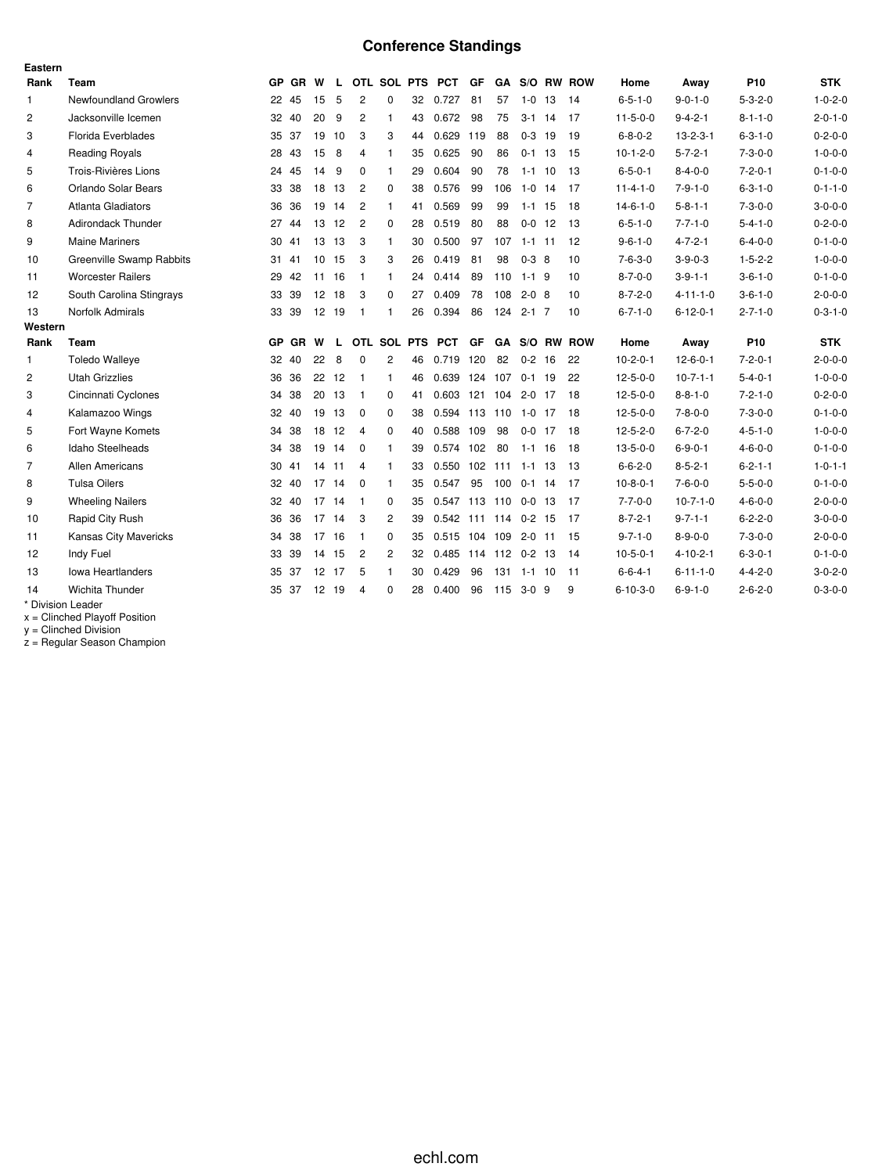# **Conference Standings**

| Eastern        |                                 |    |           |                 |       |                |                |    |                      |           |         |              |    |               |                  |                  |                 |                 |
|----------------|---------------------------------|----|-----------|-----------------|-------|----------------|----------------|----|----------------------|-----------|---------|--------------|----|---------------|------------------|------------------|-----------------|-----------------|
| Rank           | Team                            |    | GP GR     | W               | L.    |                |                |    | OTL SOL PTS PCT      | GF        |         |              |    | GA S/O RW ROW | Home             | Away             | P <sub>10</sub> | <b>STK</b>      |
| $\mathbf{1}$   | <b>Newfoundland Growlers</b>    |    | 22 45     | 15              | 5     | $\overline{2}$ | $\mathbf 0$    | 32 | 0.727                | 81        | 57      | $1 - 0$      | 13 | -14           | $6 - 5 - 1 - 0$  | $9 - 0 - 1 - 0$  | $5 - 3 - 2 - 0$ | $1 - 0 - 2 - 0$ |
| 2              | Jacksonville Icemen             |    | 32 40     | 20              | 9     | 2              | $\mathbf{1}$   | 43 | 0.672                | 98        | 75      | $3-1$ 14     |    | 17            | $11 - 5 - 0 - 0$ | $9 - 4 - 2 - 1$  | $8 - 1 - 1 - 0$ | $2 - 0 - 1 - 0$ |
| 3              | <b>Florida Everblades</b>       |    | 35 37     | 19              | 10    | 3              | 3              | 44 | 0.629                | 119       | 88      | $0 - 3$      | 19 | 19            | $6 - 8 - 0 - 2$  | $13 - 2 - 3 - 1$ | $6 - 3 - 1 - 0$ | $0 - 2 - 0 - 0$ |
| $\overline{4}$ | <b>Reading Royals</b>           |    | 28 43     | 15              | 8     | 4              | $\mathbf{1}$   | 35 | 0.625                | 90        | 86      | $0-1$ 13     |    | 15            | $10-1-2-0$       | $5 - 7 - 2 - 1$  | $7 - 3 - 0 - 0$ | $1 - 0 - 0 - 0$ |
| 5              | Trois-Rivières Lions            |    | 24 45     | 14              | 9     | 0              | $\mathbf{1}$   | 29 | 0.604                | 90        | 78      | $1 - 1$ 10   |    | 13            | $6 - 5 - 0 - 1$  | $8 - 4 - 0 - 0$  | $7 - 2 - 0 - 1$ | $0 - 1 - 0 - 0$ |
| 6              | Orlando Solar Bears             |    | 33 38     | 18 13           |       | $\overline{c}$ | 0              | 38 | 0.576                | 99        | 106     | $1-0$ 14     |    | 17            | $11 - 4 - 1 - 0$ | $7 - 9 - 1 - 0$  | $6 - 3 - 1 - 0$ | $0 - 1 - 1 - 0$ |
| $\overline{7}$ | Atlanta Gladiators              |    | 36 36     |                 | 19 14 | $\overline{c}$ | $\mathbf{1}$   | 41 | 0.569                | 99        | 99      | $1 - 1$ 15   |    | 18            | $14 - 6 - 1 - 0$ | $5 - 8 - 1 - 1$  | $7 - 3 - 0 - 0$ | $3 - 0 - 0 - 0$ |
| 8              | <b>Adirondack Thunder</b>       | 27 | 44        |                 | 13 12 | $\overline{c}$ | 0              | 28 | 0.519                | 80        | 88      | $0-0$ 12     |    | -13           | $6 - 5 - 1 - 0$  | $7 - 7 - 1 - 0$  | $5 - 4 - 1 - 0$ | $0 - 2 - 0 - 0$ |
| 9              | <b>Maine Mariners</b>           |    | 30 41     |                 | 13 13 | 3              | $\mathbf{1}$   | 30 | 0.500                | 97        |         | $107$ 1-1 11 |    | 12            | $9 - 6 - 1 - 0$  | $4 - 7 - 2 - 1$  | $6 - 4 - 0 - 0$ | $0 - 1 - 0 - 0$ |
| 10             | <b>Greenville Swamp Rabbits</b> |    | 31 41     | 10 <sup>°</sup> | 15    | 3              | 3              | 26 | 0.419                | 81        | 98      | $0 - 3$ 8    |    | 10            | $7 - 6 - 3 - 0$  | $3 - 9 - 0 - 3$  | $1 - 5 - 2 - 2$ | $1 - 0 - 0 - 0$ |
| 11             | <b>Worcester Railers</b>        |    | 29 42     | 11 16           |       | -1             | $\mathbf{1}$   | 24 | 0.414                | 89        | 110     | $1 - 1$ 9    |    | 10            | $8 - 7 - 0 - 0$  | $3 - 9 - 1 - 1$  | $3 - 6 - 1 - 0$ | $0 - 1 - 0 - 0$ |
| 12             | South Carolina Stingrays        |    | 33 39     | 12 18           |       | 3              | 0              | 27 | 0.409                | 78        | 108     | $2 - 0$ 8    |    | 10            | $8 - 7 - 2 - 0$  | $4 - 11 - 1 - 0$ | $3 - 6 - 1 - 0$ | $2 - 0 - 0 - 0$ |
| 13             | Norfolk Admirals                |    | 33 39     |                 | 12 19 | $\mathbf{1}$   | $\mathbf{1}$   | 26 | 0.394                | 86        | 124     | $2 - 1$ 7    |    | 10            | $6 - 7 - 1 - 0$  | $6 - 12 - 0 - 1$ | $2 - 7 - 1 - 0$ | $0 - 3 - 1 - 0$ |
| Western        |                                 |    |           |                 |       |                |                |    |                      |           |         |              |    |               |                  |                  |                 |                 |
| Rank           | Team                            | GP | <b>GR</b> | W               | L     |                | OTL SOL PTS    |    | <b>PCT</b>           | <b>GF</b> |         |              |    | GA S/O RW ROW | Home             | Away             | P <sub>10</sub> | <b>STK</b>      |
| $\mathbf{1}$   | <b>Toledo Walleye</b>           |    | 32 40     | 22              | 8     | 0              | 2              | 46 | 0.719 120            |           | 82      | $0 - 2$ 16   |    | 22            | $10-2-0-1$       | $12 - 6 - 0 - 1$ | $7 - 2 - 0 - 1$ | $2 - 0 - 0 - 0$ |
| 2              | <b>Utah Grizzlies</b>           |    | 36 36     |                 | 22 12 | - 1            | $\mathbf{1}$   | 46 | 0.639                |           | 124 107 | $0-1$ 19     |    | 22            | $12 - 5 - 0 - 0$ | $10-7-1-1$       | $5 - 4 - 0 - 1$ | $1 - 0 - 0 - 0$ |
| 3              | Cincinnati Cyclones             | 34 | 38        | 20 13           |       | $\mathbf{1}$   | 0              | 41 | 0.603 121 104 2-0 17 |           |         |              |    | 18            | $12 - 5 - 0 - 0$ | $8 - 8 - 1 - 0$  | $7 - 2 - 1 - 0$ | $0 - 2 - 0 - 0$ |
| $\overline{4}$ | Kalamazoo Wings                 |    | 32 40     | 19              | 13    | 0              | 0              | 38 | 0.594 113 110        |           |         | $1-0$ 17     |    | -18           | $12 - 5 - 0 - 0$ | $7 - 8 - 0 - 0$  | $7 - 3 - 0 - 0$ | $0 - 1 - 0 - 0$ |
| 5              | Fort Wayne Komets               |    | 34 38     | 18 12           |       | $\overline{4}$ | 0              | 40 | 0.588 109            |           | 98      | $0-0$ 17     |    | 18            | $12 - 5 - 2 - 0$ | $6 - 7 - 2 - 0$  | $4 - 5 - 1 - 0$ | $1 - 0 - 0 - 0$ |
| 6              | Idaho Steelheads                | 34 | 38        | 19              | 14    | 0              | $\mathbf{1}$   | 39 | 0.574                | 102       | 80      | $1 - 1$ 16   |    | 18            | $13 - 5 - 0 - 0$ | $6 - 9 - 0 - 1$  | $4 - 6 - 0 - 0$ | $0 - 1 - 0 - 0$ |
| $\overline{7}$ | <b>Allen Americans</b>          |    | 30 41     | 14              | 11    | 4              | $\mathbf{1}$   | 33 | 0.550 102 111        |           |         | $1 - 1$ 13   |    | 13            | $6 - 6 - 2 - 0$  | $8 - 5 - 2 - 1$  | $6 - 2 - 1 - 1$ | $1 - 0 - 1 - 1$ |
| 8              | <b>Tulsa Oilers</b>             |    | 32 40     | 17 14           |       | $\Omega$       | $\mathbf{1}$   | 35 | 0.547                | 95        | 100     | $0-1$ 14     |    | - 17          | $10-8-0-1$       | $7 - 6 - 0 - 0$  | $5 - 5 - 0 - 0$ | $0 - 1 - 0 - 0$ |
| 9              | <b>Wheeling Nailers</b>         |    | 32 40     | 17              | 14    | -1             | 0              | 35 | 0.547                |           | 113 110 | $0 - 0$ 13   |    | -17           | $7 - 7 - 0 - 0$  | $10-7-1-0$       | $4 - 6 - 0 - 0$ | $2 - 0 - 0 - 0$ |
| 10             | Rapid City Rush                 |    | 36 36     | 17 14           |       | 3              | $\overline{2}$ | 39 | 0.542 111 114 0-2 15 |           |         |              |    | -17           | $8 - 7 - 2 - 1$  | $9 - 7 - 1 - 1$  | $6 - 2 - 2 - 0$ | $3 - 0 - 0 - 0$ |
| 11             | Kansas City Mavericks           | 34 | 38        | 17 16           |       | -1             | $\mathbf 0$    | 35 | 0.515 104 109        |           |         | $2 - 0$ 11   |    | 15            | $9 - 7 - 1 - 0$  | $8 - 9 - 0 - 0$  | $7 - 3 - 0 - 0$ | $2 - 0 - 0 - 0$ |
| 12             | Indy Fuel                       |    | 33 39     | 14 15           |       | $\overline{2}$ | $\overline{2}$ | 32 | 0.485 114 112 0-2 13 |           |         |              |    | -14           | $10-5-0-1$       | $4 - 10 - 2 - 1$ | $6 - 3 - 0 - 1$ | $0 - 1 - 0 - 0$ |
| 13             | Iowa Heartlanders               |    | 35 37     | 12 17           |       | 5              | $\mathbf{1}$   | 30 | 0.429                | 96        | 131     | $1 - 1$ 10   |    | 11            | $6 - 6 - 4 - 1$  | $6 - 11 - 1 - 0$ | $4 - 4 - 2 - 0$ | $3 - 0 - 2 - 0$ |
| 14             | Wichita Thunder                 | 35 | -37       | 12              | 19    | 4              | $\Omega$       | 28 | 0.400                | 96        | 115     | $3-0.9$      |    | 9             | $6 - 10 - 3 - 0$ | $6 - 9 - 1 - 0$  | $2 - 6 - 2 - 0$ | $0 - 3 - 0 - 0$ |
|                | * Division Leader               |    |           |                 |       |                |                |    |                      |           |         |              |    |               |                  |                  |                 |                 |

x = Clinched Playoff Position

y = Clinched Division

z = Regular Season Champion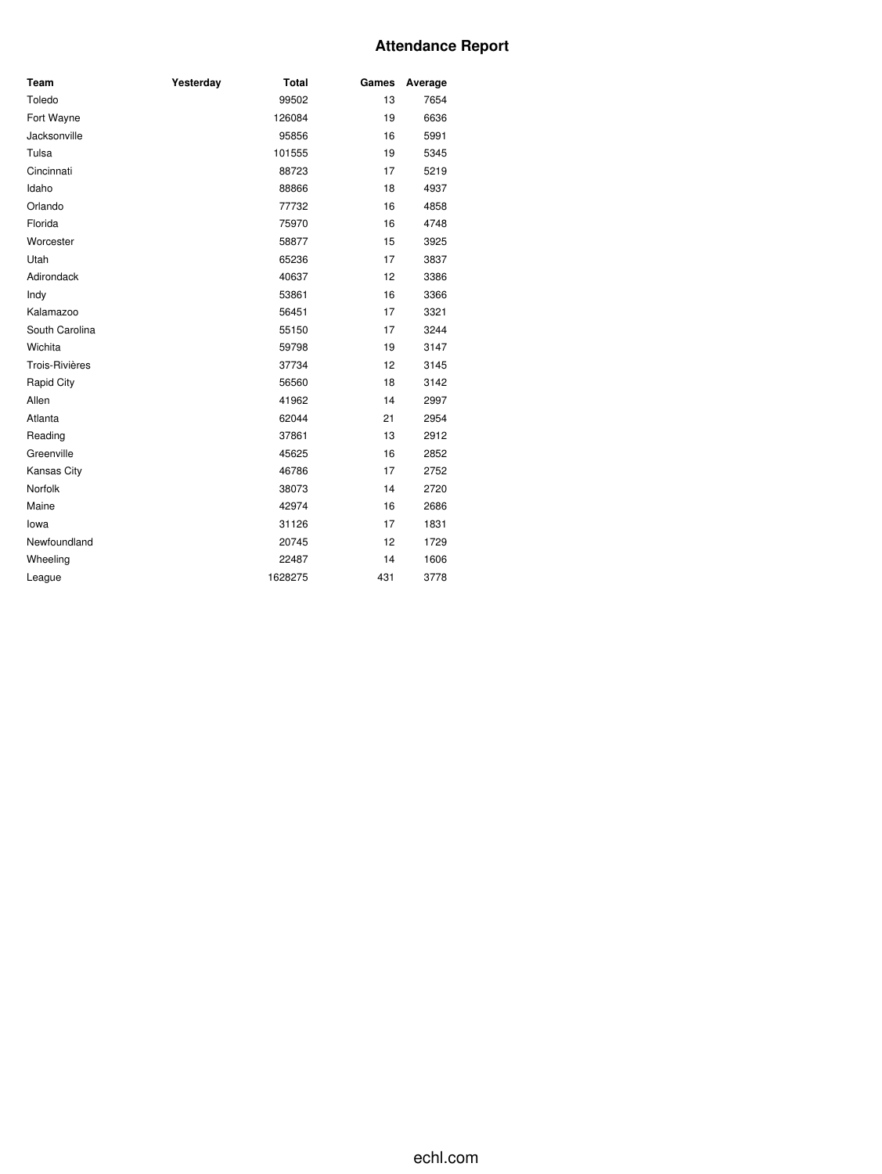# **Attendance Report**

| Team              | Yesterday | <b>Total</b> | Games | Average |
|-------------------|-----------|--------------|-------|---------|
| Toledo            |           | 99502        | 13    | 7654    |
| Fort Wayne        |           | 126084       | 19    | 6636    |
| Jacksonville      |           | 95856        | 16    | 5991    |
| Tulsa             |           | 101555       | 19    | 5345    |
| Cincinnati        |           | 88723        | 17    | 5219    |
| Idaho             |           | 88866        | 18    | 4937    |
| Orlando           |           | 77732        | 16    | 4858    |
| Florida           |           | 75970        | 16    | 4748    |
| Worcester         |           | 58877        | 15    | 3925    |
| Utah              |           | 65236        | 17    | 3837    |
| Adirondack        |           | 40637        | 12    | 3386    |
| Indy              |           | 53861        | 16    | 3366    |
| Kalamazoo         |           | 56451        | 17    | 3321    |
| South Carolina    |           | 55150        | 17    | 3244    |
| Wichita           |           | 59798        | 19    | 3147    |
| Trois-Rivières    |           | 37734        | 12    | 3145    |
| <b>Rapid City</b> |           | 56560        | 18    | 3142    |
| Allen             |           | 41962        | 14    | 2997    |
| Atlanta           |           | 62044        | 21    | 2954    |
| Reading           |           | 37861        | 13    | 2912    |
| Greenville        |           | 45625        | 16    | 2852    |
| Kansas City       |           | 46786        | 17    | 2752    |
| Norfolk           |           | 38073        | 14    | 2720    |
| Maine             |           | 42974        | 16    | 2686    |
| lowa              |           | 31126        | 17    | 1831    |
| Newfoundland      |           | 20745        | 12    | 1729    |
| Wheeling          |           | 22487        | 14    | 1606    |
| League            |           | 1628275      | 431   | 3778    |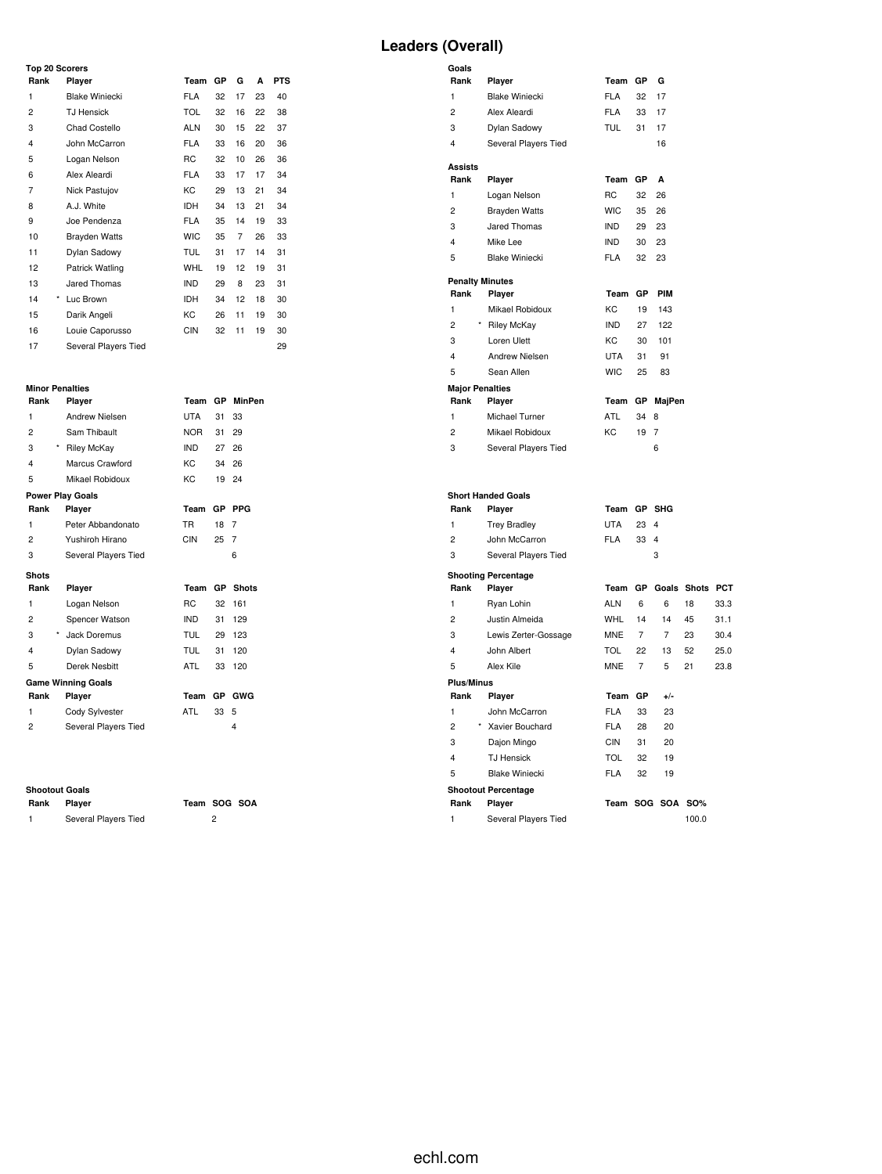| <b>Top 20 Scorers</b> |                         |            |    |    |    |            |
|-----------------------|-------------------------|------------|----|----|----|------------|
| Rank                  | Player                  | Team       | GP | G  | A  | <b>PTS</b> |
| 1                     | <b>Blake Winiecki</b>   | <b>FLA</b> | 32 | 17 | 23 | 40         |
| 2                     | <b>TJ Hensick</b>       | <b>TOL</b> | 32 | 16 | 22 | 38         |
| 3                     | Chad Costello           | <b>ALN</b> | 30 | 15 | 22 | 37         |
| $\overline{4}$        | John McCarron           | <b>FLA</b> | 33 | 16 | 20 | 36         |
| 5                     | Logan Nelson            | <b>RC</b>  | 32 | 10 | 26 | 36         |
| 6                     | Alex Aleardi            | <b>FLA</b> | 33 | 17 | 17 | 34         |
| 7                     | Nick Pastujov           | KC         | 29 | 13 | 21 | 34         |
| 8                     | A.J. White              | <b>IDH</b> | 34 | 13 | 21 | 34         |
| 9                     | Joe Pendenza            | <b>FLA</b> | 35 | 14 | 19 | 33         |
| 10                    | <b>Brayden Watts</b>    | <b>WIC</b> | 35 | 7  | 26 | 33         |
| 11                    | Dylan Sadowy            | <b>TUL</b> | 31 | 17 | 14 | 31         |
| 12                    | Patrick Watling         | <b>WHL</b> | 19 | 12 | 19 | 31         |
| 13                    | Jared Thomas            | <b>IND</b> | 29 | 8  | 23 | 31         |
| 14                    | $^{\star}$<br>Luc Brown | <b>IDH</b> | 34 | 12 | 18 | 30         |
| 15                    | Darik Angeli            | КC         | 26 | 11 | 19 | 30         |
| 16                    | Louie Caporusso         | <b>CIN</b> | 32 | 11 | 19 | 30         |
| 17                    | Several Players Tied    |            |    |    |    | 29         |

# **Minor Penalties**

| Rank                    | .<br>Player               | Team       | <b>GP</b> | MinPen       |
|-------------------------|---------------------------|------------|-----------|--------------|
|                         |                           |            |           |              |
| 1                       | Andrew Nielsen            | UTA        | 31        | 33           |
| 2                       | Sam Thibault              | <b>NOR</b> | 31        | 29           |
| $\star$<br>3            | <b>Riley McKay</b>        | <b>IND</b> | 27        | 26           |
| $\overline{\mathbf{4}}$ | Marcus Crawford           | KC.        | 34        | 26           |
| 5                       | Mikael Robidoux           | KC.        | 19        | 24           |
|                         | <b>Power Play Goals</b>   |            |           |              |
| Rank                    | Player                    | Team       | <b>GP</b> | <b>PPG</b>   |
| 1                       | Peter Abbandonato         | TR.        | 18        | 7            |
| 2                       | Yushiroh Hirano           | <b>CIN</b> | 25        | 7            |
| 3                       | Several Players Tied      |            |           | 6            |
| <b>Shots</b>            |                           |            |           |              |
|                         |                           |            |           |              |
| Rank                    | Player                    | Team       | GP        | <b>Shots</b> |
| 1                       | Logan Nelson              | <b>RC</b>  | 32        | 161          |
| 2                       | Spencer Watson            | <b>IND</b> | 31        | 129          |
| 3<br>$\star$            | Jack Doremus              | <b>TUL</b> | 29        | 123          |
| 4                       | Dylan Sadowy              | <b>TUL</b> | 31        | 120          |
| 5                       | Derek Nesbitt             | <b>ATL</b> | 33        | 120          |
|                         | <b>Game Winning Goals</b> |            |           |              |
| Rank                    | Player                    | Team       | GP.       | <b>GWG</b>   |
| 1                       | Cody Sylvester            | ATL        | 33        | 5            |
| 2                       | Several Players Tied      |            |           | 4            |
|                         |                           |            |           |              |

**Shootout Goals**

Several Players Tied 2

**Rank Player Team SOG SOA**

# **Leaders (Overall)**

| Goals                   |                            |            |                |                |                 |      |
|-------------------------|----------------------------|------------|----------------|----------------|-----------------|------|
| Rank                    | Player                     | Team       | GP             | G              |                 |      |
| 1                       | <b>Blake Winiecki</b>      | <b>FLA</b> | 32             | 17             |                 |      |
| $\overline{2}$          | Alex Aleardi               | <b>FLA</b> | 33             | 17             |                 |      |
| 3                       | Dylan Sadowy               | <b>TUL</b> | 31             | 17             |                 |      |
| $\overline{4}$          | Several Players Tied       |            |                | 16             |                 |      |
| Assists                 |                            |            |                |                |                 |      |
| Rank                    | Player                     | Team       | GP             | A              |                 |      |
| 1                       | Logan Nelson               | <b>RC</b>  | 32             | 26             |                 |      |
| $\overline{2}$          | <b>Brayden Watts</b>       | <b>WIC</b> | 35             | 26             |                 |      |
| 3                       | Jared Thomas               | <b>IND</b> | 29             | 23             |                 |      |
| $\overline{\mathbf{4}}$ | Mike Lee                   | <b>IND</b> | 30             | 23             |                 |      |
| 5                       | <b>Blake Winiecki</b>      | <b>FLA</b> | 32             | 23             |                 |      |
| <b>Penalty Minutes</b>  |                            |            |                |                |                 |      |
| Rank                    | Player                     | Team       | GP             | <b>PIM</b>     |                 |      |
| $\mathbf{1}$            | Mikael Robidoux            | KC         | 19             | 143            |                 |      |
| $\overline{c}$          | <b>Riley McKay</b>         | <b>IND</b> | 27             | 122            |                 |      |
| 3                       | Loren Ulett                | KC         | 30             | 101            |                 |      |
| $\overline{\mathbf{4}}$ | <b>Andrew Nielsen</b>      | <b>UTA</b> | 31             | 91             |                 |      |
| 5                       | Sean Allen                 | <b>WIC</b> | 25             | 83             |                 |      |
| <b>Major Penalties</b>  |                            |            |                |                |                 |      |
| Rank                    | Player                     | Team       | GР             | MajPen         |                 |      |
| $\mathbf{1}$            | Michael Turner             | ATL        | 34             | 8              |                 |      |
| $\overline{c}$          | Mikael Robidoux            | KC         | 19             | $\overline{7}$ |                 |      |
| 3                       | Several Players Tied       |            |                | 6              |                 |      |
|                         |                            |            |                |                |                 |      |
|                         | <b>Short Handed Goals</b>  |            |                |                |                 |      |
| Rank                    | Player                     | Team       |                | GP SHG         |                 |      |
| $\mathbf{1}$            | <b>Trey Bradley</b>        | <b>UTA</b> | 23             | 4              |                 |      |
| $\overline{2}$          | John McCarron              | <b>FLA</b> | 33             | $\overline{4}$ |                 |      |
| 3                       | Several Players Tied       |            |                | 3              |                 |      |
|                         | <b>Shooting Percentage</b> |            |                |                |                 |      |
| Rank                    | Player                     | Team       | GP             |                | Goals Shots PCT |      |
| $\mathbf{1}$            | Ryan Lohin                 | <b>ALN</b> | 6              | 6              | 18              | 33.3 |
| $\overline{2}$          | Justin Almeida             | <b>WHL</b> | 14             | 14             | 45              | 31.1 |
| 3                       | Lewis Zerter-Gossage       | <b>MNE</b> | $\overline{7}$ | $\overline{7}$ | 23              | 30.4 |
| 4                       | John Albert                | <b>TOL</b> | 22             | 13             | 52              | 25.0 |
| 5                       | Alex Kile                  | <b>MNE</b> | $\overline{7}$ | 5              | 21              | 23.8 |
| <b>Plus/Minus</b>       |                            |            |                |                |                 |      |
| Rank                    | Player                     | Team       | GP             | $+/-$          |                 |      |
| $\mathbf{1}$            | John McCarron              | <b>FLA</b> | 33             | 23             |                 |      |
| 2                       | * Xavier Bouchard          | <b>FLA</b> | 28             | 20             |                 |      |
| 3                       | Dajon Mingo                | <b>CIN</b> | 31             | 20             |                 |      |
| $\overline{4}$          | <b>TJ Hensick</b>          | TOL        | 32             | 19             |                 |      |
| 5                       | <b>Blake Winiecki</b>      | <b>FLA</b> | 32             | 19             |                 |      |
|                         | <b>Shootout Percentage</b> |            |                |                |                 |      |
| Rank                    | Player                     |            |                | Team SOG SOA   | <b>SO%</b>      |      |
| 1                       | Several Players Tied       |            |                |                | 100.0           |      |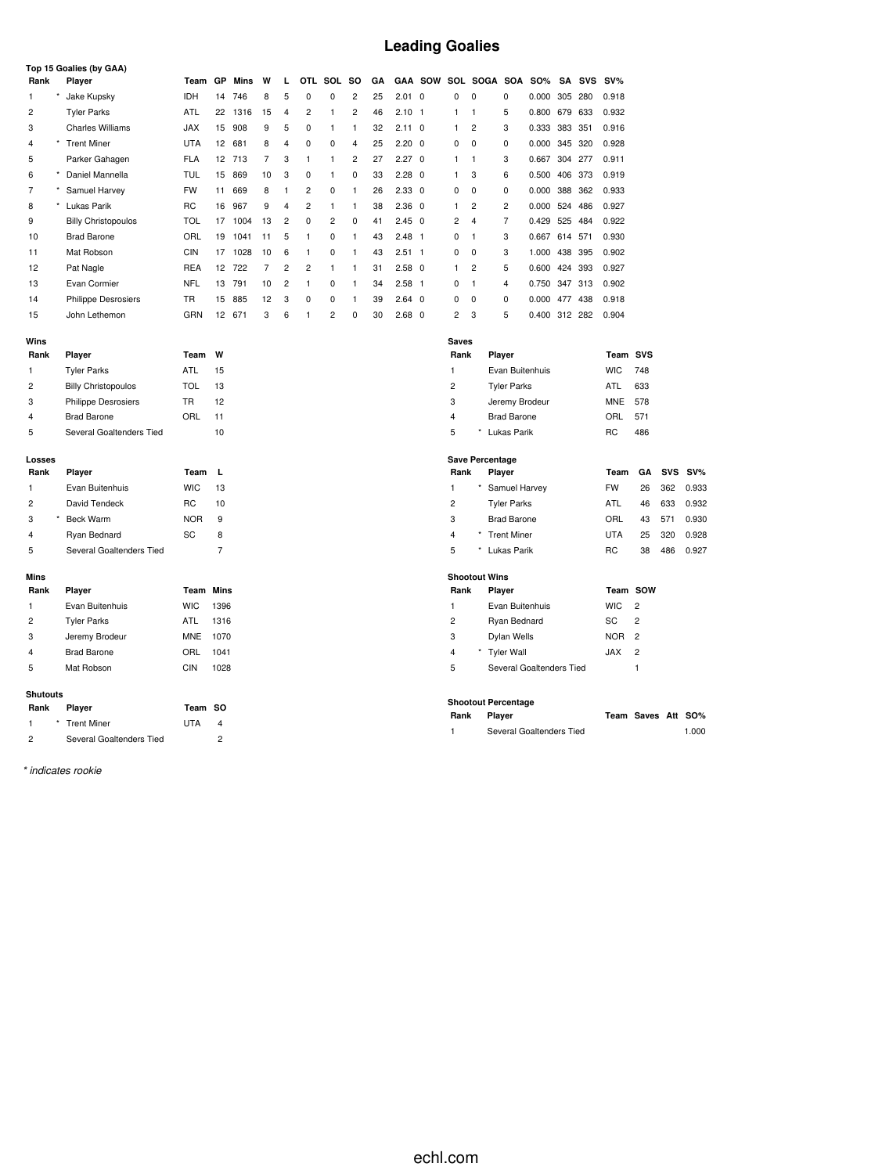# **Leading Goalies**

|      | Top 15 Goalies (by GAA) |                            |            |                 |      |    |                |                |                |                |    |                |                |                |                |          |            |     |     |        |
|------|-------------------------|----------------------------|------------|-----------------|------|----|----------------|----------------|----------------|----------------|----|----------------|----------------|----------------|----------------|----------|------------|-----|-----|--------|
| Rank |                         | Player                     | Team       | <b>GP</b>       | Mins | W  | L              | <b>OTL</b>     | SOL            | so             | GA |                | <b>GAA SOW</b> |                | SOL SOGA       | SOA      | <b>SO%</b> | SA  | SVS | $SV\%$ |
|      |                         | Jake Kupsky                | <b>IDH</b> | 14              | 746  | 8  | 5              | $\Omega$       | 0              | $\overline{2}$ | 25 | $2.01 \ 0$     |                | 0              | $\Omega$       | 0        | 0.000      | 305 | 280 | 0.918  |
| 2    |                         | <b>Tyler Parks</b>         | ATL        | 22              | 1316 | 15 | 4              | $\overline{2}$ |                | $\overline{2}$ | 46 | $2.10$ 1       |                |                |                | 5        | 0.800      | 679 | 633 | 0.932  |
| 3    |                         | <b>Charles Williams</b>    | <b>JAX</b> | 15              | 908  | 9  | 5              | 0              |                |                | 32 | $2.11 \quad 0$ |                | 1              | $\overline{2}$ | 3        | 0.333 383  |     | 351 | 0.916  |
| 4    |                         | <b>Trent Miner</b>         | <b>UTA</b> | 12 <sup>°</sup> | 681  | 8  | 4              | 0              | 0              | 4              | 25 | $2.20 \quad 0$ |                | 0              | 0              | 0        | 0.000 345  |     | 320 | 0.928  |
| 5    |                         | Parker Gahagen             | <b>FLA</b> | 12 <sup>°</sup> | 713  | 7  | 3              |                | 1              | $\overline{2}$ | 27 | $2.27 \quad 0$ |                | 1              | 1              | 3        | 0.667      | 304 | 277 | 0.911  |
| 6    |                         | Daniel Mannella            | TUL        | 15              | 869  | 10 | 3              | 0              |                | $\Omega$       | 33 | $2.28 \quad 0$ |                | $\mathbf{1}$   | 3              | 6        | 0.500      | 406 | 373 | 0.919  |
| 7    |                         | Samuel Harvey              | <b>FW</b>  | 11              | 669  | 8  |                | $\overline{2}$ | 0              |                | 26 | $2.33 \quad 0$ |                | $\Omega$       | $\Omega$       | $\Omega$ | 0.000      | 388 | 362 | 0.933  |
| 8    |                         | Lukas Parik                | <b>RC</b>  | 16              | 967  | 9  | 4              | $\overline{c}$ |                |                | 38 | $2.36$ 0       |                | 1              | $\overline{2}$ | 2        | 0.000 524  |     | 486 | 0.927  |
| 9    |                         | <b>Billy Christopoulos</b> | TOL        | 17              | 1004 | 13 | $\overline{2}$ | 0              | 2              | 0              | 41 | $2.45 \quad 0$ |                | 2              | 4              | 7        | 0.429      | 525 | 484 | 0.922  |
| 10   |                         | <b>Brad Barone</b>         | ORL        | 19              | 1041 | 11 | 5              |                | 0              | 1              | 43 | $2.48$ 1       |                | $\Omega$       | 1              | 3        | 0.667      | 614 | 571 | 0.930  |
| 11   |                         | Mat Robson                 | <b>CIN</b> | 17              | 1028 | 10 | 6              |                | 0              |                | 43 | $2.51 \quad 1$ |                | 0              | $\Omega$       | 3        | 1.000      | 438 | 395 | 0.902  |
| 12   |                         | Pat Nagle                  | <b>REA</b> | 12 <sup>2</sup> | 722  |    | $\overline{2}$ | $\overline{2}$ |                |                | 31 | $2.58$ 0       |                | 1              | $\overline{2}$ | 5        | 0.600      | 424 | 393 | 0.927  |
| 13   |                         | Evan Cormier               | <b>NFL</b> | 13              | 791  | 10 | 2              |                | 0              |                | 34 | $2.58$ 1       |                | $\Omega$       | 1              | 4        | 0.750 347  |     | 313 | 0.902  |
| 14   |                         | Philippe Desrosiers        | <b>TR</b>  | 15              | 885  | 12 | 3              | 0              | 0              |                | 39 | $2.64 \quad 0$ |                | 0              | 0              | $\Omega$ | 0.000      | 477 | 438 | 0.918  |
| 15   |                         | John Lethemon              | GRN        | 12              | 671  | 3  | 6              |                | $\overline{2}$ | $\Omega$       | 30 | $2.68$ 0       |                | $\overline{2}$ | 3              | 5        | 0.400 312  |     | 282 | 0.904  |

| Rank | Player                     | Team | w  |
|------|----------------------------|------|----|
| 1    | <b>Tyler Parks</b>         | ATL  | 15 |
| 2    | <b>Billy Christopoulos</b> | TOL  | 13 |
| 3    | <b>Philippe Desrosiers</b> | TR   | 12 |
| 4    | <b>Brad Barone</b>         | ORL  | 11 |
| 5    | Several Goaltenders Tied   |      | 10 |

#### **Losses**

| Rank | Player                   | Team       |    |
|------|--------------------------|------------|----|
| 1    | Evan Buitenhuis          | <b>WIC</b> | 13 |
| 2    | David Tendeck            | RC.        | 10 |
| 3    | <b>Beck Warm</b>         | <b>NOR</b> | 9  |
| 4    | Ryan Bednard             | SC.        | 8  |
| 5    | Several Goaltenders Tied |            |    |

#### **Mins**

| Rank           | Player             | Team       | Mins |
|----------------|--------------------|------------|------|
| 1              | Evan Buitenhuis    | <b>WIC</b> | 1396 |
| $\overline{2}$ | <b>Tyler Parks</b> | ATL        | 1316 |
| 3              | Jeremy Brodeur     | MNE        | 1070 |
| 4              | <b>Brad Barone</b> | ORL        | 1041 |
| 5              | Mat Robson         | CIN        | 1028 |
|                |                    |            |      |

### **Shutouts**

| Rank          | Player                   | Team SO    |   |
|---------------|--------------------------|------------|---|
|               | * Trent Miner            | <b>UTA</b> | 4 |
| $\mathcal{P}$ | Several Goaltenders Tied |            |   |

*\* indicates rookie*

| Saves          |         |                    |            |     |
|----------------|---------|--------------------|------------|-----|
| Rank           |         | Player             | Team SVS   |     |
| $\mathbf{1}$   |         | Evan Buitenhuis    | <b>WIC</b> | 748 |
| $\overline{2}$ |         | <b>Tyler Parks</b> | ATL        | 633 |
| 3              |         | Jeremy Brodeur     | MNE        | 578 |
| $\overline{4}$ |         | <b>Brad Barone</b> | ORL        | 571 |
| 5              | $\star$ | Lukas Parik        | RC         | 486 |

### **Save Percentage**

| Rank           | Player             | Team       |    |     | GA SVS SV% |
|----------------|--------------------|------------|----|-----|------------|
| 1              | * Samuel Harvey    | <b>FW</b>  | 26 | 362 | 0.933      |
| $\overline{2}$ | <b>Tyler Parks</b> | ATL        | 46 | 633 | 0.932      |
| 3              | <b>Brad Barone</b> | ORL        | 43 | 571 | 0.930      |
| $\overline{4}$ | * Trent Miner      | <b>UTA</b> | 25 | 320 | 0.928      |
| 5              | Lukas Parik        | RC.        | 38 | 486 | 0.927      |

### **Shootout Wins**

| Rank | Player                   | Team SOW         |                |
|------|--------------------------|------------------|----------------|
| 1    | Evan Buitenhuis          | WIC.             | $\overline{2}$ |
| 2    | Ryan Bednard             | SC.              | $\overline{2}$ |
| 3    | Dylan Wells              | NOR <sub>2</sub> |                |
| 4    | * Tyler Wall             | JAX.             | $\overline{2}$ |
| 5    | Several Goaltenders Tied |                  |                |

#### **Shootout Percentage**

| Rank | Player                   | Team Saves Att SO% |       |
|------|--------------------------|--------------------|-------|
|      | Several Goaltenders Tied |                    | 1.000 |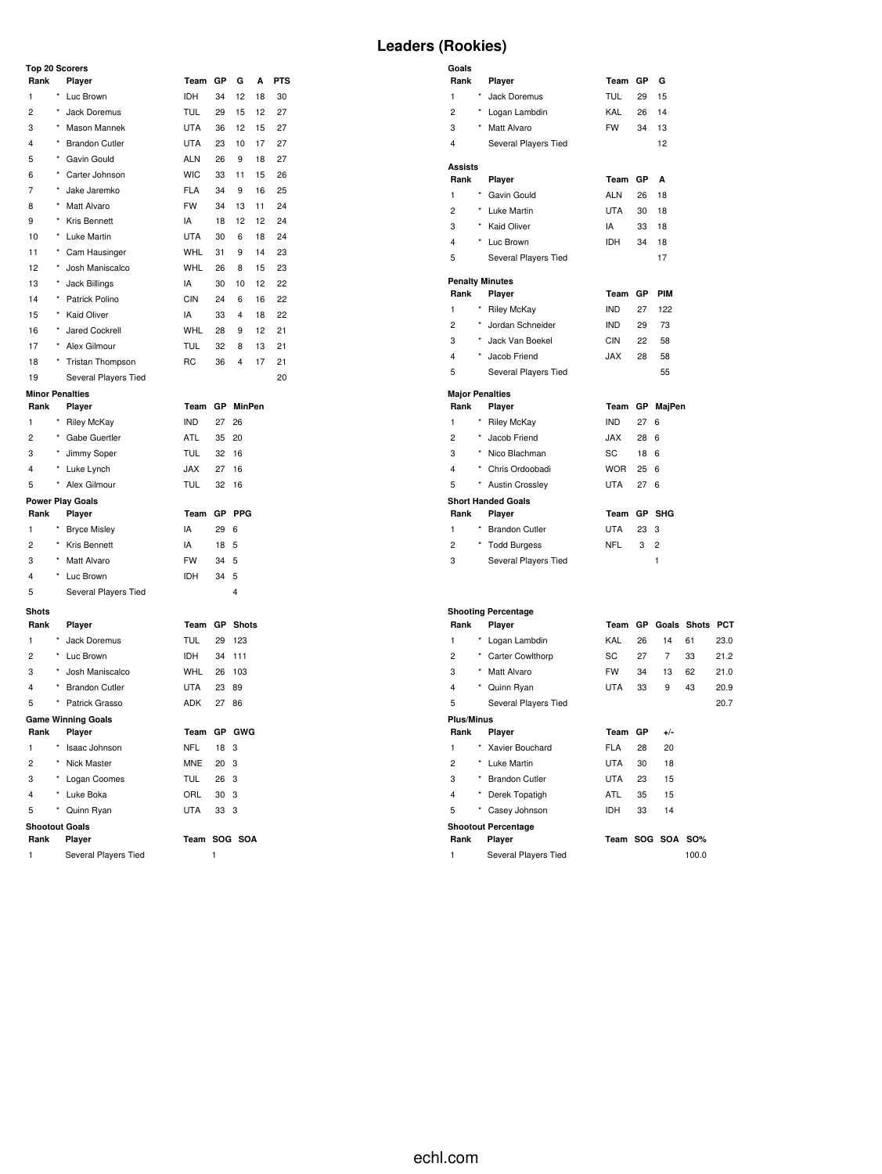### **Top 20 Scorers**

| טט ו                    |          |                           |            |     |                         |    |            |
|-------------------------|----------|---------------------------|------------|-----|-------------------------|----|------------|
| Rank                    |          | Player                    | Team       | GР  | G                       | A  | <b>PTS</b> |
| 1                       |          | * Luc Brown               | IDH        | 34  | 12                      | 18 | 30         |
| $\overline{c}$          | $^\star$ | Jack Doremus              | <b>TUL</b> | 29  | 15                      | 12 | 27         |
| 3                       | $^\star$ | Mason Mannek              | <b>UTA</b> | 36  | 12                      | 15 | 27         |
| 4                       | $^\star$ | <b>Brandon Cutler</b>     | <b>UTA</b> | 23  | 10                      | 17 | 27         |
| 5                       | $^\star$ | Gavin Gould               | <b>ALN</b> | 26  | 9                       | 18 | 27         |
| 6                       | $^\star$ | Carter Johnson            | <b>WIC</b> | 33  | 11                      | 15 | 26         |
| 7                       | $\star$  | Jake Jaremko              | <b>FLA</b> | 34  | 9                       | 16 | 25         |
| 8                       | $^\star$ | Matt Alvaro               | <b>FW</b>  | 34  | 13                      | 11 | 24         |
| 9                       | $^\star$ | Kris Bennett              | IA         | 18  | 12                      | 12 | 24         |
| 10                      | $^\star$ | Luke Martin               | <b>UTA</b> | 30  | 6                       | 18 | 24         |
| 11                      | $^\star$ | Cam Hausinger             | <b>WHL</b> | 31  | 9                       | 14 | 23         |
| 12                      | $^\star$ | Josh Maniscalco           | <b>WHL</b> | 26  | 8                       | 15 | 23         |
| 13                      | $^\star$ | Jack Billings             | IA         | 30  | 10                      | 12 | 22         |
| 14                      | $^\star$ | Patrick Polino            | <b>CIN</b> | 24  | 6                       | 16 | 22         |
| 15                      | $^\star$ | <b>Kaid Oliver</b>        | IA         | 33  | 4                       | 18 | 22         |
| 16                      | $\star$  | Jared Cockrell            | WHL        | 28  | 9                       | 12 | 21         |
| 17                      | $^\star$ | Alex Gilmour              | <b>TUL</b> | 32  | 8                       | 13 | 21         |
| 18                      |          | * Tristan Thompson        | <b>RC</b>  | 36  | $\overline{4}$          | 17 | 21         |
| 19                      |          | Several Players Tied      |            |     |                         |    | 20         |
| <b>Minor Penalties</b>  |          |                           |            |     |                         |    |            |
| Rank                    |          | Player                    | Team       | GР  | <b>MinPen</b>           |    |            |
| 1                       |          | <b>Riley McKay</b>        | <b>IND</b> | 27  | 26                      |    |            |
| $\overline{2}$          | $\star$  | Gabe Guertler             | ATL        | 35  | 20                      |    |            |
| 3                       |          | Jimmy Soper               | <b>TUL</b> | 32  | 16                      |    |            |
| $\overline{4}$          | $^\star$ | Luke Lynch                | <b>JAX</b> | 27  | 16                      |    |            |
| 5                       |          | Alex Gilmour              | <b>TUL</b> | 32  | 16                      |    |            |
|                         |          | <b>Power Play Goals</b>   |            |     |                         |    |            |
| Rank                    |          | Player                    | Team       | GP  | <b>PPG</b>              |    |            |
| 1                       | $^\star$ | <b>Bryce Misley</b>       | IA         | 29  | 6                       |    |            |
| $\overline{2}$          | $\star$  | Kris Bennett              | IA         | 18  | 5                       |    |            |
| 3                       | $^\star$ | Matt Alvaro               | <b>FW</b>  | 34  | 5                       |    |            |
| $\overline{4}$          |          | * Luc Brown               | IDH        | 34  | 5                       |    |            |
| 5                       |          | Several Players Tied      |            |     | $\overline{\mathbf{4}}$ |    |            |
| <b>Shots</b>            |          |                           |            |     |                         |    |            |
| Rank                    |          | Player                    | Team       | GР  | <b>Shots</b>            |    |            |
| 1                       | $\star$  | Jack Doremus              | <b>TUL</b> | 29  | 123                     |    |            |
| $\overline{2}$          | $\star$  | Luc Brown                 | IDH        | 34  | 111                     |    |            |
| 3                       | $^\star$ | Josh Maniscalco           | <b>WHL</b> | 26  | 103                     |    |            |
| $\overline{\mathbf{4}}$ | $^\star$ | <b>Brandon Cutler</b>     | <b>UTA</b> | 23  | 89                      |    |            |
| 5                       | $^\star$ | Patrick Grasso            | <b>ADK</b> | 27  | 86                      |    |            |
|                         |          | <b>Game Winning Goals</b> |            |     |                         |    |            |
| Rank                    |          | Player                    | Team       | GP  | GWG                     |    |            |
| 1                       |          | Isaac Johnson             | <b>NFL</b> | 18  | 3                       |    |            |
| $\overline{c}$          | ×        | Nick Master               | <b>MNE</b> | 20  | 3                       |    |            |
| 3                       | ×        | Logan Coomes              | <b>TUL</b> | 26  | 3                       |    |            |
| $\overline{4}$          |          | Luke Boka                 | ORL        | 30  | 3                       |    |            |
| 5                       | ×        | Quinn Ryan                | <b>UTA</b> | 33  | 3                       |    |            |
| <b>Shootout Goals</b>   |          |                           |            |     |                         |    |            |
| Rank                    |          | Player                    | Team       | SOG | <b>SOA</b>              |    |            |

Several Players Tied 1

# **Leaders (Rookies)**

| Goals                  |          |                                      |            |    |                    |    |      |
|------------------------|----------|--------------------------------------|------------|----|--------------------|----|------|
| Rank                   |          | Player                               | Team GP    |    | G                  |    |      |
| 1                      |          | Jack Doremus                         | <b>TUL</b> | 29 | 15                 |    |      |
| $\overline{2}$         | $\star$  | Logan Lambdin                        | KAL        | 26 | 14                 |    |      |
| 3                      | $\star$  | Matt Alvaro                          | <b>FW</b>  | 34 | 13                 |    |      |
| 4                      |          | Several Players Tied                 |            |    | 12                 |    |      |
| Assists                |          |                                      |            |    |                    |    |      |
| Rank                   |          | Player                               | Team       | GP | A                  |    |      |
| 1                      |          | * Gavin Gould                        | <b>ALN</b> | 26 | 18                 |    |      |
| $\overline{2}$         |          | * Luke Martin                        | <b>UTA</b> | 30 | 18                 |    |      |
| 3                      | $^\star$ | <b>Kaid Oliver</b>                   | IA         | 33 | 18                 |    |      |
| 4                      |          | Luc Brown                            | IDH        | 34 | 18                 |    |      |
| 5                      |          | Several Players Tied                 |            |    | 17                 |    |      |
|                        |          | <b>Penalty Minutes</b>               |            |    |                    |    |      |
| Rank                   |          | Player                               | Team       | GP | PIM                |    |      |
| 1                      |          | <b>Riley McKay</b>                   | <b>IND</b> | 27 | 122                |    |      |
| $\overline{2}$         | $\star$  | Jordan Schneider                     | <b>IND</b> | 29 | 73                 |    |      |
| 3                      |          | Jack Van Boekel                      | <b>CIN</b> | 22 | 58                 |    |      |
| 4                      |          | Jacob Friend                         | <b>JAX</b> | 28 | 58                 |    |      |
| 5                      |          | Several Players Tied                 |            |    | 55                 |    |      |
| <b>Major Penalties</b> |          |                                      |            |    |                    |    |      |
| Rank                   |          | Player                               | Team       |    | GP MajPen          |    |      |
| 1                      |          | <b>Riley McKay</b>                   | <b>IND</b> | 27 | 6                  |    |      |
| $\overline{c}$         |          | Jacob Friend                         | <b>JAX</b> | 28 | 6                  |    |      |
| 3                      | $\star$  | Nico Blachman                        | SC         | 18 | 6                  |    |      |
| 4                      |          | Chris Ordoobadi                      | <b>WOR</b> | 25 | 6                  |    |      |
| 5                      | $\star$  | <b>Austin Crossley</b>               | <b>UTA</b> | 27 | 6                  |    |      |
|                        |          | <b>Short Handed Goals</b>            |            |    |                    |    |      |
| Rank                   |          | Player                               | Team GP    |    | SHG                |    |      |
| 1                      |          | <b>Brandon Cutler</b>                | <b>UTA</b> | 23 | 3                  |    |      |
| $\overline{c}$         |          | * Todd Burgess                       | <b>NFL</b> | 3  | $\overline{2}$     |    |      |
| 3                      |          | Several Players Tied                 |            |    | $\mathbf{1}$       |    |      |
|                        |          |                                      |            |    |                    |    |      |
|                        |          |                                      |            |    |                    |    |      |
| Rank                   |          | <b>Shooting Percentage</b><br>Player | Team       |    | GP Goals Shots PCT |    |      |
| 1                      |          | Logan Lambdin                        | KAL        | 26 | 14                 | 61 | 23.0 |
| $\overline{2}$         |          | * Carter Cowlthorp                   | SC         | 27 | $\overline{7}$     | 33 | 21.2 |
| 3                      | $^\star$ | Matt Alvaro                          | <b>FW</b>  | 34 | 13                 | 62 | 21.0 |
| 4                      |          | * Quinn Ryan                         | <b>UTA</b> | 33 | 9                  | 43 | 20.9 |
| 5                      |          | Several Players Tied                 |            |    |                    |    | 20.7 |
| Plus/Minus             |          |                                      |            |    |                    |    |      |
| Rank                   |          | Player                               | Team       | GP | $+/-$              |    |      |
| 1                      |          | Xavier Bouchard                      | <b>FLA</b> | 28 | 20                 |    |      |
| $\overline{2}$         | $^\star$ | Luke Martin                          | <b>UTA</b> | 30 | 18                 |    |      |
| 3                      |          | <b>Brandon Cutler</b>                | <b>UTA</b> | 23 | 15                 |    |      |

|                            | 2                 | $\star$    | <b>Carter Cowlthorp</b> | SC         | 27 | 7     | 33          | 21.2 |
|----------------------------|-------------------|------------|-------------------------|------------|----|-------|-------------|------|
|                            | 3                 | $\star$    | Matt Alvaro             | <b>FW</b>  | 34 | 13    | 62          | 21.0 |
|                            | $\overline{4}$    | *          | Quinn Ryan              | <b>UTA</b> | 33 | 9     | 43          | 20.9 |
|                            | 5                 |            | Several Players Tied    |            |    |       |             | 20.7 |
|                            | <b>Plus/Minus</b> |            |                         |            |    |       |             |      |
|                            | Rank              |            | Player                  | Team       | GP | $+/-$ |             |      |
|                            | 1                 |            | * Xavier Bouchard       | FLA        | 28 | 20    |             |      |
|                            | 2                 | $^{\star}$ | Luke Martin             | <b>UTA</b> | 30 | 18    |             |      |
|                            | 3                 | $\star$    | <b>Brandon Cutler</b>   | <b>UTA</b> | 23 | 15    |             |      |
|                            | 4                 | *          | Derek Topatigh          | <b>ATL</b> | 35 | 15    |             |      |
|                            | 5                 | $^\star$   | Casey Johnson           | <b>IDH</b> | 33 | 14    |             |      |
| <b>Shootout Percentage</b> |                   |            |                         |            |    |       |             |      |
|                            | Rank              |            | Player                  | Team       |    |       | SOG SOA SO% |      |
|                            | 1                 |            | Several Players Tied    |            |    |       | 100.0       |      |
|                            |                   |            |                         |            |    |       |             |      |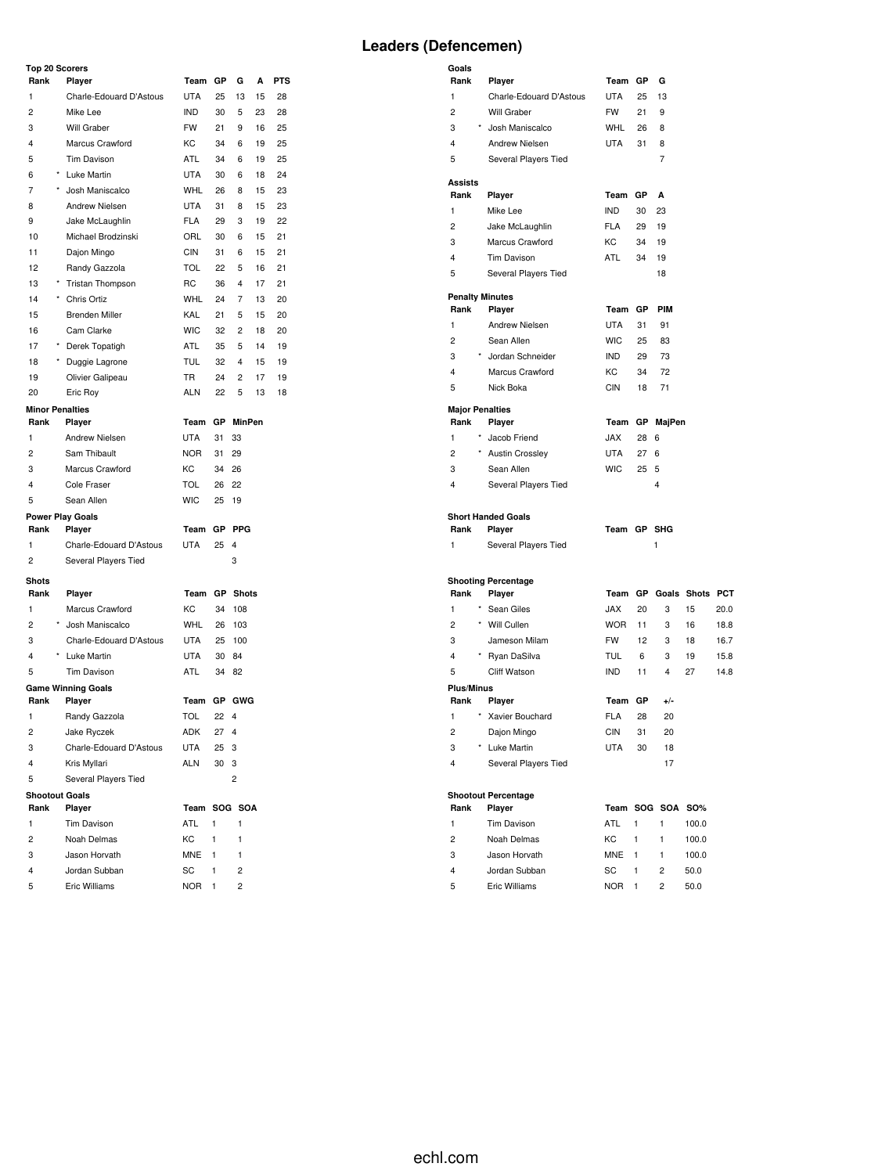#### **Top 20 Scorers**

|                | Top 20 Scorers                  |              |           |                  |    |            |
|----------------|---------------------------------|--------------|-----------|------------------|----|------------|
| Rank           | Player                          | Team         | GР        | G                | А  | <b>PTS</b> |
| 1              | Charle-Edouard D'Astous         | <b>UTA</b>   | 25        | 13               | 15 | 28         |
| 2              | Mike Lee                        | <b>IND</b>   | 30        | 5                | 23 | 28         |
| 3              | Will Graber                     | <b>FW</b>    | 21        | 9                | 16 | 25         |
| 4              | Marcus Crawford                 | KC           | 34        | 6                | 19 | 25         |
| 5              | Tim Davison                     | <b>ATL</b>   | 34        | 6                | 19 | 25         |
| 6              | * Luke Martin                   | <b>UTA</b>   | 30        | 6                | 18 | 24         |
| 7              | * Josh Maniscalco               | WHL          | 26        | 8                | 15 | 23         |
| 8              | Andrew Nielsen                  | <b>UTA</b>   | 31        | 8                | 15 | 23         |
| 9              | Jake McLaughlin                 | <b>FLA</b>   | 29        | 3                | 19 | 22         |
| 10             | Michael Brodzinski              | ORL          | 30        | 6                | 15 | 21         |
| 11             | Dajon Mingo                     | CIN          | 31        | 6                | 15 | 21         |
| 12             | Randy Gazzola                   | <b>TOL</b>   | 22        | 5                | 16 | 21         |
| 13             | * Tristan Thompson              | RC           | 36        | 4                | 17 | 21         |
| 14             | * Chris Ortiz                   | <b>WHL</b>   | 24        | 7                | 13 | 20         |
|                |                                 |              |           |                  |    |            |
| 15             | <b>Brenden Miller</b>           | KAL          | 21        | 5                | 15 | 20         |
| 16             | Cam Clarke                      | <b>WIC</b>   | 32        | 2                | 18 | 20         |
| 17             | * Derek Topatigh                | ATL          | 35        | 5                | 14 | 19         |
| 18             | * Duggie Lagrone                | TUL          | 32        | 4                | 15 | 19         |
| 19             | Olivier Galipeau                | <b>TR</b>    | 24        | 2                | 17 | 19         |
| 20             | Eric Roy                        | ALN          | 22        | 5                | 13 | 18         |
|                | <b>Minor Penalties</b>          |              |           |                  |    |            |
| Rank           | Player                          | Team         |           | <b>GP</b> MinPen |    |            |
| 1              | Andrew Nielsen                  | <b>UTA</b>   | 31        | 33               |    |            |
| 2              | Sam Thibault                    | <b>NOR</b>   | 31        | 29               |    |            |
| 3              | Marcus Crawford                 | KC           | 34        | 26               |    |            |
| 4              | Cole Fraser                     | <b>TOL</b>   | 26        | 22               |    |            |
| 5              | Sean Allen                      | <b>WIC</b>   | 25        | 19               |    |            |
|                | <b>Power Play Goals</b>         |              |           |                  |    |            |
| Rank           | Player                          | Team         | GР        | <b>PPG</b>       |    |            |
| 1              | Charle-Edouard D'Astous         | <b>UTA</b>   | 25        | 4                |    |            |
| 2              | Several Players Tied            |              |           | 3                |    |            |
| <b>Shots</b>   |                                 |              |           |                  |    |            |
| Rank           | Player                          | Team         |           | <b>GP</b> Shots  |    |            |
| 1              | Marcus Crawford                 | КC           | 34        | 108              |    |            |
| $\overline{c}$ | * Josh Maniscalco               | WHL          | 26        | 103              |    |            |
| 3              | Charle-Edouard D'Astous         | UTA          | 25        | 100              |    |            |
| 4              | * Luke Martin                   | UTA          | 30        | 84               |    |            |
| 5              | Tim Davison                     | ATL          | 34        | 82               |    |            |
|                | <b>Game Winning Goals</b>       |              |           |                  |    |            |
| Rank           | Player                          | Team         | <b>GP</b> | GWG              |    |            |
| 1              | Randy Gazzola                   | TOL          | 22        | 4                |    |            |
| 2              | Jake Ryczek                     | ADK          | 27        | 4                |    |            |
| 3              | Charle-Edouard D'Astous         | UTA          | 25        | 3                |    |            |
| 4              | Kris Myllari                    | <b>ALN</b>   | 30        | 3                |    |            |
| 5              |                                 |              |           | 2                |    |            |
|                | Several Players Tied            |              |           |                  |    |            |
| Rank           | <b>Shootout Goals</b><br>Player | Team SOG SOA |           |                  |    |            |
| 1              |                                 | ATL          | 1         |                  |    |            |
|                | Tim Davison                     |              |           | 1                |    |            |
| $\overline{c}$ | Noah Delmas                     | KC           | 1         | 1                |    |            |
| 3              | Jason Horvath                   | <b>MNE</b>   | 1         | 1                |    |            |
| 4              | Jordan Subban                   | SC           | 1         | 2                |    |            |
| 5              | Eric Williams                   | <b>NOR</b>   | 1         | $\overline{c}$   |    |            |

| Goals                  |         |                                      |             |    |                  |                        |      |
|------------------------|---------|--------------------------------------|-------------|----|------------------|------------------------|------|
| Rank                   |         | Player                               | Team GP     |    | G                |                        |      |
| 1                      |         | Charle-Edouard D'Astous              | <b>UTA</b>  | 25 | 13               |                        |      |
| 2                      |         | Will Graber                          | <b>FW</b>   | 21 | 9                |                        |      |
| 3                      |         | Josh Maniscalco                      | <b>WHL</b>  | 26 | 8                |                        |      |
| 4                      |         | Andrew Nielsen                       | UTA         | 31 | 8                |                        |      |
| 5                      |         | Several Players Tied                 |             |    | 7                |                        |      |
| Assists                |         |                                      |             |    |                  |                        |      |
| Rank                   |         | Player                               | Team GP     |    | A                |                        |      |
| 1                      |         | Mike Lee                             | <b>IND</b>  | 30 | 23               |                        |      |
| 2                      |         | Jake McLaughlin                      | <b>FLA</b>  | 29 | 19               |                        |      |
| 3                      |         | Marcus Crawford                      | КC          | 34 | 19               |                        |      |
| 4                      |         | <b>Tim Davison</b>                   | ATL         | 34 | 19               |                        |      |
| 5                      |         | Several Players Tied                 |             |    | 18               |                        |      |
|                        |         | <b>Penalty Minutes</b>               |             |    |                  |                        |      |
| Rank                   |         | Player                               | Team GP     |    | <b>PIM</b>       |                        |      |
| 1                      |         | Andrew Nielsen                       | <b>UTA</b>  | 31 | 91               |                        |      |
| 2                      |         | Sean Allen                           | <b>WIC</b>  | 25 | 83               |                        |      |
| 3                      |         | * Jordan Schneider                   | <b>IND</b>  | 29 | 73               |                        |      |
| 4                      |         | Marcus Crawford                      | КC          | 34 | 72               |                        |      |
| 5                      |         | Nick Boka                            | <b>CIN</b>  | 18 | 71               |                        |      |
| <b>Major Penalties</b> |         |                                      |             |    |                  |                        |      |
| Rank                   |         | Player                               | Team        |    | GP MajPen        |                        |      |
| 1                      |         | Jacob Friend                         | <b>JAX</b>  | 28 | 6                |                        |      |
| 2                      |         | <b>Austin Crossley</b>               | <b>UTA</b>  | 27 | 6                |                        |      |
| 3                      |         | Sean Allen                           | <b>WIC</b>  | 25 | 5                |                        |      |
| 4                      |         | Several Players Tied                 |             |    | $\overline{4}$   |                        |      |
|                        |         | <b>Short Handed Goals</b>            |             |    |                  |                        |      |
| Rank                   |         | Player                               | Team GP SHG |    |                  |                        |      |
| 1                      |         | Several Players Tied                 |             |    | 1                |                        |      |
|                        |         |                                      |             |    |                  |                        |      |
| Rank                   |         | <b>Shooting Percentage</b><br>Player | Team GP     |    |                  | <b>Goals Shots PCT</b> |      |
| 1                      |         | * Sean Giles                         | JAX         | 20 | 3                | 15                     | 20.0 |
| 2                      |         | * Will Cullen                        | <b>WOR</b>  | 11 | 3                | 16                     | 18.8 |
| 3                      |         | Jameson Milam                        | <b>FW</b>   | 12 | 3                | 18                     | 16.7 |
| 4                      |         | * Ryan DaSilva                       | <b>TUL</b>  | 6  | 3                | 19                     | 15.8 |
| 5                      |         | Cliff Watson                         | <b>IND</b>  | 11 | $\overline{4}$   | 27                     | 14.8 |
| <b>Plus/Minus</b>      |         |                                      |             |    |                  |                        |      |
| Rank                   |         | Player                               | Team        | GР | +/-              |                        |      |
| 1                      | $\star$ | Xavier Bouchard                      | <b>FLA</b>  | 28 | 20               |                        |      |
| 2                      |         | Dajon Mingo                          | CIN         | 31 | 20               |                        |      |
| 3                      |         | * Luke Martin                        | UTA         | 30 | 18               |                        |      |
| $\overline{4}$         |         | Several Players Tied                 |             |    | 17               |                        |      |
|                        |         |                                      |             |    |                  |                        |      |
| Rank                   |         | <b>Shootout Percentage</b><br>Player |             |    | Team SOG SOA SO% |                        |      |
| 1                      |         | Tim Davison                          | ATL         | 1  | 1                | 100.0                  |      |
| $\overline{c}$         |         | Noah Delmas                          | КC          | 1  | 1                | 100.0                  |      |
|                        |         |                                      |             |    |                  |                        |      |

 Jason Horvath MNE 1 1 100.0 Jordan Subban SC 1 2 50.0 Eric Williams NOR 1 2 50.0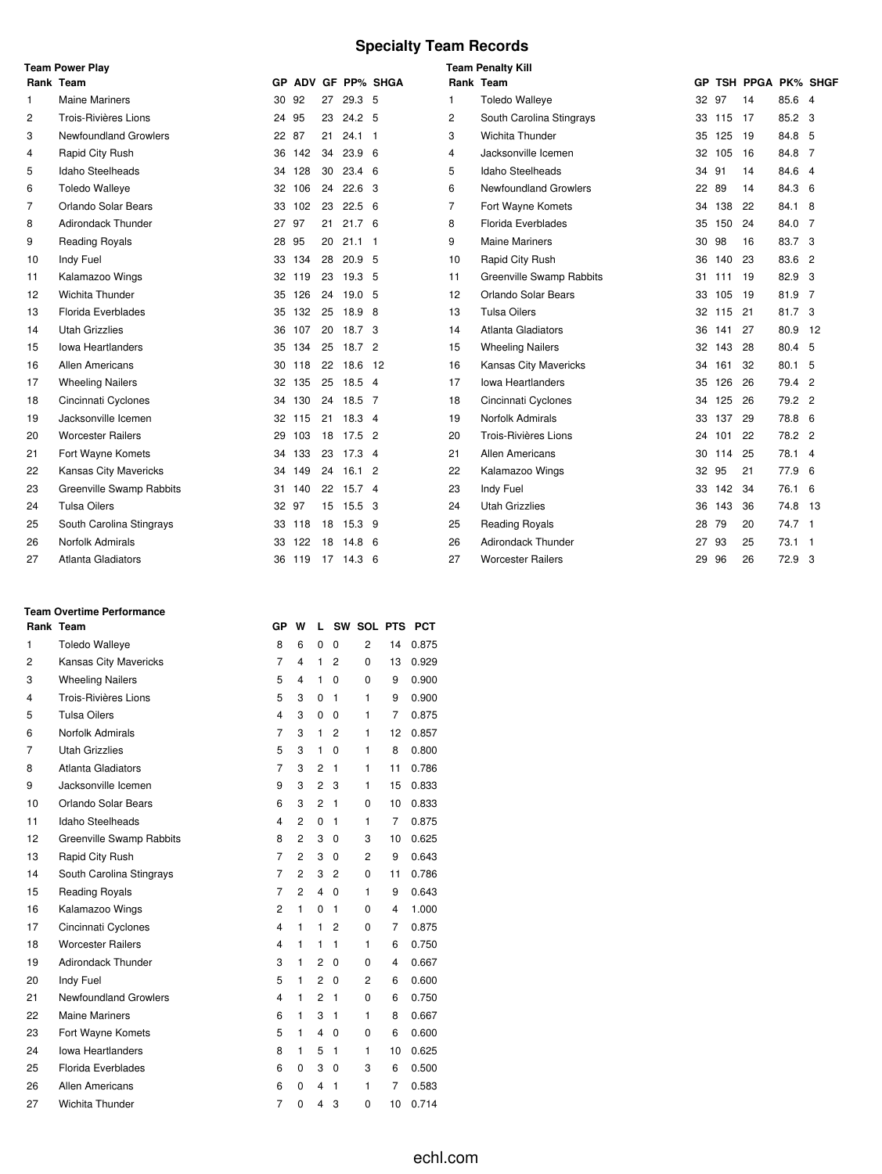# **Specialty Team Records**

|                | <b>Team Power Play</b>    |       |        |    | <b>Team Penalty Kill</b> |                    |                |                                 |       |        |                   |          |  |
|----------------|---------------------------|-------|--------|----|--------------------------|--------------------|----------------|---------------------------------|-------|--------|-------------------|----------|--|
|                | Rank Team                 |       |        |    |                          | GP ADV GF PP% SHGA |                | Rank Team                       | GP.   |        | TSH PPGA PK% SHGF |          |  |
| 1              | <b>Maine Mariners</b>     | 30 92 |        | 27 | 29.3 5                   |                    | 1              | <b>Toledo Walleye</b>           | 32 97 |        | 14                | 85.6 4   |  |
| $\overline{c}$ | Trois-Rivières Lions      | 24 95 |        | 23 | 24.2 <sub>5</sub>        |                    | $\overline{c}$ | South Carolina Stingrays        |       | 33 115 | 17                | 85.2 3   |  |
| 3              | Newfoundland Growlers     | 22 87 |        | 21 | $24.1$ 1                 |                    | 3              | Wichita Thunder                 | 35    | 125    | 19                | 84.8 5   |  |
| 4              | Rapid City Rush           | 36    | 142    | 34 | 23.9 <sub>6</sub>        |                    | 4              | Jacksonville Icemen             | 32    | 105    | 16                | 84.8 7   |  |
| 5              | Idaho Steelheads          | 34    | 128    | 30 | $23.4\quad 6$            |                    | 5              | <b>Idaho Steelheads</b>         | 34    | 91     | 14                | 84.6 4   |  |
| 6              | <b>Toledo Walleye</b>     |       | 32 106 | 24 | 22.6 <sup>3</sup>        |                    | 6              | <b>Newfoundland Growlers</b>    | 22 89 |        | 14                | 84.3 6   |  |
| 7              | Orlando Solar Bears       |       | 33 102 | 23 | $22.5\quad 6$            |                    | 7              | Fort Wayne Komets               | 34    | 138    | 22                | 84.1 8   |  |
| 8              | <b>Adirondack Thunder</b> | 27 97 |        | 21 | 21.7 <sub>6</sub>        |                    | 8              | Florida Everblades              | 35    | 150    | 24                | 84.0 7   |  |
| 9              | <b>Reading Royals</b>     | 28    | 95     | 20 | $21.1$ 1                 |                    | 9              | <b>Maine Mariners</b>           | 30    | 98     | 16                | 83.7 3   |  |
| 10             | Indy Fuel                 | 33    | 134    | 28 | 20.9 <sub>5</sub>        |                    | 10             | Rapid City Rush                 | 36    | 140    | 23                | 83.6 2   |  |
| 11             | Kalamazoo Wings           |       | 32 119 | 23 | 19.3 <sub>5</sub>        |                    | 11             | <b>Greenville Swamp Rabbits</b> |       | 31 111 | 19                | 82.9 3   |  |
| 12             | <b>Wichita Thunder</b>    |       | 35 126 | 24 | 19.05                    |                    | 12             | Orlando Solar Bears             | 33    | 105    | 19                | 81.9 7   |  |
| 13             | Florida Everblades        | 35    | 132    | 25 | 18.9 8                   |                    | 13             | <b>Tulsa Oilers</b>             | 32    | 115    | 21                | 81.7 3   |  |
| 14             | <b>Utah Grizzlies</b>     | 36    | 107    | 20 | 18.7 3                   |                    | 14             | Atlanta Gladiators              | 36    | 141    | 27                | 80.9 12  |  |
| 15             | <b>Iowa Heartlanders</b>  |       | 35 134 | 25 | 18.7 2                   |                    | 15             | <b>Wheeling Nailers</b>         | 32    | 143    | 28                | 80.4 5   |  |
| 16             | <b>Allen Americans</b>    |       | 30 118 | 22 | 18.6 12                  |                    | 16             | <b>Kansas City Mavericks</b>    | 34    | 161    | 32                | 80.1 5   |  |
| 17             | <b>Wheeling Nailers</b>   | 32    | 135    | 25 | $18.5$ 4                 |                    | 17             | lowa Heartlanders               | 35    | 126    | 26                | 79.4 2   |  |
| 18             | Cincinnati Cyclones       |       | 34 130 |    | 24 18.5 7                |                    | 18             | Cincinnati Cyclones             | 34    | 125    | 26                | 79.2 2   |  |
| 19             | Jacksonville Icemen       |       | 32 115 | 21 | $18.3$ 4                 |                    | 19             | Norfolk Admirals                | 33    | 137    | 29                | 78.8 6   |  |
| 20             | <b>Worcester Railers</b>  | 29    | 103    | 18 | $17.5$ 2                 |                    | 20             | Trois-Rivières Lions            | 24    | 101    | 22                | 78.2 2   |  |
| 21             | Fort Wayne Komets         |       | 34 133 |    | 23 17.3 4                |                    | 21             | <b>Allen Americans</b>          | 30    | 114    | 25                | 78.1 4   |  |
| 22             | Kansas City Mavericks     | 34    | 149    | 24 | 16.12                    |                    | 22             | Kalamazoo Wings                 | 32    | 95     | 21                | 77.9 6   |  |
| 23             | Greenville Swamp Rabbits  | 31    | 140    | 22 | 15.7 <sub>4</sub>        |                    | 23             | Indy Fuel                       | 33    | 142    | 34                | 76.1 6   |  |
| 24             | <b>Tulsa Oilers</b>       | 32 97 |        | 15 | 15.5 3                   |                    | 24             | <b>Utah Grizzlies</b>           | 36    | 143    | 36                | 74.8 13  |  |
| 25             | South Carolina Stingrays  |       | 33 118 | 18 | $15.3$ 9                 |                    | 25             | <b>Reading Royals</b>           | 28    | 79     | 20                | 74.7 1   |  |
| 26             | Norfolk Admirals          | 33    | 122    | 18 | 14.8 <sub>6</sub>        |                    | 26             | Adirondack Thunder              | 27    | 93     | 25                | $73.1$ 1 |  |
| 27             | <b>Atlanta Gladiators</b> |       | 36 119 |    | 17 14.3 6                |                    | 27             | <b>Worcester Railers</b>        | 29    | 96     | 26                | 72.9 3   |  |

#### **Team Overtime Performance**

|                | Rank Team                | GР                      | W              | L              |                | SW SOL PTS     |                | <b>PCT</b> |  |
|----------------|--------------------------|-------------------------|----------------|----------------|----------------|----------------|----------------|------------|--|
| 1              | <b>Toledo Walleye</b>    | 8                       | 6              | 0              | 0              | $\overline{2}$ | 14             | 0.875      |  |
| $\overline{2}$ | Kansas City Mavericks    | $\overline{7}$          | 4              | 1              | $\overline{2}$ | 0              | 13             | 0.929      |  |
| 3              | <b>Wheeling Nailers</b>  | 5                       | 4              | 1              | 0              | $\Omega$       | 9              | 0.900      |  |
| 4              | Trois-Rivières Lions     | 5                       | 3              | 0              | 1              | 1              | 9              | 0.900      |  |
| 5              | <b>Tulsa Oilers</b>      | $\overline{\mathbf{4}}$ | 3              | 0              | 0              | 1              | $\overline{7}$ | 0.875      |  |
| 6              | Norfolk Admirals         | $\overline{7}$          | 3              | 1              | 2              | 1              | 12             | 0.857      |  |
| 7              | <b>Utah Grizzlies</b>    | 5                       | 3              | 1              | 0              | 1              | 8              | 0.800      |  |
| 8              | Atlanta Gladiators       | $\overline{7}$          | 3              | 2              | 1              | 1              | 11             | 0.786      |  |
| 9              | Jacksonville Icemen      | 9                       | 3              | 2              | 3              | 1              | 15             | 0.833      |  |
| 10             | Orlando Solar Bears      | 6                       | 3              | $\overline{2}$ | 1              | 0              | 10             | 0.833      |  |
| 11             | <b>Idaho Steelheads</b>  | 4                       | 2              | 0              | 1              | 1              | 7              | 0.875      |  |
| 12             | Greenville Swamp Rabbits | 8                       | 2              | 3              | 0              | 3              | 10             | 0.625      |  |
| 13             | Rapid City Rush          | $\overline{7}$          | 2              | 3              | $\Omega$       | 2              | 9              | 0.643      |  |
| 14             | South Carolina Stingrays | $\overline{7}$          | 2              | 3              | 2              | 0              | 11             | 0.786      |  |
| 15             | <b>Reading Royals</b>    | $\overline{7}$          | $\overline{2}$ | 4              | $\Omega$       | 1              | 9              | 0.643      |  |
| 16             | Kalamazoo Wings          | 2                       | 1              | 0              | 1              | 0              | 4              | 1.000      |  |
| 17             | Cincinnati Cyclones      | $\overline{\mathbf{4}}$ | 1              | 1              | $\overline{2}$ | 0              | $\overline{7}$ | 0.875      |  |
| 18             | <b>Worcester Railers</b> | 4                       | 1              | 1              | 1              | 1              | 6              | 0.750      |  |
| 19             | Adirondack Thunder       | 3                       | 1              | 2              | 0              | 0              | 4              | 0.667      |  |
| 20             | Indy Fuel                | 5                       | 1              | $\overline{2}$ | 0              | 2              | 6              | 0.600      |  |
| 21             | Newfoundland Growlers    | $\overline{\mathbf{4}}$ | 1              | 2              | 1              | $\Omega$       | 6              | 0.750      |  |
| 22             | <b>Maine Mariners</b>    | 6                       | 1              | 3              | $\mathbf{1}$   | 1              | 8              | 0.667      |  |
| 23             | Fort Wayne Komets        | 5                       | 1              | 4              | 0              | 0              | 6              | 0.600      |  |
| 24             | <b>Iowa Heartlanders</b> | 8                       | 1              | 5              | 1              | 1              | 10             | 0.625      |  |
| 25             | Florida Everblades       | 6                       | 0              | 3              | 0              | 3              | 6              | 0.500      |  |
| 26             | Allen Americans          | 6                       | 0              | 4              | 1              | 1              | 7              | 0.583      |  |
| 27             | <b>Wichita Thunder</b>   | $\overline{7}$          | 0              | 4              | 3              | 0              | 10             | 0.714      |  |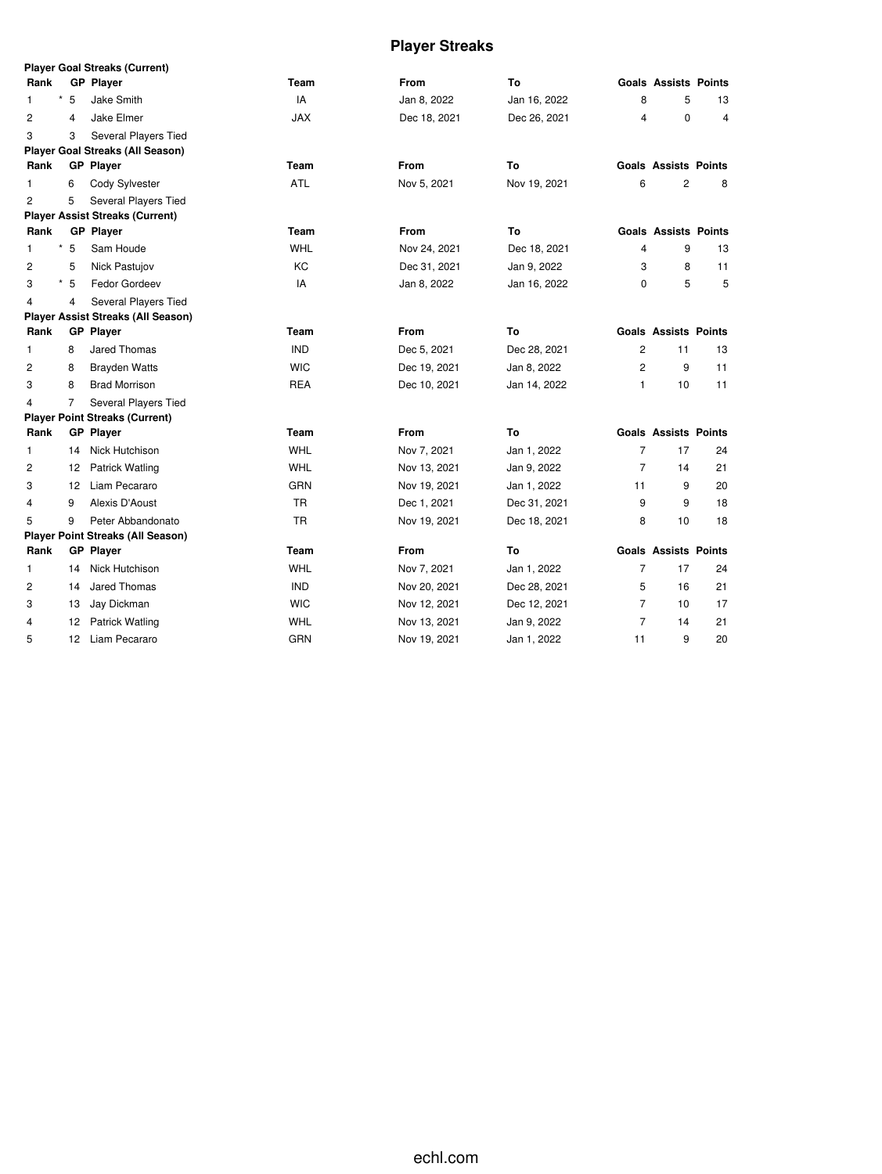# **Player Streaks**

|                |                | Player Goal Streaks (Current)             |            |              |              |                |                             |                |
|----------------|----------------|-------------------------------------------|------------|--------------|--------------|----------------|-----------------------------|----------------|
| Rank           |                | <b>GP Player</b>                          | Team       | <b>From</b>  | To           |                | <b>Goals Assists Points</b> |                |
| $\star$<br>1   | 5              | Jake Smith                                | IA         | Jan 8, 2022  | Jan 16, 2022 | 8              | 5                           | 13             |
| $\overline{2}$ | 4              | Jake Elmer                                | <b>JAX</b> | Dec 18, 2021 | Dec 26, 2021 | 4              | $\mathbf 0$                 | $\overline{4}$ |
| 3              | 3              | Several Players Tied                      |            |              |              |                |                             |                |
|                |                | <b>Player Goal Streaks (All Season)</b>   |            |              |              |                |                             |                |
| Rank           |                | <b>GP</b> Player                          | Team       | <b>From</b>  | To           |                | <b>Goals Assists Points</b> |                |
| 1              | 6              | Cody Sylvester                            | ATL        | Nov 5, 2021  | Nov 19, 2021 | 6              | 2                           | 8              |
| $\overline{c}$ | 5              | Several Players Tied                      |            |              |              |                |                             |                |
|                |                | <b>Player Assist Streaks (Current)</b>    |            |              |              |                |                             |                |
| Rank           |                | <b>GP Player</b>                          | Team       | From         | To           |                | <b>Goals Assists Points</b> |                |
| 1              | $*5$           | Sam Houde                                 | <b>WHL</b> | Nov 24, 2021 | Dec 18, 2021 | 4              | 9                           | 13             |
| 2              | 5              | Nick Pastujov                             | KC         | Dec 31, 2021 | Jan 9, 2022  | 3              | 8                           | 11             |
| $\star$<br>3   | 5              | Fedor Gordeev                             | IA         | Jan 8, 2022  | Jan 16, 2022 | $\Omega$       | 5                           | 5              |
| 4              | 4              | Several Players Tied                      |            |              |              |                |                             |                |
|                |                | <b>Player Assist Streaks (All Season)</b> |            |              |              |                |                             |                |
| Rank           |                | <b>GP</b> Player                          | Team       | <b>From</b>  | To           |                | <b>Goals Assists Points</b> |                |
| $\mathbf{1}$   | 8              | Jared Thomas                              | <b>IND</b> | Dec 5, 2021  | Dec 28, 2021 | $\overline{2}$ | 11                          | 13             |
| 2              | 8              | <b>Brayden Watts</b>                      | <b>WIC</b> | Dec 19, 2021 | Jan 8, 2022  | 2              | 9                           | 11             |
| 3              | 8              | <b>Brad Morrison</b>                      | <b>REA</b> | Dec 10, 2021 | Jan 14, 2022 | 1              | 10                          | 11             |
| 4              | $\overline{7}$ | Several Players Tied                      |            |              |              |                |                             |                |
|                |                | <b>Player Point Streaks (Current)</b>     |            |              |              |                |                             |                |
| Rank           |                | <b>GP</b> Player                          | Team       | <b>From</b>  | To           |                | <b>Goals Assists Points</b> |                |
| 1              | 14             | Nick Hutchison                            | <b>WHL</b> | Nov 7, 2021  | Jan 1, 2022  | $\overline{7}$ | 17                          | 24             |
| $\overline{c}$ | 12             | <b>Patrick Watling</b>                    | <b>WHL</b> | Nov 13, 2021 | Jan 9, 2022  | $\overline{7}$ | 14                          | 21             |
| 3              | 12             | Liam Pecararo                             | <b>GRN</b> | Nov 19, 2021 | Jan 1, 2022  | 11             | 9                           | 20             |
| 4              | 9              | Alexis D'Aoust                            | <b>TR</b>  | Dec 1, 2021  | Dec 31, 2021 | 9              | 9                           | 18             |
| 5              | 9              | Peter Abbandonato                         | <b>TR</b>  | Nov 19, 2021 | Dec 18, 2021 | 8              | 10                          | 18             |
|                |                | <b>Player Point Streaks (All Season)</b>  |            |              |              |                |                             |                |
| Rank           |                | <b>GP</b> Player                          | Team       | <b>From</b>  | To           |                | <b>Goals Assists Points</b> |                |
| 1              | 14             | Nick Hutchison                            | <b>WHL</b> | Nov 7, 2021  | Jan 1, 2022  | $\overline{7}$ | 17                          | 24             |
| 2              | 14             | Jared Thomas                              | <b>IND</b> | Nov 20, 2021 | Dec 28, 2021 | 5              | 16                          | 21             |
| 3              | 13             | Jay Dickman                               | <b>WIC</b> | Nov 12, 2021 | Dec 12, 2021 | $\overline{7}$ | 10                          | 17             |
| 4              | 12             | Patrick Watling                           | WHL        | Nov 13, 2021 | Jan 9, 2022  | $\overline{7}$ | 14                          | 21             |
| 5              | 12             | Liam Pecararo                             | GRN        | Nov 19, 2021 | Jan 1, 2022  | 11             | 9                           | 20             |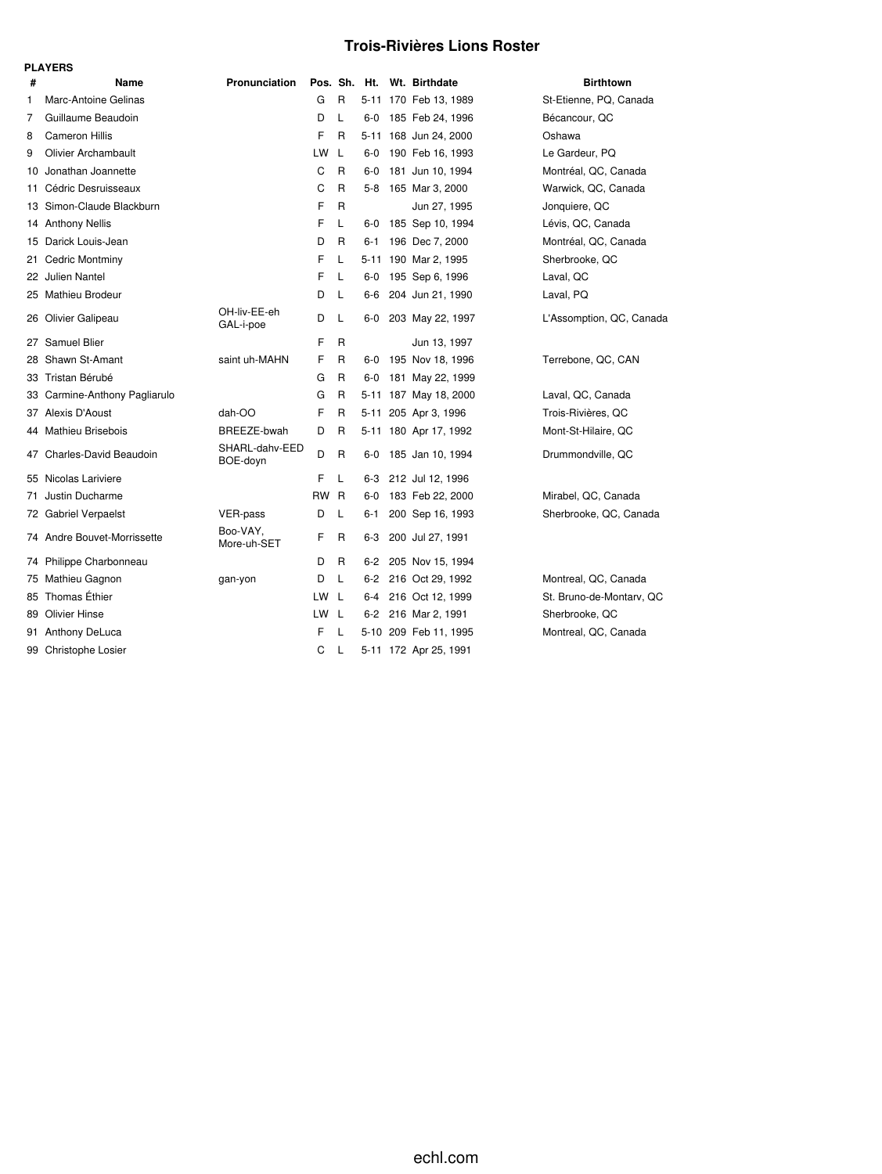## **Trois-Rivières Lions Roster**

|    | <b>PLAYERS</b>                |                            |           |              |       |  |                            |                          |  |  |  |  |
|----|-------------------------------|----------------------------|-----------|--------------|-------|--|----------------------------|--------------------------|--|--|--|--|
| #  | Name                          | Pronunciation              |           |              |       |  | Pos. Sh. Ht. Wt. Birthdate | <b>Birthtown</b>         |  |  |  |  |
| 1  | Marc-Antoine Gelinas          |                            | G         | R            |       |  | 5-11 170 Feb 13, 1989      | St-Etienne, PQ, Canada   |  |  |  |  |
| 7  | Guillaume Beaudoin            |                            | D         | L            | $6-0$ |  | 185 Feb 24, 1996           | Bécancour, QC            |  |  |  |  |
| 8  | <b>Cameron Hillis</b>         |                            | F         | R            |       |  | 5-11 168 Jun 24, 2000      | Oshawa                   |  |  |  |  |
| 9  | <b>Olivier Archambault</b>    |                            | LW        | L            | $6-0$ |  | 190 Feb 16, 1993           | Le Gardeur, PQ           |  |  |  |  |
| 10 | Jonathan Joannette            |                            | C         | $\mathsf{R}$ | 6-0   |  | 181 Jun 10, 1994           | Montréal, QC, Canada     |  |  |  |  |
| 11 | Cédric Desruisseaux           |                            | C         | R            | 5-8   |  | 165 Mar 3, 2000            | Warwick, QC, Canada      |  |  |  |  |
| 13 | Simon-Claude Blackburn        |                            | F         | R            |       |  | Jun 27, 1995               | Jonquiere, QC            |  |  |  |  |
|    | 14 Anthony Nellis             |                            | F         | L            | $6-0$ |  | 185 Sep 10, 1994           | Lévis, QC, Canada        |  |  |  |  |
| 15 | Darick Louis-Jean             |                            | D         | R            | 6-1   |  | 196 Dec 7, 2000            | Montréal, QC, Canada     |  |  |  |  |
| 21 | Cedric Montminy               |                            | F         | L            |       |  | 5-11 190 Mar 2, 1995       | Sherbrooke, QC           |  |  |  |  |
|    | 22 Julien Nantel              |                            | F         | L            | 6-0   |  | 195 Sep 6, 1996            | Laval, QC                |  |  |  |  |
|    | 25 Mathieu Brodeur            |                            | D         | L            | 6-6   |  | 204 Jun 21, 1990           | Laval, PQ                |  |  |  |  |
|    | 26 Olivier Galipeau           | OH-liv-EE-eh<br>GAL-i-poe  | D         | L            | 6-0   |  | 203 May 22, 1997           | L'Assomption, QC, Canada |  |  |  |  |
| 27 | Samuel Blier                  |                            | F         | R            |       |  | Jun 13, 1997               |                          |  |  |  |  |
| 28 | Shawn St-Amant                | saint uh-MAHN              | F         | R            | $6-0$ |  | 195 Nov 18, 1996           | Terrebone, QC, CAN       |  |  |  |  |
|    | 33 Tristan Bérubé             |                            | G         | R            | 6-0   |  | 181 May 22, 1999           |                          |  |  |  |  |
|    | 33 Carmine-Anthony Pagliarulo |                            | G         | R            |       |  | 5-11 187 May 18, 2000      | Laval, QC, Canada        |  |  |  |  |
|    | 37 Alexis D'Aoust             | dah-OO                     | F         | R            |       |  | 5-11 205 Apr 3, 1996       | Trois-Rivières, QC       |  |  |  |  |
|    | 44 Mathieu Brisebois          | BREEZE-bwah                | D         | R            |       |  | 5-11 180 Apr 17, 1992      | Mont-St-Hilaire, QC      |  |  |  |  |
|    | 47 Charles-David Beaudoin     | SHARL-dahv-EED<br>BOE-doyn | D         | R            | 6-0   |  | 185 Jan 10, 1994           | Drummondville, QC        |  |  |  |  |
|    | 55 Nicolas Lariviere          |                            | F         | L            | 6-3   |  | 212 Jul 12, 1996           |                          |  |  |  |  |
| 71 | Justin Ducharme               |                            | <b>RW</b> | $\mathsf{R}$ | $6-0$ |  | 183 Feb 22, 2000           | Mirabel, QC, Canada      |  |  |  |  |
|    | 72 Gabriel Verpaelst          | VER-pass                   | D         | L            | 6-1   |  | 200 Sep 16, 1993           | Sherbrooke, QC, Canada   |  |  |  |  |
| 74 | Andre Bouvet-Morrissette      | Boo-VAY,<br>More-uh-SET    | F         | R            | 6-3   |  | 200 Jul 27, 1991           |                          |  |  |  |  |
| 74 | Philippe Charbonneau          |                            | D         | R            | 6-2   |  | 205 Nov 15, 1994           |                          |  |  |  |  |
|    | 75 Mathieu Gagnon             | gan-yon                    | D         | L            |       |  | 6-2 216 Oct 29, 1992       | Montreal, QC, Canada     |  |  |  |  |
|    | 85 Thomas Éthier              |                            | <b>LW</b> | - L          |       |  | 6-4 216 Oct 12, 1999       | St. Bruno-de-Montarv, QC |  |  |  |  |
|    | 89 Olivier Hinse              |                            | LW L      |              |       |  | 6-2 216 Mar 2, 1991        | Sherbrooke, QC           |  |  |  |  |
| 91 | Anthony DeLuca                |                            | F         | L            |       |  | 5-10 209 Feb 11, 1995      | Montreal, QC, Canada     |  |  |  |  |
|    | 99 Christophe Losier          |                            | C         | L            |       |  | 5-11 172 Apr 25, 1991      |                          |  |  |  |  |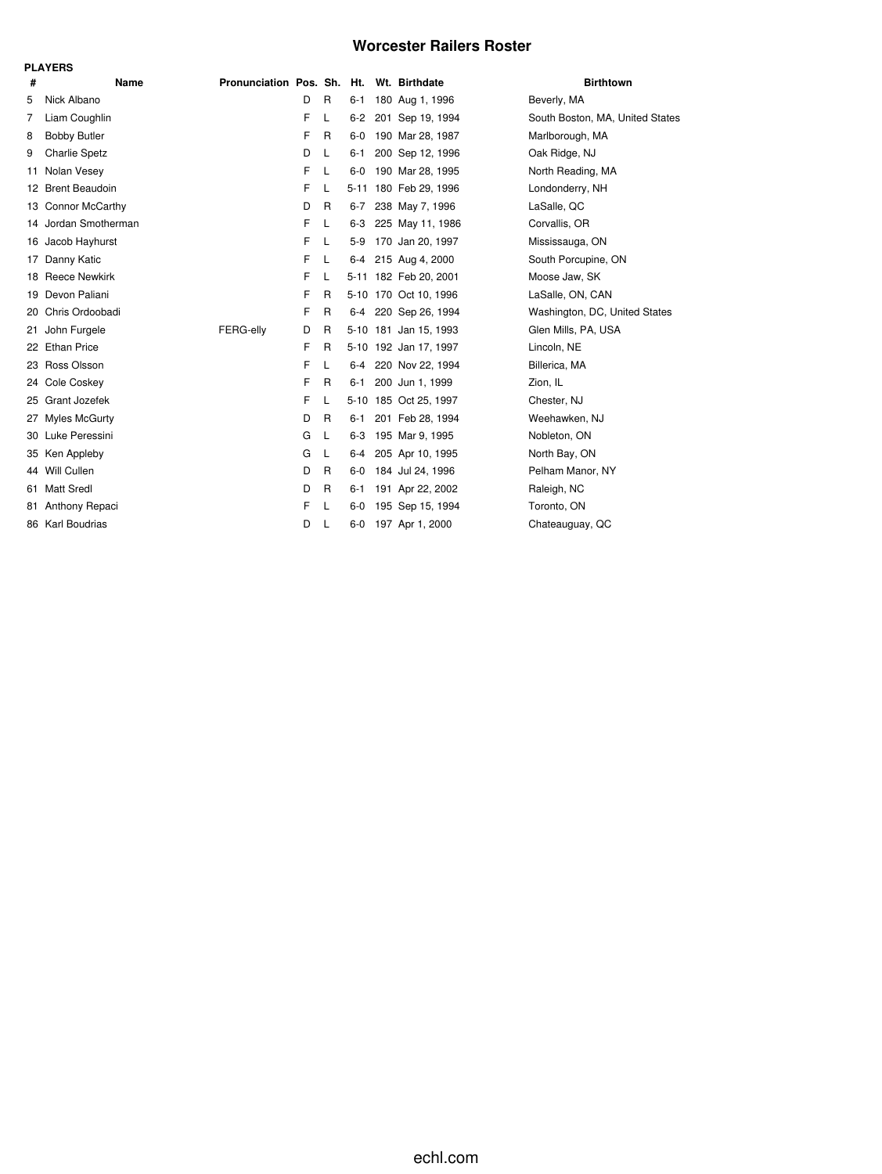### **Worcester Railers Roster**

|     | <b>PLAYERS</b>        |                            |   |   |         |  |                       |                                 |  |  |  |  |  |  |
|-----|-----------------------|----------------------------|---|---|---------|--|-----------------------|---------------------------------|--|--|--|--|--|--|
| #   | Name                  | Pronunciation Pos. Sh. Ht. |   |   |         |  | Wt. Birthdate         | <b>Birthtown</b>                |  |  |  |  |  |  |
| 5   | Nick Albano           |                            | D | R | $6 - 1$ |  | 180 Aug 1, 1996       | Beverly, MA                     |  |  |  |  |  |  |
| 7   | Liam Coughlin         |                            | F | L | $6-2$   |  | 201 Sep 19, 1994      | South Boston, MA, United States |  |  |  |  |  |  |
| 8   | <b>Bobby Butler</b>   |                            | F | R | $6-0$   |  | 190 Mar 28, 1987      | Marlborough, MA                 |  |  |  |  |  |  |
| 9   | <b>Charlie Spetz</b>  |                            | D | L | $6 - 1$ |  | 200 Sep 12, 1996      | Oak Ridge, NJ                   |  |  |  |  |  |  |
| 11  | Nolan Vesey           |                            | F | L | $6-0$   |  | 190 Mar 28, 1995      | North Reading, MA               |  |  |  |  |  |  |
| 12. | <b>Brent Beaudoin</b> |                            | F | L |         |  | 5-11 180 Feb 29, 1996 | Londonderry, NH                 |  |  |  |  |  |  |
|     | 13 Connor McCarthy    |                            | D | R | $6 - 7$ |  | 238 May 7, 1996       | LaSalle, QC                     |  |  |  |  |  |  |
|     | 14 Jordan Smotherman  |                            | F | L |         |  | 6-3 225 May 11, 1986  | Corvallis, OR                   |  |  |  |  |  |  |
|     | 16 Jacob Hayhurst     |                            | F | L |         |  | 5-9 170 Jan 20, 1997  | Mississauga, ON                 |  |  |  |  |  |  |
| 17  | Danny Katic           |                            | F | L | $6 - 4$ |  | 215 Aug 4, 2000       | South Porcupine, ON             |  |  |  |  |  |  |
|     | 18 Reece Newkirk      |                            | F | L |         |  | 5-11 182 Feb 20, 2001 | Moose Jaw, SK                   |  |  |  |  |  |  |
| 19  | Devon Paliani         |                            | F | R |         |  | 5-10 170 Oct 10, 1996 | LaSalle, ON, CAN                |  |  |  |  |  |  |
| 20  | Chris Ordoobadi       |                            | F | R |         |  | 6-4 220 Sep 26, 1994  | Washington, DC, United States   |  |  |  |  |  |  |
| 21  | John Furgele          | FERG-elly                  | D | R |         |  | 5-10 181 Jan 15, 1993 | Glen Mills, PA, USA             |  |  |  |  |  |  |
| 22. | <b>Ethan Price</b>    |                            | F | R |         |  | 5-10 192 Jan 17, 1997 | Lincoln, NE                     |  |  |  |  |  |  |
|     | 23 Ross Olsson        |                            | F | L |         |  | 6-4 220 Nov 22, 1994  | Billerica, MA                   |  |  |  |  |  |  |
| 24  | Cole Coskey           |                            | F | R | $6 - 1$ |  | 200 Jun 1, 1999       | Zion, IL                        |  |  |  |  |  |  |
| 25. | Grant Jozefek         |                            | F | L |         |  | 5-10 185 Oct 25, 1997 | Chester, NJ                     |  |  |  |  |  |  |
| 27  | <b>Myles McGurty</b>  |                            | D | R | 6-1     |  | 201 Feb 28, 1994      | Weehawken, NJ                   |  |  |  |  |  |  |
| 30  | Luke Peressini        |                            | G | L | $6 - 3$ |  | 195 Mar 9, 1995       | Nobleton, ON                    |  |  |  |  |  |  |
|     | 35 Ken Appleby        |                            | G | L | 6-4     |  | 205 Apr 10, 1995      | North Bay, ON                   |  |  |  |  |  |  |
|     | 44 Will Cullen        |                            | D | R | $6-0$   |  | 184 Jul 24, 1996      | Pelham Manor, NY                |  |  |  |  |  |  |
| 61  | <b>Matt Sredl</b>     |                            | D | R | $6 - 1$ |  | 191 Apr 22, 2002      | Raleigh, NC                     |  |  |  |  |  |  |
| 81  | Anthony Repaci        |                            | F | L | $6-0$   |  | 195 Sep 15, 1994      | Toronto, ON                     |  |  |  |  |  |  |
|     | 86 Karl Boudrias      |                            | D | L | $6-0$   |  | 197 Apr 1, 2000       | Chateauguay, QC                 |  |  |  |  |  |  |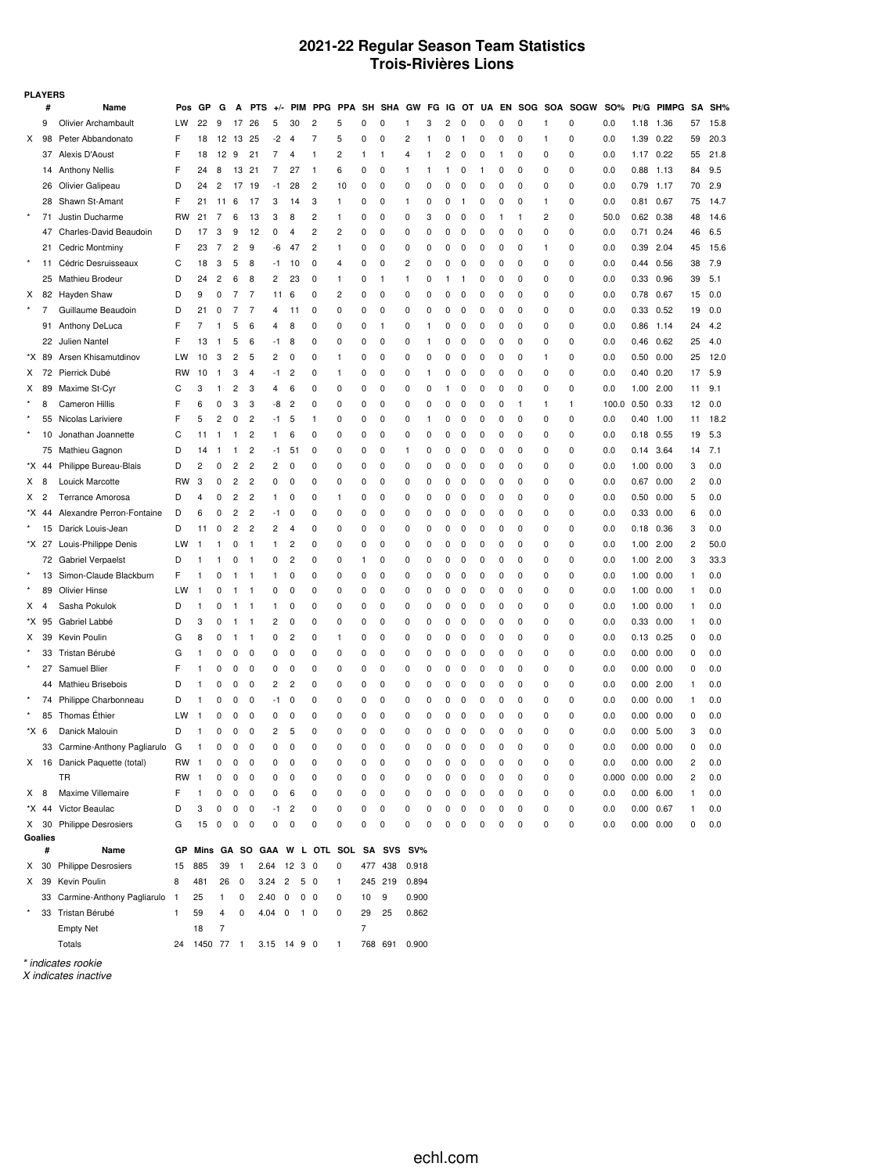### **2021-22 Regular Season Team Statistics Trois-Rivières Lions**

| <b>PLAYERS</b> |         |                                 |              |              |                |                |                         |                         |                |                                       |            |             |               |          |              |   |              |          |          |              |              |                          |                       |                  |            |    |      |
|----------------|---------|---------------------------------|--------------|--------------|----------------|----------------|-------------------------|-------------------------|----------------|---------------------------------------|------------|-------------|---------------|----------|--------------|---|--------------|----------|----------|--------------|--------------|--------------------------|-----------------------|------------------|------------|----|------|
|                | #       | Name                            | Pos          | GР           | G              | A              | <b>PTS</b>              | $+/-$                   |                | PIM PPG                               | <b>PPA</b> |             | SH SHA GW     |          | FG           |   |              |          |          |              |              | IG OT UA EN SOG SOA SOGW | <b>SO%</b>            |                  | Pt/G PIMPG | SA | SH%  |
|                | 9       | <b>Olivier Archambault</b>      | LW           | 22           | 9              | 17             | 26                      | 5                       | 30             | 2                                     | 5          | 0           | 0             | 1        | 3            | 2 | 0            | 0        | 0        | 0            | 1            | 0                        | 0.0                   | 1.18 1.36        |            | 57 | 15.8 |
| X              | 98      | Peter Abbandonato               | F            | 18           | 12             | 13             | 25                      | -2                      | $\overline{4}$ | 7                                     | 5          | 0           | 0             | 2        | 1            | 0 | $\mathbf{1}$ | 0        | 0        | 0            | 1            | 0                        | 0.0                   | 1.39             | 0.22       | 59 | 20.3 |
|                | 37      | Alexis D'Aoust                  | F            | 18           | 12             | 9              | 21                      | $\overline{7}$          | 4              | 1                                     | 2          | 1           | 1             | 4        | $\mathbf{1}$ | 2 | 0            | 0        | 1        | 0            | 0            | 0                        | 0.0                   | 1.17 0.22        |            | 55 | 21.8 |
|                |         | 14 Anthony Nellis               | F            | 24           | 8              | 13             | 21                      | 7                       | 27             | $\mathbf{1}$                          | 6          | 0           | 0             | 1        | 1            | 1 | 0            | 1        | 0        | 0            | 0            | 0                        | 0.0                   | $0.88$ 1.13      |            | 84 | 9.5  |
|                | 26      | Olivier Galipeau                | D            | 24           | 2              | 17             | 19                      | -1                      | 28             | 2                                     | 10         | 0           | 0             | $\Omega$ | 0            | 0 | 0            | 0        | 0        | 0            | 0            | 0                        | 0.0                   | 0.79 1.17        |            | 70 | 2.9  |
|                |         | 28 Shawn St-Amant               | F            | 21           | 11             | 6              | 17                      | 3                       | 14             | 3                                     | 1          | 0           | $\mathbf 0$   | 1        | 0            | 0 | -1           | 0        | 0        | 0            | $\mathbf{1}$ | 0                        | 0.0                   | 0.81             | 0.67       | 75 | 14.7 |
| $\star$        | 71      | Justin Ducharme                 | <b>RW</b>    | 21           | 7              | 6              | 13                      | 3                       | 8              | 2                                     | 1          | 0           | 0             | 0        | 3            | 0 | 0            | 0        | 1        | $\mathbf{1}$ | 2            | 0                        | 50.0                  | $0.62$ $0.38$    |            | 48 | 14.6 |
|                | 47      | Charles-David Beaudoin          | D            | 17           | 3              | 9              | 12                      | 0                       | 4              | 2                                     | 2          | 0           | 0             | 0        | 0            | 0 | 0            | 0        | 0        | 0            | 0            | 0                        | 0.0                   | $0.71$ 0.24      |            | 46 | 6.5  |
|                | 21      | <b>Cedric Montminy</b>          | F            | 23           | 7              | 2              | 9                       | -6                      | 47             | 2                                     | 1          | 0           | 0             | 0        | 0            | 0 | 0            | 0        | 0        | 0            | 1            | 0                        | 0.0                   | 0.39             | 2.04       | 45 | 15.6 |
| $\star$        | 11      | Cédric Desruisseaux             | C            | 18           | 3              | 5              | 8                       | -1                      | 10             | 0                                     | 4          | 0           | 0             | 2        | 0            | 0 | 0            | 0        | 0        | 0            | 0            | 0                        | 0.0                   | 0.44             | 0.56       | 38 | 7.9  |
|                | 25      | Mathieu Brodeur                 | D            | 24           | $\overline{c}$ | 6              | 8                       | 2                       | 23             | 0                                     | 1          | 0           | $\mathbf{1}$  | 1        | 0            | 1 | -1           | 0        | 0        | 0            | 0            | 0                        | 0.0                   | 0.33 0.96        |            | 39 | 5.1  |
| X              |         | 82 Hayden Shaw                  | D            | 9            | 0              | 7              | 7                       | 11                      | 6              | 0                                     | 2          | 0           | 0             | 0        | 0            | 0 | 0            | 0        | 0        | 0            | 0            | 0                        | 0.0                   | 0.78 0.67        |            | 15 | 0.0  |
|                | 7       | Guillaume Beaudoin              | D            | 21           | 0              | 7              | 7                       | 4                       | 11             | 0                                     | 0          | 0           | 0             | 0        | 0            | 0 | 0            | 0        | 0        | 0            | 0            | 0                        | 0.0                   | 0.33 0.52        |            | 19 | 0.0  |
|                | 91      | Anthony DeLuca                  | F            | 7            | $\mathbf{1}$   | 5              | 6                       | $\overline{4}$          | 8              | 0                                     | 0          | 0           | -1            | 0        | 1            | 0 | 0            | 0        | 0        | 0            | 0            | 0                        | 0.0                   | $0.86$ 1.14      |            | 24 | 4.2  |
|                | 22      | Julien Nantel                   | F            | 13           | $\mathbf{1}$   | 5              | 6                       | -1                      | 8              | 0                                     | 0          | 0           | 0             | 0        | $\mathbf{1}$ | 0 | 0            | 0        | 0        | 0            | 0            | 0                        | 0.0                   | $0.46$ $0.62$    |            | 25 | 4.0  |
| *X             | 89      | Arsen Khisamutdinov             | LW           | 10           | 3              | 2              | 5                       | 2                       | 0              | 0                                     | 1          | 0           | 0             | 0        | 0            | 0 | 0            | 0        | 0        | 0            | 1            | 0                        | 0.0                   | $0.50$ $0.00$    |            | 25 | 12.0 |
| x              | 72      | Pierrick Dubé                   | <b>RW</b>    | 10           | $\mathbf{1}$   | 3              | $\overline{4}$          | $-1$                    | $\overline{c}$ | 0                                     | 1          | 0           | 0             | 0        | $\mathbf{1}$ | 0 | 0            | 0        | 0        | 0            | 0            | 0                        | 0.0                   | $0.40$ $0.20$    |            | 17 | 5.9  |
| x              | 89      | Maxime St-Cyr                   | C            | 3            | $\mathbf{1}$   | 2              | 3                       | $\overline{4}$          | 6              | 0                                     | 0          | 0           | 0             | 0        | 0            | 1 | 0            | 0        | 0        | 0            | 0            | 0                        | 0.0                   | 1.00 2.00        |            | 11 | 9.1  |
|                | 8       | <b>Cameron Hillis</b>           | F            | 6            | 0              | 3              | 3                       | -8                      | $\overline{c}$ | 0                                     | 0          | 0           | 0             | 0        | 0            | 0 | 0            | 0        | 0        | $\mathbf{1}$ | 1            | 1                        | 100.0                 | 0.50             | 0.33       | 12 | 0.0  |
|                | 55      | Nicolas Lariviere               | F            | 5            | 2              | 0              | $\overline{2}$          | -1                      | 5              | $\mathbf{1}$                          | 0          | 0           | 0             | 0        | 1            | 0 | 0            | 0        | 0        | 0            | 0            | 0                        | 0.0                   | $0.40$ 1.00      |            | 11 | 18.2 |
|                | 10      | Jonathan Joannette              | C            | 11           | $\mathbf{1}$   | $\mathbf{1}$   | $\overline{2}$          | 1                       | 6              | 0                                     | 0          | 0           | 0             | 0        | 0            | 0 | 0            | 0        | 0        | 0            | 0            | 0                        | 0.0                   | $0.18$ 0.55      |            | 19 | 5.3  |
|                | 75      | Mathieu Gagnon                  | D            | 14           | $\mathbf{1}$   | $\mathbf{1}$   | $\overline{c}$          | -1                      | 51             | 0                                     | 0          | 0           | 0             | 1        | 0            | 0 | 0            | 0        | 0        | 0            | 0            | 0                        | 0.0                   | 0.14 3.64        |            | 14 | 7.1  |
| *X             | 44      | Philippe Bureau-Blais           | D            | 2            | O              | 2              | $\overline{c}$          | 2                       | 0              | 0                                     | 0          | 0           | 0             | 0        | 0            | 0 | 0            | 0        | 0        | 0            | 0            | 0                        | 0.0                   | 1.00             | 0.00       | 3  | 0.0  |
| X              | 8       | Louick Marcotte                 | <b>RW</b>    | 3            | 0              | 2              | $\overline{c}$          | 0                       | 0              | 0                                     | 0          | 0           | 0             | 0        | 0            | 0 | 0            | 0        | 0        | 0            | 0            | 0                        | 0.0                   | $0.67$ 0.00      |            | 2  | 0.0  |
| X              | 2       | <b>Terrance Amorosa</b>         | D            | 4            | 0              | 2              | $\overline{2}$          | 1                       | 0              | 0                                     | 1          | 0           | 0             | 0        | 0            | 0 | 0            | 0        | 0        | 0            | 0            | 0                        | 0.0                   | 0.50             | 0.00       | 5  | 0.0  |
| *X             | 44      | Alexandre Perron-Fontaine       | D            | 6            | 0              | 2              | $\overline{c}$          | -1                      | 0              | 0                                     | 0          | 0           | 0             | 0        | 0            | 0 | 0            | 0        | 0        | 0            | 0            | 0                        | 0.0                   | $0.33$ $0.00$    |            | 6  | 0.0  |
|                | 15      | Darick Louis-Jean               | D            | 11           | 0              | 2              | $\overline{\mathbf{c}}$ | 2                       | 4              | 0                                     | 0          | 0           | 0             | 0        | 0            | 0 | 0            | 0        | 0        | 0            | 0            | 0                        | 0.0                   | 0.18             | 0.36       | 3  | 0.0  |
|                | *X 27   | Louis-Philippe Denis            | LW           | $\mathbf{1}$ | -1             | 0              | $\mathbf{1}$            | 1                       | 2              | 0                                     | 0          | 0           | 0             | 0        | 0            | 0 | 0            | 0        | 0        | 0            | 0            | 0                        | 0.0                   | 1.00 2.00        |            | 2  | 50.0 |
|                |         | 72 Gabriel Verpaelst            | D            | $\mathbf{1}$ | $\mathbf{1}$   | 0              | $\mathbf{1}$            | 0                       | $\overline{c}$ | 0                                     | 0          | 1           | 0             | 0        | 0            | 0 | 0            | 0        | 0        | 0            | 0            | 0                        | 0.0                   | 1.00             | 2.00       | 3  | 33.3 |
|                | 13      | Simon-Claude Blackburn          | F            | 1            | $\Omega$       | -1             | $\mathbf{1}$            | 1                       | 0              | 0                                     | 0          | 0           | 0             | 0        | 0            | 0 | 0            | 0        | 0        | 0            | 0            | 0                        | 0.0                   | 1.00             | 0.00       | 1  | 0.0  |
|                | 89      | <b>Olivier Hinse</b>            | LW           | $\mathbf{1}$ | 0              | 1              | $\mathbf{1}$            | 0                       | 0              | 0                                     | 0          | 0           | 0             | 0        | 0            | 0 | 0            | 0        | 0        | 0            | 0            | 0                        | 0.0                   | 1.00             | 0.00       | 1  | 0.0  |
| x              | 4       | Sasha Pokulok                   | D            | $\mathbf{1}$ | 0              | 1              | $\mathbf{1}$            | 1                       | 0              | 0                                     | 0          | 0           | 0             | 0        | 0            | 0 | 0            | 0        | 0        | 0            | 0            | 0                        | 0.0                   | $1.00$ $0.00$    |            | 1  | 0.0  |
| *X.            | 95      | Gabriel Labbé                   | D            | 3            | 0              | 1              | $\mathbf{1}$            | 2                       | 0              | 0                                     | 0          | 0           | 0             | 0        | 0            | 0 | 0            | 0        | 0        | 0            | 0            | 0                        | 0.0                   | 0.33 0.00        |            | 1  | 0.0  |
| X              | 39      | Kevin Poulin                    | G            | 8            | $\mathbf 0$    | -1             | $\mathbf{1}$            | 0                       | $\overline{c}$ | 0                                     | 1          | 0           | 0             | 0        | 0            | 0 | 0            | 0        | 0        | 0            | 0            | 0                        | 0.0                   | $0.13$ $0.25$    |            | 0  | 0.0  |
|                | 33      | Tristan Bérubé                  | G            | $\mathbf{1}$ | 0              | 0              | 0                       | 0                       | 0              | 0                                     | 0          | 0           | 0             | 0        | 0            | 0 | 0            | 0        | 0        | 0            | 0            | 0                        | 0.0                   | 0.00             | 0.00       | 0  | 0.0  |
|                | 27      | Samuel Blier                    | E            | $\mathbf{1}$ | 0              | 0              | 0                       | 0                       | 0              | 0                                     | 0          | 0           | 0             | 0        | 0            | 0 | 0            | 0        | 0        | 0            | 0            | 0                        | 0.0                   | 0.00 0.00        |            | 0  | 0.0  |
|                | 44      | Mathieu Brisebois               | D            | $\mathbf{1}$ | 0              | 0              | 0                       | 2                       | $\overline{c}$ | 0                                     | 0          | 0           | 0             | 0        | 0            | 0 | 0            | 0        | 0        | 0            | 0            | 0                        | 0.0                   | 0.00             | 2.00       | 1  | 0.0  |
|                | 74      | Philippe Charbonneau            | D            | 1            | $\Omega$       | 0              | 0                       | $-1$                    | 0              | 0                                     | 0          | 0           | 0             | 0        | 0            | 0 | 0            | 0        | 0        | 0            | 0            | 0                        | 0.0                   | 0.00 0.00        |            | 1  | 0.0  |
|                | 85      | Thomas Éthier                   | LW           | 1            | 0              | 0              | 0                       | 0                       | 0              | 0                                     | 0          | 0           | 0             | 0        | 0            | 0 | 0            | 0        | 0        | 0            | 0            | 0                        | 0.0                   | 0.00             | 0.00       | 0  | 0.0  |
| *X 6           |         | Danick Malouin                  | D            | 1            | 0              | 0              | 0                       | 2                       | 5              | 0                                     | 0          | $\mathbf 0$ | 0             | 0        | 0            | 0 | 0            | 0        | 0        | 0            | 0            | 0                        | 0.0                   | 0.00 5.00        |            | 3  | 0.0  |
|                |         | 33 Carmine-Anthony Pagliarulo   | G            | $\mathbf{1}$ | 0              | 0              | 0                       | 0                       | $\Omega$       | $\Omega$                              | $\Omega$   | $\Omega$    | $\Omega$      | 0        | $\Omega$     | 0 | $\Omega$     | $\Omega$ | $\Omega$ | $\Omega$     | $\Omega$     | $\Omega$                 | 0.0                   | 0.00             | 0.00       | 0  | 0.0  |
|                |         | X 16 Danick Paquette (total)    | RW           | $\mathbf{1}$ | 0              | 0              | 0                       | 0                       | 0              | 0                                     | 0          | 0           | 0             | 0        | 0            | 0 | 0            | 0        | 0        | 0            | 0            | 0                        | 0.0                   | 0.00 0.00        |            | 2  | 0.0  |
|                |         | <b>TR</b>                       | RW           | $\mathbf{1}$ | 0              | 0              | 0                       | 0                       | 0              | 0                                     | 0          | 0           | 0             | 0        | 0            | 0 | 0            | 0        | 0        | 0            | 0            | 0                        | $0.000$ $0.00$ $0.00$ |                  |            | 2  | 0.0  |
| $X$ 8          |         | Maxime Villemaire               | F            | 1            | 0              | 0              | $\overline{\mathbf{0}}$ | 0                       | 6              | 0                                     | 0          | 0           | 0             | 0        | 0            | 0 | 0            | 0        | 0        | 0            | 0            | 0                        | 0.0                   | $0.00\quad 6.00$ |            | 1  | 0.0  |
|                | *X 44   | Victor Beaulac                  | D            | 3            | 0              | $\pmb{0}$      | 0                       | -1                      | 2              | 0                                     | 0          | 0           | 0             | 0        | 0            | 0 | 0            | 0        | 0        | 0            | 0            | 0                        | 0.0                   | 0.00 0.67        |            | 1  | 0.0  |
| X.             | 30      | <b>Philippe Desrosiers</b>      | G            | 15           | 0              | 0              | 0                       | 0                       | 0              | 0                                     | 0          | 0           | 0             | 0        | $\mathbf 0$  | 0 | 0            | 0        | 0        | 0            | 0            | 0                        | 0.0                   | 0.00 0.00        |            | 0  | 0.0  |
|                | Goalies |                                 |              |              |                |                |                         |                         |                |                                       |            |             |               |          |              |   |              |          |          |              |              |                          |                       |                  |            |    |      |
|                | #       | Name                            | GР           |              |                |                |                         |                         |                | Mins GA SO GAA W L OTL SOL SA SVS SV% |            |             |               |          |              |   |              |          |          |              |              |                          |                       |                  |            |    |      |
| X              | 30      | <b>Philippe Desrosiers</b>      | 15           | 885          | 39             | $\overline{1}$ |                         |                         | 2.64 12 3 0    |                                       | 0          |             | 477 438       | 0.918    |              |   |              |          |          |              |              |                          |                       |                  |            |    |      |
|                |         | X 39 Kevin Poulin               | 8            | 481          | 26             | $\mathbf 0$    |                         | $3.24$ 2                | 5 0            |                                       | 1          |             | 245 219       | 0.894    |              |   |              |          |          |              |              |                          |                       |                  |            |    |      |
|                |         | 33 Carmine-Anthony Pagliarulo 1 |              | 25           | 1              | 0              | 2.40                    | $\overline{\mathbf{0}}$ | 0              | 0                                     | 0          | 10          | 9             | 0.900    |              |   |              |          |          |              |              |                          |                       |                  |            |    |      |
|                |         | 33 Tristan Bérubé               | $\mathbf{1}$ | 59           | 4              | 0              |                         | $4.04$ 0                | $1\quad0$      |                                       | 0          | 29          | 25            | 0.862    |              |   |              |          |          |              |              |                          |                       |                  |            |    |      |
|                |         | <b>Empty Net</b>                |              | 18           | $\overline{7}$ |                |                         |                         |                |                                       |            | 7           |               |          |              |   |              |          |          |              |              |                          |                       |                  |            |    |      |
|                |         | Totals                          |              | 24 1450 77 1 |                |                |                         |                         | $3.15$ 14 9 0  |                                       | 1          |             | 768 691 0.900 |          |              |   |              |          |          |              |              |                          |                       |                  |            |    |      |

*\* indicates rookie*

*X indicates inactive*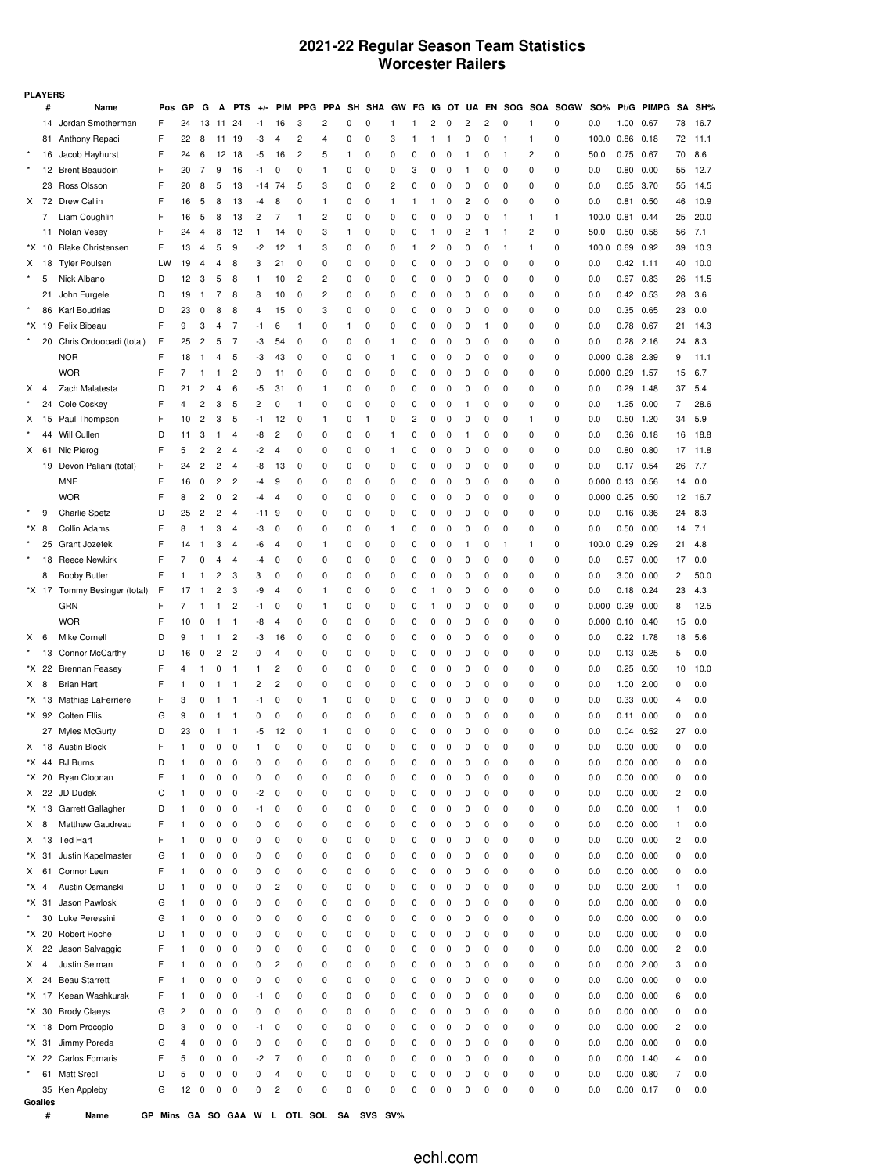## **2021-22 Regular Season Team Statistics Worcester Railers**

| <b>PLAYERS</b> |       |                              |     |    |                |    |            |                |                         |     |            |          |            |          |           |           |          |                         |          |              |          |                    |            |                   |            |          |      |
|----------------|-------|------------------------------|-----|----|----------------|----|------------|----------------|-------------------------|-----|------------|----------|------------|----------|-----------|-----------|----------|-------------------------|----------|--------------|----------|--------------------|------------|-------------------|------------|----------|------|
|                | #     | Name                         | Pos | GP | G              | А  | <b>PTS</b> | $+/-$          | <b>PIM</b>              | PPG | <b>PPA</b> | SH       | <b>SHA</b> | GW       | FG        |           | IG OT    |                         |          |              |          | UA EN SOG SOA SOGW | <b>SO%</b> |                   | Pt/G PIMPG | SΑ       | SH%  |
|                | 14    | Jordan Smotherman            | F   | 24 | 13             | 11 | 24         | -1             | 16                      | 3   | 2          | 0        | 0          | 1        | 1         | 2         | 0        | $\overline{\mathbf{c}}$ | 2        | 0            | 1        | 0                  | 0.0        | 1.00              | 0.67       | 78       | 16.7 |
|                |       | 81 Anthony Repaci            | F   | 22 | 8              | 11 | 19         | -3             | 4                       | 2   | 4          | 0        | 0          | 3        | 1         | 1         | 1        | 0                       | 0        | $\mathbf{1}$ | 1        | 0                  | 100.0      | 0.86              | 0.18       | 72       | 11.1 |
|                | 16    | Jacob Hayhurst               | F   | 24 | 6              | 12 | 18         | -5             | 16                      | 2   | 5          | 1        | 0          | 0        | 0         | 0         | 0        | -1                      | 0        | $\mathbf{1}$ | 2        | 0                  | 50.0       | 0.75              | 0.67       | 70       | 8.6  |
|                |       | 12 Brent Beaudoin            | F   | 20 | 7              | 9  | 16         | -1             | 0                       | 0   | 1          | 0        | 0          | 0        | 3         | 0         | 0        | -1                      | 0        | 0            | 0        | 0                  | 0.0        | 0.80              | 0.00       | 55       | 12.7 |
|                |       | 23 Ross Olsson               | F   | 20 | 8              | 5  | 13         | $-14$ 74       |                         | 5   | 3          | 0        | 0          | 2        | 0         | 0         | 0        | 0                       | 0        | 0            | 0        | 0                  | 0.0        | 0.65 3.70         |            | 55       | 14.5 |
| X.             | 72    | <b>Drew Callin</b>           | F   | 16 | 5              | 8  | 13         | -4             | 8                       | 0   | 1          | 0        | 0          | 1        | 1         | 1         | 0        | 2                       | 0        | 0            | 0        | 0                  | 0.0        | 0.81              | 0.50       | 46       | 10.9 |
|                | 7     | Liam Coughlin                | F   | 16 | 5              | 8  | 13         | 2              | 7                       | 1   | 2          | 0        | 0          | 0        | 0         | 0         | 0        | 0                       | 0        | $\mathbf{1}$ | 1        | 1                  | 100.0      | $0.81$ 0.44       |            | 25       | 20.0 |
|                | 11    | Nolan Vesey                  | F   | 24 | 4              | 8  | 12         | 1              | 14                      | 0   | 3          | 1        | 0          | 0        | 0         | 1         | 0        | 2                       | 1        | $\mathbf{1}$ | 2        | 0                  | 50.0       | 0.50              | 0.58       | 56       | 7.1  |
|                | *X 10 | <b>Blake Christensen</b>     | F   | 13 | $\overline{4}$ | 5  | 9          | $-2$           | 12                      | 1   | 3          | 0        | 0          | 0        | 1         | 2         | 0        | 0                       | 0        | $\mathbf{1}$ | 1        | 0                  | 100.0      | 0.69              | 0.92       | 39       | 10.3 |
| X              | 18    | <b>Tyler Poulsen</b>         | LW  | 19 | 4              | 4  | 8          | 3              | 21                      | 0   | 0          | 0        | 0          | 0        | 0         | 0         | 0        | 0                       | 0        | 0            | 0        | 0                  | 0.0        | $0.42$ 1.11       |            | 40       | 10.0 |
|                | 5     | Nick Albano                  | D   | 12 | 3              | 5  | 8          | 1              | 10                      | 2   | 2          | 0        | 0          | 0        | 0         | 0         | 0        | 0                       | 0        | 0            | 0        | 0                  | 0.0        | 0.67 0.83         |            | 26       | 11.5 |
|                | 21    | John Furgele                 | D   | 19 | -1             | 7  | 8          | 8              | 10                      | 0   | 2          | 0        | 0          | 0        | 0         | 0         | 0        | 0                       | 0        | 0            | 0        | 0                  | 0.0        | $0.42$ 0.53       |            | 28       | 3.6  |
|                | 86    | Karl Boudrias                | D   | 23 | 0              | 8  | 8          | 4              | 15                      | 0   | 3          | 0        | 0          | 0        | 0         | 0         | 0        | 0                       | 0        | 0            | 0        | 0                  | 0.0        | 0.35 0.65         |            | 23       | 0.0  |
|                | *X 19 | Felix Bibeau                 | F   | 9  | 3              | 4  | 7          | -1             | 6                       | 1   | 0          | 1        | 0          | 0        | 0         | 0         | 0        | 0                       | 1        | 0            | 0        | 0                  | 0.0        | 0.78 0.67         |            | 21       | 14.3 |
|                | 20    | Chris Ordoobadi (total)      | F   | 25 | 2              | 5  | 7          | -3             | 54                      | 0   | 0          | 0        | 0          | 1        | 0         | 0         | 0        | 0                       | 0        | 0            | 0        | 0                  | 0.0        | $0.28$ 2.16       |            | 24       | 8.3  |
|                |       | <b>NOR</b>                   | F   | 18 | -1             | 4  | 5          | -3             | 43                      | 0   | 0          | 0        | 0          | 1        | 0         | 0         | 0        | 0                       | 0        | 0            | 0        | 0                  | 0.000      | 0.28              | 2.39       | 9        | 11.1 |
|                |       | <b>WOR</b>                   | F   | 7  | 1              | -1 | 2          | 0              | 11                      | 0   | 0          | 0        | 0          | 0        | 0         | 0         | 0        | 0                       | 0        | 0            | 0        | 0                  | 0.000      | 0.29              | 1.57       | 15       | 6.7  |
| x              | 4     | Zach Malatesta               | D   | 21 | 2              | 4  | 6          | -5             | 31                      | 0   | 1          | 0        | 0          | 0        | 0         | 0         | 0        | 0                       | 0        | 0            | 0        | 0                  | 0.0        | 0.29              | 1.48       | 37       | 5.4  |
|                | 24    | Cole Coskey                  | F   | 4  | 2              | 3  | 5          | $\overline{c}$ | 0                       | 1   | 0          | 0        | 0          | 0        | 0         | 0         | 0        | -1                      | 0        | 0            | 0        | 0                  | 0.0        | 1.25              | 0.00       | 7        | 28.6 |
| X              |       | 15 Paul Thompson             | F   | 10 | $\overline{c}$ | 3  | 5          | -1             | 12                      | 0   | 1          | 0        | 1          | 0        | 2         | 0         | 0        | 0                       | C        | 0            | 1        | 0                  | 0.0        | 0.50              | 1.20       | 34       | 5.9  |
|                | 44    | Will Cullen                  | D   | 11 | 3              | -1 | 4          | -8             | 2                       | 0   | 0          | 0        | 0          | 1        | $\pmb{0}$ | 0         | 0        | -1                      | 0        | 0            | 0        | 0                  | 0.0        | $0.36$ 0.18       |            | 16       | 18.8 |
| X.             | 61    | Nic Pierog                   | F   | 5  | 2              | 2  | 4          | -2             | 4                       | 0   | 0          | 0        | 0          | 1        | 0         | 0         | 0        | 0                       | 0        | 0            | 0        | 0                  | 0.0        | $0.80$ $0.80$     |            | 17       | 11.8 |
|                |       | 19 Devon Paliani (total)     | F   | 24 | 2              | 2  | 4          | -8             | 13                      | 0   | 0          | 0        | 0          | 0        | 0         | 0         | 0        | 0                       | 0        | 0            | 0        | 0                  | 0.0        | $0.17$ 0.54       |            | 26       | 7.7  |
|                |       | <b>MNE</b>                   | F   | 16 | 0              | 2  | 2          | -4             | 9                       | 0   | 0          | 0        | 0          | 0        | 0         | 0         | 0        | 0                       | 0        | 0            | 0        | 0                  | 0.000      | $0.13$ 0.56       |            | 14       | 0.0  |
|                |       | <b>WOR</b>                   | F   | 8  | 2              | 0  | 2          | -4             | $\overline{4}$          | 0   | 0          | 0        | 0          | 0        | 0         | 0         | 0        | 0                       | 0        | 0            | 0        | 0                  | 0.000      | $0.25$ 0.50       |            | 12       | 16.7 |
|                | 9     | <b>Charlie Spetz</b>         | D   | 25 | $\overline{c}$ | 2  | 4          | $-119$         |                         | 0   | 0          | 0        | 0          | 0        | 0         | 0         | 0        | 0                       | 0        | 0            | 0        | 0                  | 0.0        | $0.16$ 0.36       |            | 24       | 8.3  |
| *X 8           |       | Collin Adams                 | F   | 8  | 1              | 3  | 4          | -3             | 0                       | 0   | 0          | 0        | 0          | 1        | 0         | 0         | 0        | 0                       | 0        | 0            | 0        | 0                  | 0.0        | 0.50              | 0.00       | 14       | 7.1  |
|                | 25    | Grant Jozefek                | F   | 14 | 1              | 3  | 4          | -6             | 4                       | 0   | 1          | 0        | 0          | 0        | 0         | 0         | 0        | -1                      | 0        | $\mathbf{1}$ | 1        | 0                  | 100.0      | 0.29              | 0.29       | 21       | 4.8  |
|                | 18    | <b>Reece Newkirk</b>         | F   | 7  | 0              | 4  | 4          | $-4$           | 0                       | 0   | 0          | 0        | 0          | 0        | 0         | 0         | 0        | 0                       | 0        | 0            | 0        | 0                  | 0.0        | $0.57$ 0.00       |            | 17       | 0.0  |
|                | 8     | <b>Bobby Butler</b>          | F   | 1  | 1              | 2  | 3          | 3              | 0                       | 0   | 0          | 0        | 0          | 0        | 0         | 0         | 0        | 0                       | 0        | 0            | 0        | 0                  | 0.0        | $3.00$ $0.00$     |            | 2        | 50.0 |
|                |       | *X 17 Tommy Besinger (total) | F   | 17 | 1              | 2  | 3          | -9             | $\overline{4}$          | 0   | 1          | 0        | 0          | 0        | 0         | 1         | 0        | 0                       | 0        | 0            | 0        | 0                  | 0.0        | $0.18$ 0.24       |            | 23       | 4.3  |
|                |       | <b>GRN</b>                   | F   | 7  | 1              | 1  | 2          | $-1$           | 0                       | 0   | 1          | 0        | 0          | 0        | 0         | 1         | 0        | 0                       | 0        | 0            | 0        | 0                  | 0.000      | 0.29              | 0.00       | 8        | 12.5 |
|                |       | <b>WOR</b>                   | F   | 10 | 0              | -1 | 1          | -8             | $\overline{4}$          | 0   | 0          | 0        | 0          | 0        | 0         | 0         | 0        | 0                       | 0        | 0            | 0        | 0                  | 0.000      | $0.10 \quad 0.40$ |            | 15       | 0.0  |
| x              | 6     | Mike Cornell                 | D   | 9  | 1              | -1 | 2          | -3             | 16                      | 0   | 0          | 0        | 0          | 0        | 0         | 0         | 0        | 0                       | 0        | 0            | 0        | 0                  | 0.0        | $0.22$ 1.78       |            | 18       | 5.6  |
|                |       | 13 Connor McCarthy           | D   | 16 | 0              | 2  | 2          | 0              | 4                       | 0   | 0          | 0        | 0          | 0        | 0         | 0         | 0        | 0                       | 0        | 0            | 0        | 0                  | 0.0        | $0.13$ $0.25$     |            | 5        | 0.0  |
|                |       | *X 22 Brennan Feasey         | F   | 4  | 1              | 0  | 1          | 1              | $\overline{\mathbf{c}}$ | 0   | 0          | 0        | 0          | 0        | 0         | 0         | 0        | 0                       | 0        | 0            | 0        | 0                  | 0.0        | 0.25              | 0.50       | 10       | 10.0 |
| X.             | 8     | <b>Brian Hart</b>            | F   | 1  | 0              | -1 | -1         | 2              | 2                       | 0   | 0          | 0        | 0          | 0        | 0         | 0         | 0        | 0                       | 0        | 0            | 0        | 0                  | 0.0        | 1.00 2.00         |            | 0        | 0.0  |
|                | *X 13 | Mathias LaFerriere           | F   | 3  | 0              | 1  | 1          | -1             | 0                       | 0   | 1          | 0        | 0          | 0        | 0         | 0         | 0        | 0                       | 0        | 0            | 0        | 0                  | 0.0        | 0.33              | 0.00       | 4        | 0.0  |
|                |       | *X 92 Colten Ellis           | G   | 9  | 0              | -1 | 1          | 0              | 0                       | 0   | 0          | 0        | 0          | 0        | 0         | 0         | 0        | 0                       | 0        | 0            | 0        | 0                  | 0.0        | $0.11$ $0.00$     |            | 0        | 0.0  |
|                |       | 27 Myles McGurty             | D   | 23 | 0              | 1  | 1          | -5             | 12                      | 0   | 1          | 0        | 0          | 0        | 0         | 0         | 0        | 0                       | 0        | 0            | 0        | 0                  | 0.0        | $0.04$ $0.52$     |            | 27       | 0.0  |
|                |       | X 18 Austin Block            | F   | 1  | 0              | 0  | 0          | 1              | 0                       | 0   | 0          | $\Omega$ | $\Omega$   | $\Omega$ | $\Omega$  | $\Omega$  | $\Omega$ | $\Omega$                | $\Omega$ | 0            | $\Omega$ | O                  | 0.0        | 0.00              | 0.00       | $\Omega$ | 0.0  |
|                |       | *X 44 RJ Burns               | D   | 1  | 0              | 0  | 0          | 0              | 0                       | 0   | 0          | 0        | 0          | 0        | 0         | 0         | 0        | 0                       | 0        | 0            | 0        | 0                  | 0.0        | 0.00 0.00         |            | 0        | 0.0  |
|                | *X 20 | Ryan Cloonan                 | F   | 1  | 0              | 0  | 0          | 0              | 0                       | 0   | 0          | 0        | 0          | 0        | 0         | 0         | 0        | 0                       | 0        | 0            | 0        | 0                  | 0.0        | 0.00 0.00         |            | 0        | 0.0  |
| X              | 22    | JD Dudek                     | С   | 1  | 0              | 0  | 0          | $-2$           | 0                       | 0   | 0          | 0        | 0          | 0        | 0         | 0         | 0        | 0                       | 0        | 0            | 0        | 0                  | 0.0        | 0.00 0.00         |            | 2        | 0.0  |
|                |       | *X 13 Garrett Gallagher      | D   | 1  | 0              | 0  | 0          | $-1$           | 0                       | 0   | 0          | 0        | 0          | 0        | 0         | 0         | 0        | 0                       | 0        | 0            | 0        | 0                  | 0.0        | 0.00 0.00         |            | -1       | 0.0  |
| X.             | 8     | Matthew Gaudreau             | F   | 1  | 0              | 0  | 0          | 0              | 0                       | 0   | 0          | 0        | 0          | 0        | 0         | 0         | 0        | 0                       | 0        | 0            | 0        | 0                  | 0.0        | 0.00 0.00         |            | 1        | 0.0  |
| X              | 13    | <b>Ted Hart</b>              | F   | 1  | 0              | 0  | 0          | 0              | 0                       | 0   | 0          | 0        | 0          | 0        | 0         | 0         | 0        | 0                       | 0        | 0            | 0        | 0                  | 0.0        | 0.00 0.00         |            | 2        | 0.0  |
|                | *X 31 | Justin Kapelmaster           | G   | 1  | 0              | 0  | 0          | 0              | 0                       | 0   | 0          | 0        | 0          | 0        | 0         | 0         | 0        | 0                       | 0        | 0            | 0        | 0                  | 0.0        | 0.00              | 0.00       | 0        | 0.0  |
| X.             | 61    | Connor Leen                  | F   | 1  | 0              | 0  | 0          | 0              | 0                       | 0   | 0          | 0        | 0          | 0        | 0         | 0         | 0        | 0                       | 0        | 0            | 0        | 0                  | 0.0        | 0.00 0.00         |            | 0        | 0.0  |
| *X 4           |       | Austin Osmanski              | D   | 1  | 0              | 0  | 0          | 0              | $\overline{\mathbf{c}}$ | 0   | 0          | 0        | 0          | 0        | 0         | 0         | 0        | 0                       | 0        | 0            | 0        | 0                  | 0.0        | $0.00$ 2.00       |            | 1        | 0.0  |
|                | *X 31 | Jason Pawloski               | G   | 1  | 0              | 0  | 0          | 0              | 0                       | 0   | 0          | 0        | 0          | 0        | 0         | 0         | 0        | 0                       | 0        | 0            | 0        | 0                  | 0.0        | 0.00 0.00         |            | 0        | 0.0  |
| $\star$        | 30    | Luke Peressini               | G   | 1  | 0              | 0  | 0          | 0              | 0                       | 0   | 0          | 0        | 0          | 0        | 0         | 0         | 0        | 0                       | 0        | 0            | 0        | 0                  | 0.0        | 0.00 0.00         |            | 0        | 0.0  |
|                | *X 20 | Robert Roche                 | D   | 1  | 0              | 0  | 0          | 0              | 0                       | 0   | 0          | 0        | 0          | 0        | 0         | 0         | 0        | 0                       | 0        | 0            | 0        | 0                  | 0.0        | 0.00 0.00         |            | 0        | 0.0  |
| X.             | 22    | Jason Salvaggio              | F   | 1  | 0              | 0  | 0          | 0              | 0                       | 0   | 0          | 0        | 0          | 0        | 0         | 0         | 0        | 0                       | 0        | 0            | 0        | 0                  | 0.0        | 0.00 0.00         |            | 2        | 0.0  |
| x              | 4     | Justin Selman                | F   | 1  | 0              | 0  | 0          | 0              | $\overline{c}$          | 0   | 0          | 0        | 0          | 0        | 0         | 0         | 0        | 0                       | 0        | 0            | 0        | 0                  | 0.0        | $0.00$ 2.00       |            | 3        | 0.0  |
| x              | 24    | <b>Beau Starrett</b>         | F   | 1  | 0              | 0  | 0          | 0              | 0                       | 0   | 0          | 0        | 0          | 0        | 0         | 0         | 0        | 0                       | 0        | 0            | 0        | 0                  | 0.0        | 0.00              | 0.00       | 0        | 0.0  |
|                |       | *X 17 Keean Washkurak        | F   | 1  | 0              | 0  | 0          | -1             | 0                       | 0   | 0          | 0        | 0          | 0        | 0         | 0         | 0        | 0                       | 0        | 0            | 0        | 0                  | 0.0        | 0.00 0.00         |            | 6        | 0.0  |
|                | *X 30 | <b>Brody Claeys</b>          | G   | 2  | 0              | 0  | 0          | 0              | 0                       | 0   | 0          | 0        | 0          | 0        | 0         | 0         | 0        | 0                       | 0        | 0            | 0        | 0                  | 0.0        | 0.00              | 0.00       | 0        | 0.0  |
|                | *X 18 | Dom Procopio                 | D   | 3  | 0              | 0  | 0          | -1             | 0                       | 0   | 0          | 0        | 0          | 0        | 0         | $\pmb{0}$ | 0        | 0                       | 0        | 0            | 0        | 0                  | 0.0        | 0.00 0.00         |            | 2        | 0.0  |
|                | *X 31 | Jimmy Poreda                 | G   | 4  | 0              | 0  | 0          | 0              | 0                       | 0   | 0          | 0        | 0          | 0        | 0         | 0         | 0        | 0                       | 0        | 0            | 0        | 0                  | 0.0        | 0.00              | 0.00       | 0        | 0.0  |
|                | *X 22 | Carlos Fornaris              | F   | 5  | 0              | 0  | 0          | $-2$           | 7                       | 0   | 0          | 0        | 0          | 0        | 0         | 0         | 0        | 0                       | 0        | 0            | 0        | 0                  | 0.0        | $0.00$ 1.40       |            | 4        | 0.0  |
|                | 61    | <b>Matt Sredl</b>            | D   | 5  | 0              | 0  | 0          | 0              | $\overline{4}$          | 0   | 0          | 0        | 0          | 0        | 0         | 0         | 0        | 0                       | 0        | 0            | 0        | 0                  | 0.0        | 0.00              | 0.80       | 7        | 0.0  |
|                |       | 35 Ken Appleby               | G   | 12 | 0              | 0  | 0          | 0              | $\overline{c}$          | 0   | 0          | 0        | 0          | 0        | 0         | 0         | 0        | 0                       | 0        | 0            | 0        | 0                  | 0.0        | 0.00 0.17         |            | 0        | 0.0  |
|                |       |                              |     |    |                |    |            |                |                         |     |            |          |            |          |           |           |          |                         |          |              |          |                    |            |                   |            |          |      |

**Goalies**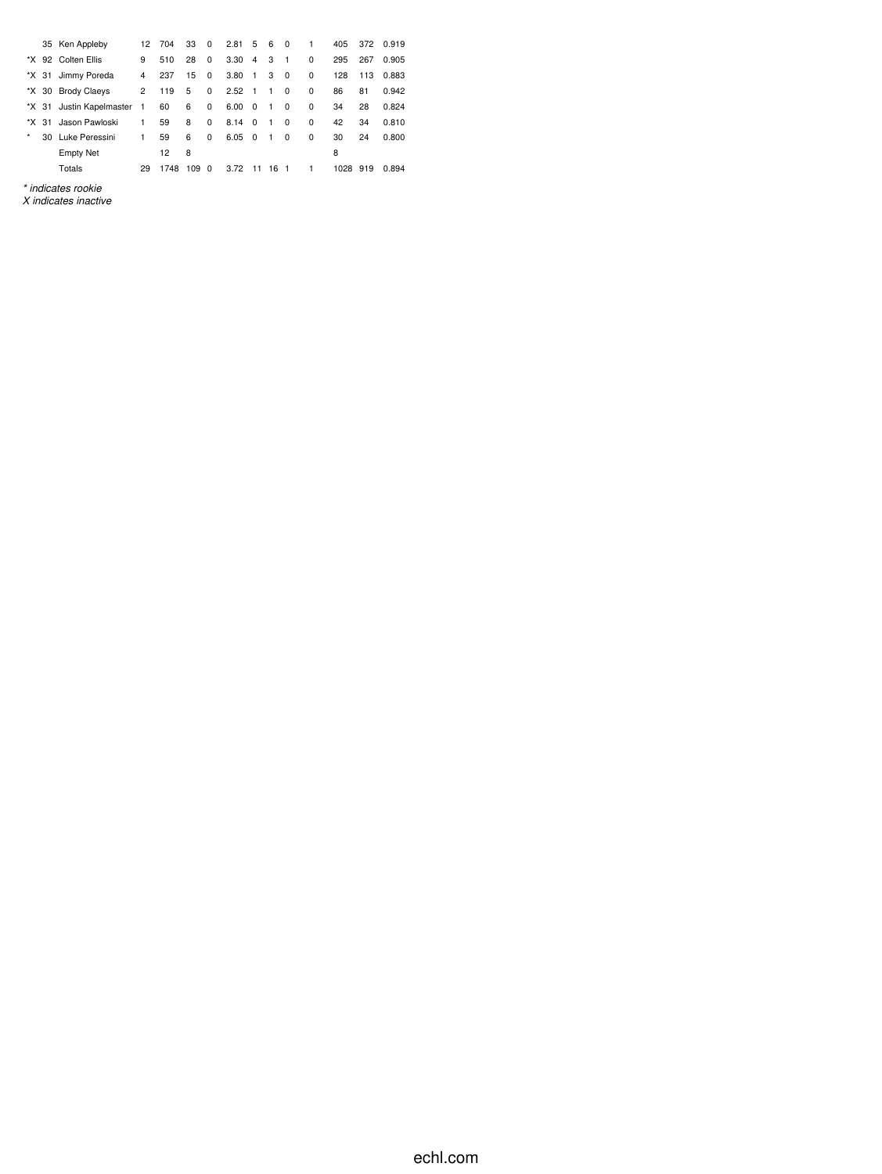|       |    | 35 Ken Appleby           | 12             | 704  | 33  | 0        | $2.81\quad 5$  |                         | 6              | $\Omega$       | 1        | 405  | 372 | 0.919 |
|-------|----|--------------------------|----------------|------|-----|----------|----------------|-------------------------|----------------|----------------|----------|------|-----|-------|
|       |    | *X 92 Colten Ellis       | 9              | 510  | 28  | 0        | 3.30           | $\overline{4}$          | 3              | $\overline{1}$ | $\Omega$ | 295  | 267 | 0.905 |
| *X 31 |    | Jimmy Poreda             | 4              | 237  | 15  | 0        | 3.80           | $\overline{1}$          | 3              | 0              | 0        | 128  | 113 | 0.883 |
|       |    | *X 30 Brody Claeys       | $\mathbf{2}$   | 119  | 5   | 0        | $2.52 \quad 1$ |                         | $\mathbf{1}$   | 0              | 0        | 86   | 81  | 0.942 |
|       |    | *X 31 Justin Kapelmaster | $\overline{1}$ | 60   | 6   | 0        | 6.00           | $\overline{\mathbf{0}}$ | $\overline{1}$ | 0              | $\Omega$ | 34   | 28  | 0.824 |
| *X.   | 31 | Jason Pawloski           | 1              | 59   | 8   | 0        | 8.14           | $\overline{0}$          | $\mathbf{1}$   | $\Omega$       | $\Omega$ | 42   | 34  | 0.810 |
| *     |    | 30 Luke Peressini        | 1              | 59   | 6   | 0        | 6.05           | - 0                     | $\mathbf{1}$   | 0              | 0        | 30   | 24  | 0.800 |
|       |    | <b>Empty Net</b>         |                | 12   | 8   |          |                |                         |                |                |          | 8    |     |       |
|       |    | Totals                   | 29             | 1748 | 109 | $\Omega$ | 3.72           | 11                      | 16             | $\overline{1}$ | 1        | 1028 | 919 | 0.894 |
|       |    |                          |                |      |     |          |                |                         |                |                |          |      |     |       |

*\* indicates rookie*

*X indicates inactive*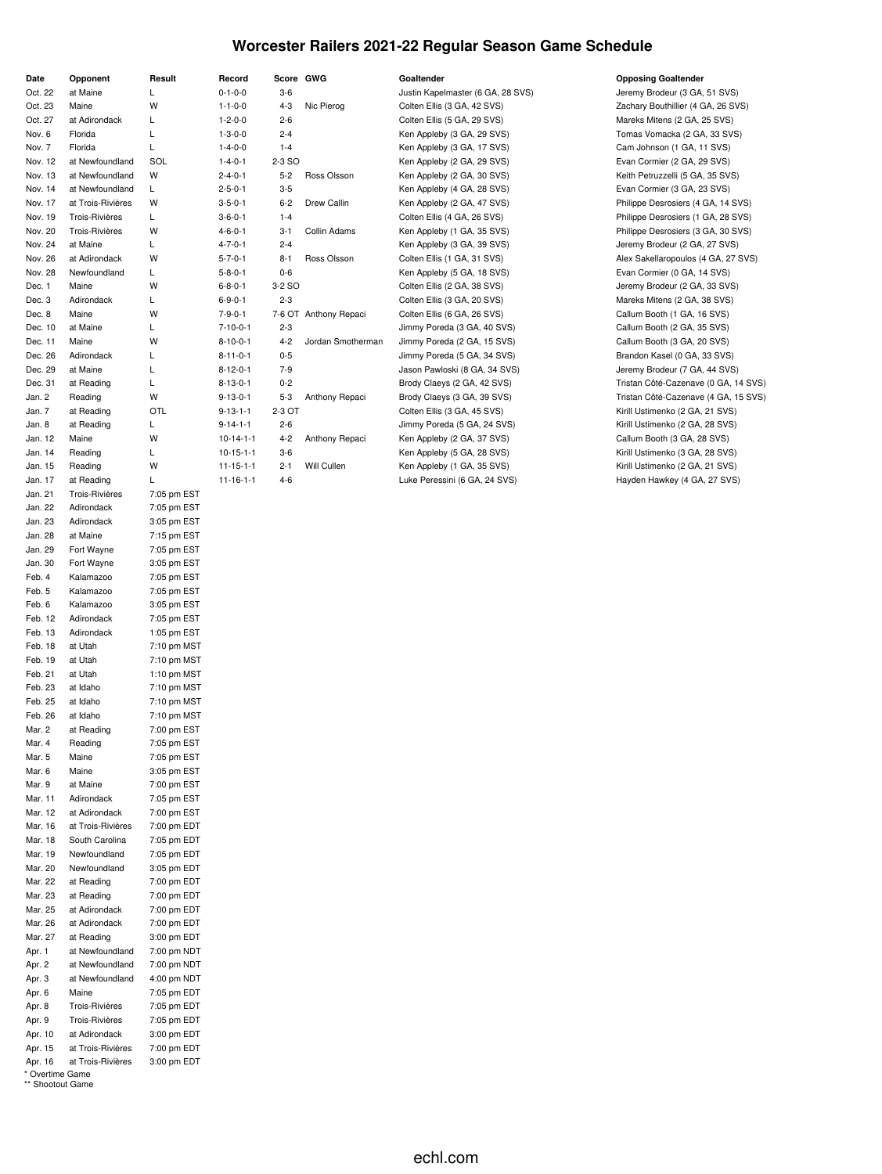### **Worcester Railers 2021-22 Regular Season Game Schedule**

| Date               | Opponent                               | Result                     |
|--------------------|----------------------------------------|----------------------------|
| Oct. 22            | at Maine                               | Г                          |
| Oct. 23            | Maine                                  | W                          |
| Oct. 27            | at Adirondack                          | Г                          |
| Nov. 6             | Florida                                | L                          |
| Nov. 7             | Florida                                | L                          |
| Nov. 12            | at Newfoundland                        | SOL                        |
| Nov. 13            | at Newfoundland                        | W                          |
| Nov. 14            | at Newfoundland                        | L                          |
| Nov. 17            | at Trois-Rivières                      | W                          |
| Nov. 19            | <b>Trois-Rivières</b>                  | Г                          |
| Nov. 20            | Trois-Rivières                         | W                          |
| Nov. 24            | at Maine                               | L.                         |
| Nov. 26            | at Adirondack                          | W                          |
| Nov. 28            | Newfoundland                           | Г                          |
| Dec. 1             | Maine                                  | W                          |
| Dec. 3             | Adirondack                             | Г<br>W                     |
| Dec. 8<br>Dec. 10  | Maine<br>at Maine                      | Г                          |
| Dec. 11            | Maine                                  | W                          |
| Dec. 26            | Adirondack                             | L                          |
| Dec. 29            | at Maine                               | L                          |
| Dec. 31            | at Reading                             | L                          |
| Jan. 2             | Reading                                | W                          |
| Jan. 7             | at Reading                             | OTL                        |
| Jan. 8             | at Reading                             | Г                          |
| Jan. 12            | Maine                                  | W                          |
| Jan. 14            | Reading                                | Г                          |
| Jan. 15            | Reading                                | W                          |
| Jan. 17            | at Reading                             | L                          |
| Jan. 21            | Trois-Rivières                         | 7:05 pm EST                |
| Jan. 22            | Adirondack                             | 7:05 pm EST                |
| Jan. 23            | Adirondack                             | 3:05 pm EST                |
| Jan. 28            | at Maine                               | 7:15 pm EST                |
| Jan. 29            | Fort Wayne                             | 7:05 pm EST                |
| Jan. 30            | Fort Wayne                             | 3:05 pm EST                |
| Feb. 4             | Kalamazoo                              | 7:05 pm EST                |
| Feb. 5<br>Feb. 6   | Kalamazoo<br>Kalamazoo                 | 7:05 pm EST<br>3:05 pm EST |
| Feb. 12            | Adirondack                             | 7:05 pm EST                |
| Feb. 13            | Adirondack                             | 1:05 pm EST                |
| Feb. 18            | at Utah                                | 7:10 pm MST                |
| Feb. 19            | at Utah                                | 7:10 pm MST                |
| Feb. 21            | at Utah                                | 1:10 pm MST                |
| Feb. 23            | at Idaho                               | 7:10 pm MST                |
| Feb. 25            | at Idaho                               | 7:10 pm MST                |
| Feb. 26            | at Idaho                               | 7:10 pm MST                |
| Mar. 2             | at Reading                             | 7:00 pm EST                |
| Mar. 4             | Reading                                | 7:05 pm EST                |
| Mar. 5             | Maine                                  | 7:05 pm EST                |
| Mar. 6             | Maine                                  | 3:05 pm EST                |
| Mar. 9             | at Maine                               | 7:00 pm EST                |
| Mar. 11            | Adirondack                             | 7:05 pm EST                |
| Mar. 12            | at Adirondack                          | 7:00 pm EST                |
| Mar. 16<br>Mar. 18 | at Trois-Rivières<br>South Carolina    | 7:00 pm EDT<br>7:05 pm EDT |
| Mar. 19            | Newfoundland                           | 7:05 pm EDT                |
| Mar. 20            | Newfoundland                           | 3:05 pm EDT                |
| Mar. 22            | at Reading                             | 7:00 pm EDT                |
| Mar. 23            | at Reading                             | 7:00 pm EDT                |
| Mar. 25            | at Adirondack                          | 7:00 pm EDT                |
| Mar. 26            | at Adirondack                          | 7:00 pm EDT                |
| Mar. 27            | at Reading                             | 3:00 pm EDT                |
| Apr. 1             | at Newfoundland                        | 7:00 pm NDT                |
| Apr. 2             | at Newfoundland                        | 7:00 pm NDT                |
| Apr. 3             | at Newfoundland                        | 4:00 pm NDT                |
| Apr. 6             | Maine                                  | 7:05 pm EDT                |
| Apr. 8             | Trois-Rivières                         | 7:05 pm EDT                |
| Apr. 9             | Trois-Rivières                         | 7:05 pm EDT                |
| Apr. 10            | at Adirondack                          | 3:00 pm EDT                |
| Apr. 15<br>Apr. 16 | at Trois-Rivières<br>at Trois-Rivières | 7:00 pm EDT<br>3:00 pm EDT |
|                    |                                        |                            |

| * Overtime Game  |  |
|------------------|--|
| ** Shootout Game |  |

|                   |         |                       |                                   | oppoomig acantonaci                  |
|-------------------|---------|-----------------------|-----------------------------------|--------------------------------------|
| $0 - 1 - 0 - 0$   | $3-6$   |                       | Justin Kapelmaster (6 GA, 28 SVS) | Jeremy Brodeur (3 GA, 51 SVS)        |
| $1 - 1 - 0 - 0$   | $4 - 3$ | Nic Pierog            | Colten Ellis (3 GA, 42 SVS)       | Zachary Bouthillier (4 GA, 26 SVS)   |
| $1 - 2 - 0 - 0$   | $2 - 6$ |                       | Colten Ellis (5 GA, 29 SVS)       | Mareks Mitens (2 GA, 25 SVS)         |
| $1 - 3 - 0 - 0$   | $2 - 4$ |                       | Ken Appleby (3 GA, 29 SVS)        | Tomas Vomacka (2 GA, 33 SVS)         |
| $1 - 4 - 0 - 0$   | $1 - 4$ |                       | Ken Appleby (3 GA, 17 SVS)        | Cam Johnson (1 GA, 11 SVS)           |
| $1 - 4 - 0 - 1$   | 2-3 SO  |                       | Ken Appleby (2 GA, 29 SVS)        | Evan Cormier (2 GA, 29 SVS)          |
| $2 - 4 - 0 - 1$   | $5 - 2$ | Ross Olsson           | Ken Appleby (2 GA, 30 SVS)        | Keith Petruzzelli (5 GA, 35 SVS)     |
| $2 - 5 - 0 - 1$   | $3-5$   |                       | Ken Appleby (4 GA, 28 SVS)        | Evan Cormier (3 GA, 23 SVS)          |
| $3 - 5 - 0 - 1$   | $6 - 2$ | Drew Callin           | Ken Appleby (2 GA, 47 SVS)        | Philippe Desrosiers (4 GA, 14 SVS)   |
| $3 - 6 - 0 - 1$   | $1 - 4$ |                       | Colten Ellis (4 GA, 26 SVS)       | Philippe Desrosiers (1 GA, 28 SVS)   |
| $4 - 6 - 0 - 1$   | $3-1$   | Collin Adams          | Ken Appleby (1 GA, 35 SVS)        | Philippe Desrosiers (3 GA, 30 SVS)   |
| $4 - 7 - 0 - 1$   | $2 - 4$ |                       | Ken Appleby (3 GA, 39 SVS)        | Jeremy Brodeur (2 GA, 27 SVS)        |
| $5 - 7 - 0 - 1$   | $8 - 1$ | Ross Olsson           | Colten Ellis (1 GA, 31 SVS)       | Alex Sakellaropoulos (4 GA, 27 SVS)  |
| $5 - 8 - 0 - 1$   | $0-6$   |                       | Ken Appleby (5 GA, 18 SVS)        | Evan Cormier (0 GA, 14 SVS)          |
| $6 - 8 - 0 - 1$   | 3-2 SO  |                       | Colten Ellis (2 GA, 38 SVS)       | Jeremy Brodeur (2 GA, 33 SVS)        |
| $6 - 9 - 0 - 1$   | $2 - 3$ |                       | Colten Ellis (3 GA, 20 SVS)       | Mareks Mitens (2 GA, 38 SVS)         |
| $7 - 9 - 0 - 1$   |         | 7-6 OT Anthony Repaci | Colten Ellis (6 GA, 26 SVS)       | Callum Booth (1 GA, 16 SVS)          |
| $7 - 10 - 0 - 1$  | $2 - 3$ |                       | Jimmy Poreda (3 GA, 40 SVS)       | Callum Booth (2 GA, 35 SVS)          |
| $8 - 10 - 0 - 1$  | $4 - 2$ | Jordan Smotherman     | Jimmy Poreda (2 GA, 15 SVS)       | Callum Booth (3 GA, 20 SVS)          |
| $8 - 11 - 0 - 1$  | $0 - 5$ |                       | Jimmy Poreda (5 GA, 34 SVS)       | Brandon Kasel (0 GA, 33 SVS)         |
| $8 - 12 - 0 - 1$  | $7-9$   |                       | Jason Pawloski (8 GA, 34 SVS)     | Jeremy Brodeur (7 GA, 44 SVS)        |
| $8 - 13 - 0 - 1$  | $0 - 2$ |                       | Brody Claeys (2 GA, 42 SVS)       | Tristan Côté-Cazenave (0 GA, 14 SVS) |
| $9 - 13 - 0 - 1$  | $5 - 3$ | Anthony Repaci        | Brody Claeys (3 GA, 39 SVS)       | Tristan Côté-Cazenave (4 GA, 15 SVS) |
| $9 - 13 - 1 - 1$  | 2-3 OT  |                       | Colten Ellis (3 GA, 45 SVS)       | Kirill Ustimenko (2 GA, 21 SVS)      |
| $9 - 14 - 1 - 1$  | $2 - 6$ |                       | Jimmy Poreda (5 GA, 24 SVS)       | Kirill Ustimenko (2 GA, 28 SVS)      |
| $10-14-1-1$       | $4 - 2$ | Anthony Repaci        | Ken Appleby (2 GA, 37 SVS)        | Callum Booth (3 GA, 28 SVS)          |
| $10-15-1-1$       | $3-6$   |                       | Ken Appleby (5 GA, 28 SVS)        | Kirill Ustimenko (3 GA, 28 SVS)      |
| $11 - 15 - 1 - 1$ | $2 - 1$ | Will Cullen           | Ken Appleby (1 GA, 35 SVS)        | Kirill Ustimenko (2 GA, 21 SVS)      |
| $11 - 16 - 1 - 1$ | $4 - 6$ |                       | Luke Peressini (6 GA, 24 SVS)     | Hayden Hawkey (4 GA, 27 SVS)         |
|                   |         |                       |                                   |                                      |

#### **Decord Score** GWG **Goaltender Coaltender Coaltender Component** *Composing Goaltender*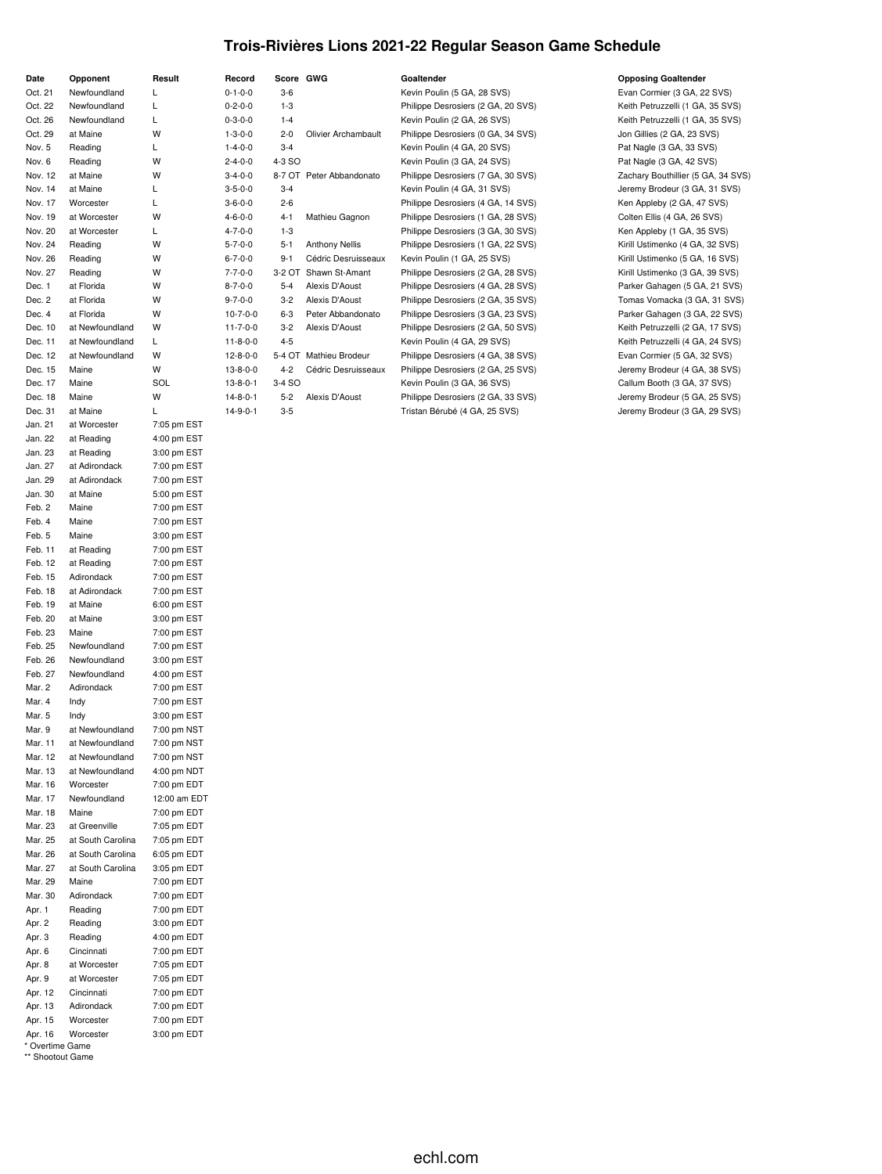### **Trois-Rivières Lions 2021-22 Regular Season Game Schedule**

| Date             | Opponent          | Result       |
|------------------|-------------------|--------------|
| Oct. 21          | Newfoundland      | L            |
| Oct. 22          | Newfoundland      | L            |
| Oct. 26          | Newfoundland      | Г            |
| Oct. 29          | at Maine          | W            |
| Nov. 5           | Reading           | Г            |
| Nov. 6           | Reading           | W            |
| Nov. 12          | at Maine          | W            |
| Nov. 14          | at Maine          | Г            |
| Nov. 17          | Worcester         | L            |
| Nov. 19          | at Worcester      | W            |
| Nov. 20          | at Worcester      | L            |
| Nov. 24          | Reading           | W            |
| Nov. 26          | Reading           | W            |
| Nov. 27          | Reading           | W            |
| Dec. 1           | at Florida        | W            |
| Dec. 2           | at Florida        | W            |
| Dec. 4           | at Florida        | W            |
| Dec. 10          | at Newfoundland   | W            |
|                  |                   |              |
| Dec. 11          | at Newfoundland   | L            |
| Dec. 12          | at Newfoundland   | W            |
| Dec. 15          | Maine             | W            |
| Dec. 17          | Maine             | SOL          |
| Dec. 18          | Maine             | W            |
| Dec. 31          | at Maine          | L            |
| Jan. 21          | at Worcester      | 7:05 pm EST  |
| Jan. 22          | at Reading        | 4:00 pm EST  |
| Jan. 23          | at Reading        | 3:00 pm EST  |
| Jan. 27          | at Adirondack     | 7:00 pm EST  |
| Jan. 29          | at Adirondack     | 7:00 pm EST  |
| Jan. 30          | at Maine          | 5:00 pm EST  |
| Feb. 2           | Maine             | 7:00 pm EST  |
| Feb. 4           | Maine             | 7:00 pm EST  |
| Feb. 5           | Maine             | 3:00 pm EST  |
| Feb. 11          | at Reading        | 7:00 pm EST  |
| Feb. 12          |                   |              |
|                  | at Reading        | 7:00 pm EST  |
| Feb. 15          | Adirondack        | 7:00 pm EST  |
| Feb. 18          | at Adirondack     | 7:00 pm EST  |
| Feb. 19          | at Maine          | 6:00 pm EST  |
| Feb. 20          | at Maine          | 3:00 pm EST  |
| Feb. 23          | Maine             | 7:00 pm EST  |
| Feb. 25          | Newfoundland      | 7:00 pm EST  |
| Feb. 26          | Newfoundland      | 3:00 pm EST  |
| Feb. 27          | Newfoundland      | 4:00 pm EST  |
| Mar. 2           | Adirondack        | 7:00 pm EST  |
| Mar. 4           | Indy              | 7:00 pm EST  |
| Mar. 5           | Indy              | 3:00 pm EST  |
| Mar. 9           | at Newfoundland   | 7:00 pm NST  |
| Mar. 11          | at Newfoundland   | 7:00 pm NST  |
| Mar. 12          | at Newfoundland   | 7:00 pm NST  |
| Mar. 13          | at Newfoundland   | 4:00 pm NDT  |
| Mar. 16          | Worcester         | 7:00 pm EDT  |
| Mar. 17          | Newfoundland      | 12:00 am EDT |
| Mar. 18          | Maine             | 7:00 pm EDT  |
| Mar. 23          | at Greenville     | 7:05 pm EDT  |
|                  |                   |              |
| Mar. 25          | at South Carolina | 7:05 pm EDT  |
| Mar. 26          | at South Carolina | 6:05 pm EDT  |
| Mar. 27          | at South Carolina | 3:05 pm EDT  |
| Mar. 29          | Maine             | 7:00 pm EDT  |
| Mar. 30          | Adirondack        | 7:00 pm EDT  |
| Apr. 1           | Reading           | 7:00 pm EDT  |
| Apr. 2           | Reading           | 3:00 pm EDT  |
| Apr. 3           | Reading           | 4:00 pm EDT  |
| Apr. 6           | Cincinnati        | 7:00 pm EDT  |
| Apr. 8           | at Worcester      | 7:05 pm EDT  |
| Apr. 9           | at Worcester      | 7:05 pm EDT  |
| Apr. 12          | Cincinnati        | 7:00 pm EDT  |
| Apr. 13          | Adirondack        | 7:00 pm EDT  |
| Apr. 15          | Worcester         | 7:00 pm EDT  |
| Apr. 16          | Worcester         | 3:00 pm EDT  |
| * Overtime Game  |                   |              |
| ** Shootout Game |                   |              |

| Record           | Score GWG |                          | Goaltender                         | <b>Opposing Goaltender</b>          |
|------------------|-----------|--------------------------|------------------------------------|-------------------------------------|
| $0 - 1 - 0 - 0$  | $3-6$     |                          | Kevin Poulin (5 GA, 28 SVS)        | Evan Cormier (3 GA, 22 SVS)         |
| $0 - 2 - 0 - 0$  | $1-3$     |                          | Philippe Desrosiers (2 GA, 20 SVS) | Keith Petruzzelli (1 GA, 35 SVS)    |
| $0 - 3 - 0 - 0$  | $1 - 4$   |                          | Kevin Poulin (2 GA, 26 SVS)        | Keith Petruzzelli (1 GA, 35 SVS)    |
| $1 - 3 - 0 - 0$  | $2 - 0$   | Olivier Archambault      | Philippe Desrosiers (0 GA, 34 SVS) | Jon Gillies (2 GA, 23 SVS)          |
| $1 - 4 - 0 - 0$  | $3 - 4$   |                          | Kevin Poulin (4 GA, 20 SVS)        | Pat Nagle (3 GA, 33 SVS)            |
| $2 - 4 - 0 - 0$  | 4-3 SO    |                          | Kevin Poulin (3 GA, 24 SVS)        | Pat Nagle (3 GA, 42 SVS)            |
| $3 - 4 - 0 - 0$  |           | 8-7 OT Peter Abbandonato | Philippe Desrosiers (7 GA, 30 SVS) | Zachary Bouthillier (5 GA, 34 SVS)  |
| $3 - 5 - 0 - 0$  | $3 - 4$   |                          | Kevin Poulin (4 GA, 31 SVS)        | Jeremy Brodeur (3 GA, 31 SVS)       |
| $3 - 6 - 0 - 0$  | $2 - 6$   |                          | Philippe Desrosiers (4 GA, 14 SVS) | Ken Appleby (2 GA, 47 SVS)          |
| $4 - 6 - 0 - 0$  | $4 - 1$   | Mathieu Gagnon           | Philippe Desrosiers (1 GA, 28 SVS) | Colten Ellis (4 GA, 26 SVS)         |
| $4 - 7 - 0 - 0$  | $1-3$     |                          | Philippe Desrosiers (3 GA, 30 SVS) | Ken Appleby (1 GA, 35 SVS)          |
| $5 - 7 - 0 - 0$  | $5 - 1$   | <b>Anthony Nellis</b>    | Philippe Desrosiers (1 GA, 22 SVS) | Kirill Ustimenko (4 GA, 32 SVS)     |
| $6 - 7 - 0 - 0$  | $9 - 1$   | Cédric Desruisseaux      | Kevin Poulin (1 GA, 25 SVS)        | Kirill Ustimenko (5 GA, 16 SVS)     |
| $7 - 7 - 0 - 0$  | 3-2 OT    | Shawn St-Amant           | Philippe Desrosiers (2 GA, 28 SVS) | Kirill Ustimenko (3 GA, 39 SVS)     |
| $8 - 7 - 0 - 0$  | $5 - 4$   | Alexis D'Aoust           | Philippe Desrosiers (4 GA, 28 SVS) | Parker Gahagen (5 GA, 21 SVS)       |
| $9 - 7 - 0 - 0$  | $3-2$     | Alexis D'Aoust           | Philippe Desrosiers (2 GA, 35 SVS) | Tomas Vomacka (3 GA, 31 SVS)        |
| $10-7-0-0$       | $6-3$     | Peter Abbandonato        | Philippe Desrosiers (3 GA, 23 SVS) | Parker Gahagen (3 GA, 22 SVS)       |
| $11 - 7 - 0 - 0$ | $3-2$     | Alexis D'Aoust           | Philippe Desrosiers (2 GA, 50 SVS) | Keith Petruzzelli (2 GA, 17 SVS)    |
| $11 - 8 - 0 - 0$ | $4 - 5$   |                          | Kevin Poulin (4 GA, 29 SVS)        | Keith Petruzzelli (4 GA, 24 SVS)    |
| $12 - 8 - 0 - 0$ | 5-4 OT    | Mathieu Brodeur          | Philippe Desrosiers (4 GA, 38 SVS) | Evan Cormier (5 GA, 32 SVS)         |
| $13 - 8 - 0 - 0$ | $4 - 2$   | Cédric Desruisseaux      | Philippe Desrosiers (2 GA, 25 SVS) | Jeremy Brodeur (4 GA, 38 SVS)       |
| $13 - 8 - 0 - 1$ | 3-4 SO    |                          | Kevin Poulin (3 GA, 36 SVS)        | Callum Booth (3 GA, 37 SVS)         |
| $14 - 8 - 0 - 1$ | $5 - 2$   | Alexis D'Aoust           | Philippe Desrosiers (2 GA, 33 SVS) | Jeremy Brodeur (5 GA, 25 SVS)       |
| 14001            | 2 E       |                          | Tricton Rómbó (4 CA OF CVC)        | $lormu$ <b>Prodout (2.0.4.20.8)</b> |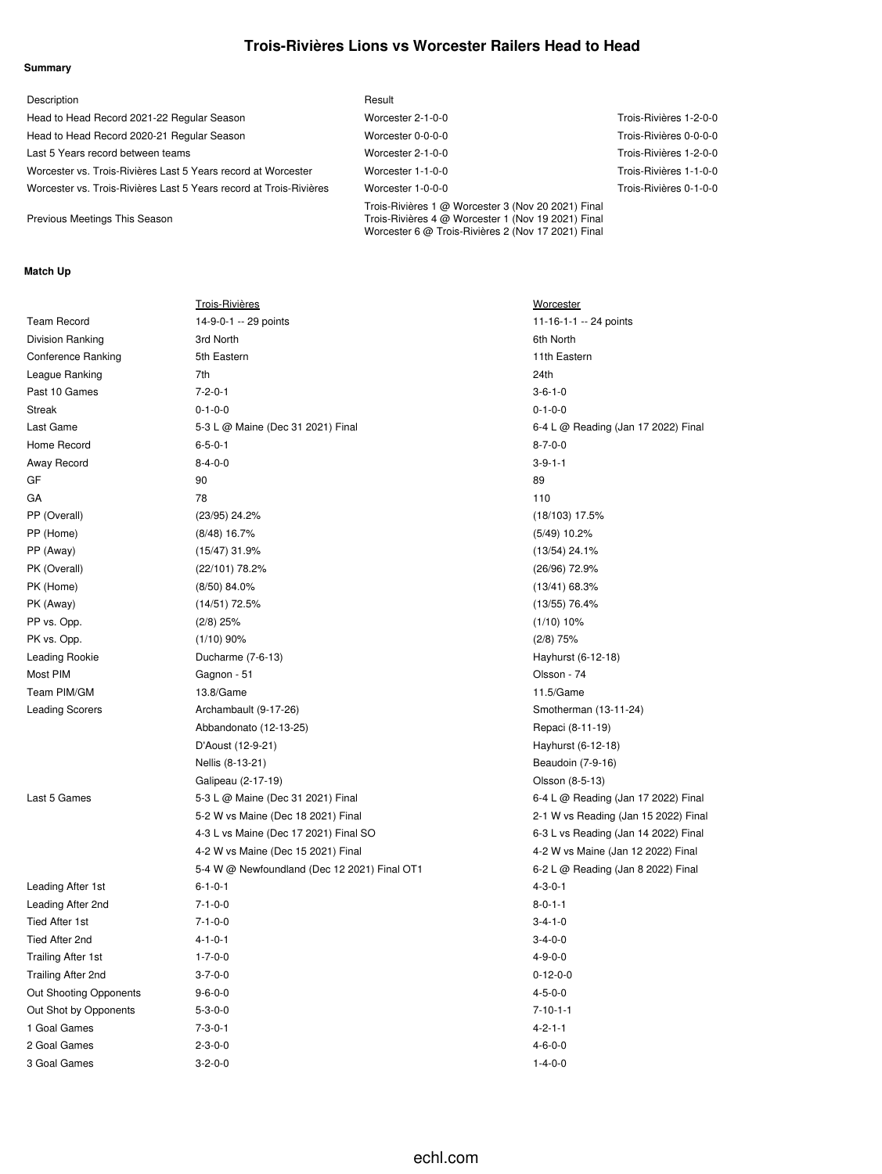## **Trois-Rivières Lions vs Worcester Railers Head to Head**

### **Summary**

| Description                                                        | Result                                                                                                                                                         |                        |
|--------------------------------------------------------------------|----------------------------------------------------------------------------------------------------------------------------------------------------------------|------------------------|
| Head to Head Record 2021-22 Regular Season                         | Worcester 2-1-0-0                                                                                                                                              | Trois-Rivières 1-2-0-0 |
| Head to Head Record 2020-21 Regular Season                         | Worcester 0-0-0-0                                                                                                                                              | Trois-Rivières 0-0-0-0 |
| Last 5 Years record between teams                                  | Worcester 2-1-0-0                                                                                                                                              | Trois-Rivières 1-2-0-0 |
| Worcester vs. Trois-Rivières Last 5 Years record at Worcester      | Worcester 1-1-0-0                                                                                                                                              | Trois-Rivières 1-1-0-0 |
| Worcester vs. Trois-Rivières Last 5 Years record at Trois-Rivières | Worcester 1-0-0-0                                                                                                                                              | Trois-Rivières 0-1-0-0 |
| Previous Meetings This Season                                      | Trois-Rivières 1 @ Worcester 3 (Nov 20 2021) Final<br>Trois-Rivières 4 @ Worcester 1 (Nov 19 2021) Final<br>Worcester 6 @ Trois-Rivières 2 (Nov 17 2021) Final |                        |

### **Match Up**

|                           | <b>Trois-Rivières</b>                        | Worcester                            |
|---------------------------|----------------------------------------------|--------------------------------------|
| <b>Team Record</b>        | 14-9-0-1 -- 29 points                        | 11-16-1-1 -- 24 points               |
| Division Ranking          | 3rd North                                    | 6th North                            |
| <b>Conference Ranking</b> | 5th Eastern                                  | 11th Eastern                         |
| League Ranking            | 7th                                          | 24th                                 |
| Past 10 Games             | $7 - 2 - 0 - 1$                              | $3 - 6 - 1 - 0$                      |
| <b>Streak</b>             | $0 - 1 - 0 - 0$                              | $0 - 1 - 0 - 0$                      |
| Last Game                 | 5-3 L @ Maine (Dec 31 2021) Final            | 6-4 L @ Reading (Jan 17 2022) Final  |
| Home Record               | $6 - 5 - 0 - 1$                              | $8 - 7 - 0 - 0$                      |
| Away Record               | $8 - 4 - 0 - 0$                              | $3 - 9 - 1 - 1$                      |
| GF                        | 90                                           | 89                                   |
| GA                        | 78                                           | 110                                  |
| PP (Overall)              | (23/95) 24.2%                                | $(18/103)$ 17.5%                     |
| PP (Home)                 | $(8/48)$ 16.7%                               | $(5/49)$ 10.2%                       |
| PP (Away)                 | $(15/47)$ 31.9%                              | $(13/54)$ 24.1%                      |
| PK (Overall)              | (22/101) 78.2%                               | (26/96) 72.9%                        |
| PK (Home)                 | (8/50) 84.0%                                 | $(13/41)$ 68.3%                      |
| PK (Away)                 | $(14/51)$ 72.5%                              | $(13/55)$ 76.4%                      |
| PP vs. Opp.               | $(2/8)$ 25%                                  | $(1/10)$ 10%                         |
| PK vs. Opp.               | $(1/10)$ 90%                                 | $(2/8)$ 75%                          |
| Leading Rookie            | Ducharme (7-6-13)                            | Hayhurst (6-12-18)                   |
| Most PIM                  | Gagnon - 51                                  | Olsson - 74                          |
| Team PIM/GM               | 13.8/Game                                    | 11.5/Game                            |
| <b>Leading Scorers</b>    | Archambault (9-17-26)                        | Smotherman (13-11-24)                |
|                           | Abbandonato (12-13-25)                       | Repaci (8-11-19)                     |
|                           | D'Aoust (12-9-21)                            | Hayhurst (6-12-18)                   |
|                           | Nellis (8-13-21)                             | Beaudoin (7-9-16)                    |
|                           | Galipeau (2-17-19)                           | Olsson (8-5-13)                      |
| Last 5 Games              | 5-3 L @ Maine (Dec 31 2021) Final            | 6-4 L @ Reading (Jan 17 2022) Final  |
|                           | 5-2 W vs Maine (Dec 18 2021) Final           | 2-1 W vs Reading (Jan 15 2022) Final |
|                           | 4-3 L vs Maine (Dec 17 2021) Final SO        | 6-3 L vs Reading (Jan 14 2022) Final |
|                           | 4-2 W vs Maine (Dec 15 2021) Final           | 4-2 W vs Maine (Jan 12 2022) Final   |
|                           | 5-4 W @ Newfoundland (Dec 12 2021) Final OT1 | 6-2 L @ Reading (Jan 8 2022) Final   |
| Leading After 1st         | $6 - 1 - 0 - 1$                              | $4 - 3 - 0 - 1$                      |
| Leading After 2nd         | $7 - 1 - 0 - 0$                              | $8 - 0 - 1 - 1$                      |
| <b>Tied After 1st</b>     | $7 - 1 - 0 - 0$                              | $3 - 4 - 1 - 0$                      |
| Tied After 2nd            | $4 - 1 - 0 - 1$                              | $3-4-0-0$                            |
| <b>Trailing After 1st</b> | $1 - 7 - 0 - 0$                              | $4 - 9 - 0 - 0$                      |
| <b>Trailing After 2nd</b> | $3 - 7 - 0 - 0$                              | $0 - 12 - 0 - 0$                     |
| Out Shooting Opponents    | $9 - 6 - 0 - 0$                              | $4 - 5 - 0 - 0$                      |
| Out Shot by Opponents     | $5 - 3 - 0 - 0$                              | $7 - 10 - 1 - 1$                     |
| 1 Goal Games              | $7 - 3 - 0 - 1$                              | $4 - 2 - 1 - 1$                      |
| 2 Goal Games              | $2 - 3 - 0 - 0$                              | $4 - 6 - 0 - 0$                      |
| 3 Goal Games              | $3 - 2 - 0 - 0$                              | $1 - 4 - 0 - 0$                      |
|                           |                                              |                                      |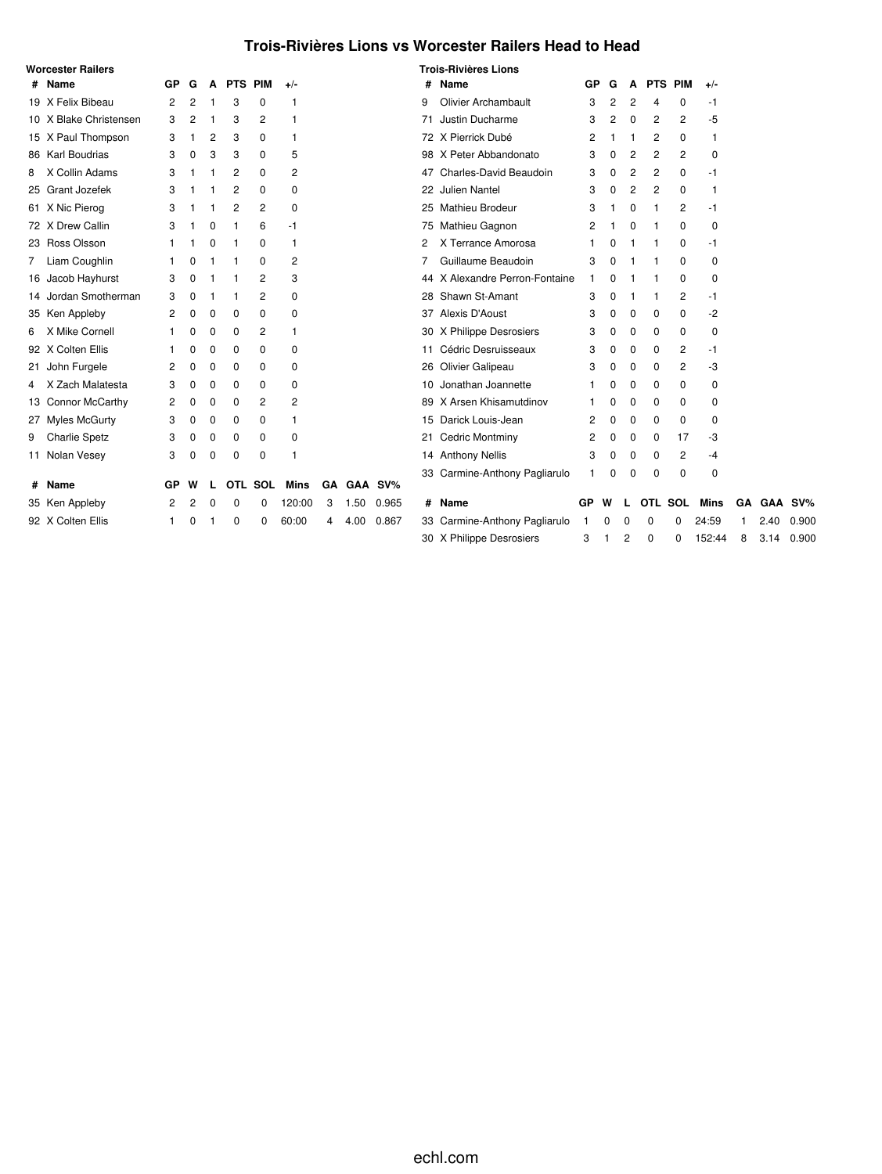## **Trois-Rivières Lions vs Worcester Railers Head to Head**

|    | <b>Worcester Railers</b> |    |   |          |          |                |                |   |      |            |    | <b>Trois-Rivières Lions</b>    |    |   |                |                |          |             |    |      |        |
|----|--------------------------|----|---|----------|----------|----------------|----------------|---|------|------------|----|--------------------------------|----|---|----------------|----------------|----------|-------------|----|------|--------|
|    | # Name                   | GP | G | A        |          | <b>PTS PIM</b> | $+/-$          |   |      |            | #  | Name                           | GP | G | A              | <b>PTS PIM</b> |          | $+/-$       |    |      |        |
|    | 19 X Felix Bibeau        | 2  | 2 |          | 3        | 0              | 1              |   |      |            | 9  | <b>Olivier Archambault</b>     | 3  | 2 | 2              | 4              | 0        | -1          |    |      |        |
|    | 10 X Blake Christensen   | 3  | 2 | -1       | 3        | $\overline{c}$ | 1              |   |      |            | 71 | Justin Ducharme                | 3  | 2 | 0              | 2              | 2        | -5          |    |      |        |
|    | 15 X Paul Thompson       | 3  |   | 2        | 3        | 0              | -1             |   |      |            |    | 72 X Pierrick Dubé             | 2  |   |                | 2              | 0        | 1           |    |      |        |
|    | 86 Karl Boudrias         | 3  | 0 | 3        | 3        | 0              | 5              |   |      |            |    | 98 X Peter Abbandonato         | 3  | 0 | $\overline{c}$ | 2              | 2        | 0           |    |      |        |
| 8  | X Collin Adams           | 3  |   |          | 2        | 0              | $\overline{2}$ |   |      |            | 47 | Charles-David Beaudoin         | 3  | 0 | 2              | 2              | 0        | -1          |    |      |        |
|    | 25 Grant Jozefek         | 3  |   |          | 2        | 0              | 0              |   |      |            | 22 | <b>Julien Nantel</b>           | 3  | 0 | $\overline{c}$ | 2              | 0        | 1           |    |      |        |
|    | 61 X Nic Pierog          | 3  |   |          | 2        | 2              | 0              |   |      |            | 25 | Mathieu Brodeur                | 3  |   | 0              |                | 2        | -1          |    |      |        |
|    | 72 X Drew Callin         | 3  |   | 0        |          | 6              | -1             |   |      |            |    | 75 Mathieu Gagnon              | 2  |   | $\Omega$       |                | 0        | 0           |    |      |        |
|    | 23 Ross Olsson           |    |   | 0        |          | 0              | 1              |   |      |            | 2  | X Terrance Amorosa             |    | 0 |                |                | 0        | -1          |    |      |        |
| 7  | Liam Coughlin            |    | O |          |          | 0              | 2              |   |      |            | 7  | Guillaume Beaudoin             | 3  | O |                |                | 0        | 0           |    |      |        |
|    | 16 Jacob Hayhurst        | 3  | O |          |          | 2              | 3              |   |      |            |    | 44 X Alexandre Perron-Fontaine |    |   |                |                | 0        | 0           |    |      |        |
|    | 14 Jordan Smotherman     | 3  | 0 |          |          | 2              | 0              |   |      |            | 28 | Shawn St-Amant                 | 3  | 0 |                |                | 2        | -1          |    |      |        |
|    | 35 Ken Appleby           | 2  | 0 | $\Omega$ | 0        | 0              | 0              |   |      |            | 37 | Alexis D'Aoust                 | 3  | 0 | $\Omega$       | 0              | $\Omega$ | -2          |    |      |        |
| 6. | X Mike Cornell           |    | 0 | 0        | 0        | 2              | -1             |   |      |            |    | 30 X Philippe Desrosiers       | 3  | 0 | 0              | 0              | 0        | 0           |    |      |        |
|    | 92 X Colten Ellis        |    | 0 | 0        | 0        | 0              | 0              |   |      |            | 11 | Cédric Desruisseaux            | 3  | 0 | 0              | 0              | 2        | -1          |    |      |        |
|    | 21 John Furgele          | 2  | 0 | 0        | 0        | 0              | 0              |   |      |            |    | 26 Olivier Galipeau            | 3  | 0 | 0              | 0              | 2        | -3          |    |      |        |
| 4  | Zach Malatesta<br>X      | 3  | 0 | 0        | 0        | 0              | 0              |   |      |            | 10 | Jonathan Joannette             |    | 0 | 0              | 0              | 0        | 0           |    |      |        |
|    | 13 Connor McCarthy       | 2  | 0 | 0        | 0        | 2              | 2              |   |      |            |    | 89 X Arsen Khisamutdinov       |    | 0 | 0              | 0              | 0        | 0           |    |      |        |
|    | 27 Myles McGurty         | 3  | 0 | 0        | 0        | 0              | 1              |   |      |            | 15 | Darick Louis-Jean              | 2  | 0 | 0              | 0              | 0        | 0           |    |      |        |
| 9  | Charlie Spetz            | 3  | 0 | 0        | 0        | 0              | 0              |   |      |            | 21 | <b>Cedric Montminy</b>         | 2  | 0 | 0              | 0              | 17       | -3          |    |      |        |
|    | 11 Nolan Vesey           | 3  | O | 0        | 0        | 0              | 1              |   |      |            |    | 14 Anthony Nellis              | 3  | 0 | 0              | 0              | 2        | $-4$        |    |      |        |
|    |                          |    |   |          |          |                |                |   |      |            |    | 33 Carmine-Anthony Pagliarulo  |    | O | $\Omega$       | 0              | $\Omega$ | 0           |    |      |        |
|    | # Name                   | GP | W |          |          | OTL SOL        | Mins           |   |      | GA GAA SV% |    |                                |    |   |                |                |          |             |    |      |        |
|    | 35 Ken Appleby           | 2  | 2 | 0        | 0        | 0              | 120:00         | 3 | 1.50 | 0.965      | #  | Name                           | GP | w |                | OTL SOL        |          | <b>Mins</b> | GA | GAA  | $SV\%$ |
|    | 92 X Colten Ellis        |    | n |          | $\Omega$ | 0              | 60:00          | 4 | 4.00 | 0.867      |    | 33 Carmine-Anthony Pagliarulo  |    | 0 | 0              | $\Omega$       | 0        | 24:59       |    | 2.40 | 0.900  |
|    |                          |    |   |          |          |                |                |   |      |            |    | 30 X Philippe Desrosiers       | 3  |   | 2              | 0              | 0        | 152:44      | 8  | 3.14 | 0.900  |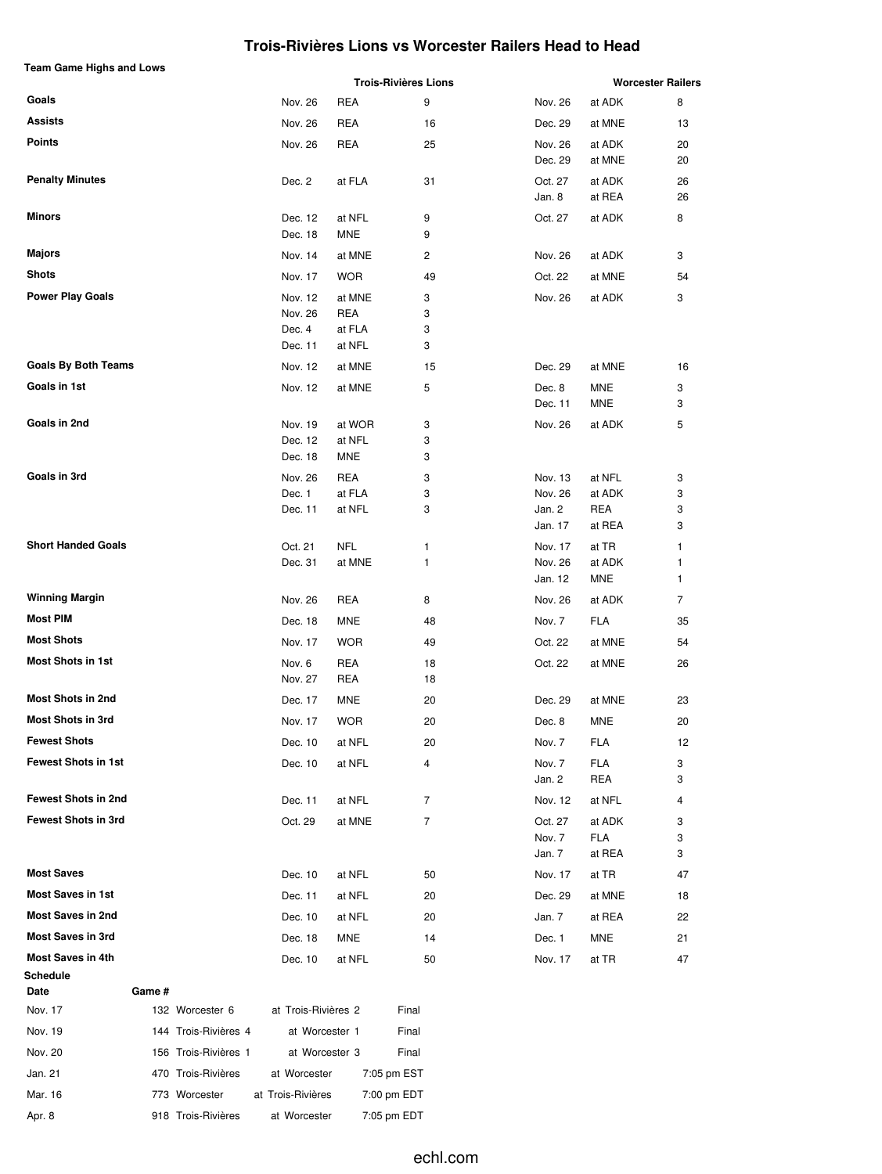### **Trois-Rivières Lions vs Worcester Railers Head to Head**

| <b>Team Game Highs and Lows</b> |        |                      |                     |                  | <b>Trois-Rivières Lions</b> |                   |                      | <b>Worcester Railers</b> |
|---------------------------------|--------|----------------------|---------------------|------------------|-----------------------------|-------------------|----------------------|--------------------------|
| Goals                           |        |                      | Nov. 26             | REA              | 9                           | Nov. 26           | at ADK               | 8                        |
| Assists                         |        |                      | Nov. 26             | REA              | 16                          | Dec. 29           | at MNE               | 13                       |
| <b>Points</b>                   |        |                      | Nov. 26             | REA              | 25                          | Nov. 26           | at ADK               | 20                       |
|                                 |        |                      |                     |                  |                             | Dec. 29           | at MNE               | 20                       |
| <b>Penalty Minutes</b>          |        |                      | Dec. 2              | at FLA           | 31                          | Oct. 27           | at ADK               | 26                       |
|                                 |        |                      |                     |                  |                             | Jan. 8            | at REA               | 26                       |
| Minors                          |        |                      | Dec. 12             | at NFL           | 9                           | Oct. 27           | at ADK               | 8                        |
|                                 |        |                      | Dec. 18             | MNE              | 9                           |                   |                      |                          |
| Majors                          |        |                      | Nov. 14             | at MNE           | 2                           | Nov. 26           | at ADK               | 3                        |
| <b>Shots</b>                    |        |                      | Nov. 17             | <b>WOR</b>       | 49                          | Oct. 22           | at MNE               | 54                       |
| <b>Power Play Goals</b>         |        |                      | Nov. 12             | at MNE           | 3                           | Nov. 26           | at ADK               | 3                        |
|                                 |        |                      | Nov. 26             | <b>REA</b>       | 3                           |                   |                      |                          |
|                                 |        |                      | Dec. 4<br>Dec. 11   | at FLA<br>at NFL | 3<br>3                      |                   |                      |                          |
| <b>Goals By Both Teams</b>      |        |                      | Nov. 12             | at MNE           | 15                          | Dec. 29           | at MNE               | 16                       |
| Goals in 1st                    |        |                      | Nov. 12             | at MNE           | 5                           | Dec. 8            | <b>MNE</b>           | 3                        |
|                                 |        |                      |                     |                  |                             | Dec. 11           | MNE                  | 3                        |
| Goals in 2nd                    |        |                      | Nov. 19             | at WOR           | 3                           | Nov. 26           | at ADK               | 5                        |
|                                 |        |                      | Dec. 12             | at NFL           | 3                           |                   |                      |                          |
|                                 |        |                      | Dec. 18             | MNE              | 3                           |                   |                      |                          |
| Goals in 3rd                    |        |                      | Nov. 26             | <b>REA</b>       | 3                           | Nov. 13           | at NFL               | 3                        |
|                                 |        |                      | Dec. 1              | at FLA           | 3                           | Nov. 26           | at ADK               | 3                        |
|                                 |        |                      | Dec. 11             | at NFL           | 3                           | Jan. 2<br>Jan. 17 | <b>REA</b><br>at REA | 3<br>3                   |
| <b>Short Handed Goals</b>       |        |                      | Oct. 21             | <b>NFL</b>       | 1                           | Nov. 17           | at TR                | 1                        |
|                                 |        |                      | Dec. 31             | at MNE           | 1                           | Nov. 26           | at ADK               | 1                        |
|                                 |        |                      |                     |                  |                             | Jan. 12           | <b>MNE</b>           | 1                        |
| <b>Winning Margin</b>           |        |                      | Nov. 26             | REA              | 8                           | Nov. 26           | at ADK               | 7                        |
| <b>Most PIM</b>                 |        |                      | Dec. 18             | MNE              | 48                          | Nov. 7            | <b>FLA</b>           | 35                       |
| <b>Most Shots</b>               |        |                      | Nov. 17             | <b>WOR</b>       | 49                          | Oct. 22           | at MNE               | 54                       |
| <b>Most Shots in 1st</b>        |        |                      | Nov. 6              | REA              | 18                          | Oct. 22           | at MNE               | 26                       |
|                                 |        |                      | Nov. 27             | REA              | 18                          |                   |                      |                          |
| <b>Most Shots in 2nd</b>        |        |                      | Dec. 17             | MNE              | 20                          | Dec. 29           | at MNE               | 23                       |
| <b>Most Shots in 3rd</b>        |        |                      | Nov. 17             | WOR              | 20                          | Dec. 8            | <b>MNE</b>           | 20                       |
| <b>Fewest Shots</b>             |        |                      | Dec. 10             | at NFL           | 20                          | Nov. 7            | FLA                  | 12                       |
| <b>Fewest Shots in 1st</b>      |        |                      | Dec. 10             | at NFL           | 4                           | Nov. 7            | <b>FLA</b>           | 3                        |
|                                 |        |                      |                     |                  |                             | Jan. 2            | REA                  | 3                        |
| <b>Fewest Shots in 2nd</b>      |        |                      | Dec. 11             | at NFL           | 7                           | Nov. 12           | at NFL               | 4                        |
| <b>Fewest Shots in 3rd</b>      |        |                      | Oct. 29             | at MNE           | 7                           | Oct. 27           | at ADK               | 3                        |
|                                 |        |                      |                     |                  |                             | Nov. 7<br>Jan. 7  | <b>FLA</b><br>at REA | 3<br>3                   |
| <b>Most Saves</b>               |        |                      | Dec. 10             | at NFL           | 50                          | Nov. 17           | at TR                | 47                       |
| <b>Most Saves in 1st</b>        |        |                      | Dec. 11             | at NFL           | 20                          | Dec. 29           | at MNE               | 18                       |
| <b>Most Saves in 2nd</b>        |        |                      |                     |                  |                             |                   |                      |                          |
| <b>Most Saves in 3rd</b>        |        |                      | Dec. 10             | at NFL           | 20                          | Jan. 7            | at REA               | 22                       |
| <b>Most Saves in 4th</b>        |        |                      | Dec. 18             | MNE              | 14                          | Dec. 1            | MNE                  | 21                       |
| Schedule                        |        |                      | Dec. 10             | at NFL           | 50                          | Nov. 17           | at TR                | 47                       |
| Date                            | Game # |                      |                     |                  |                             |                   |                      |                          |
| Nov. 17                         |        | 132 Worcester 6      | at Trois-Rivières 2 |                  | Final                       |                   |                      |                          |
| Nov. 19                         |        | 144 Trois-Rivières 4 | at Worcester 1      |                  | Final                       |                   |                      |                          |
| Nov. 20                         |        | 156 Trois-Rivières 1 | at Worcester 3      |                  | Final                       |                   |                      |                          |
| Jan. 21                         |        | 470 Trois-Rivières   | at Worcester        |                  | 7:05 pm EST                 |                   |                      |                          |
| Mar. 16                         |        | 773 Worcester        | at Trois-Rivières   |                  | 7:00 pm EDT                 |                   |                      |                          |
| Apr. 8                          |        | 918 Trois-Rivières   | at Worcester        |                  | 7:05 pm EDT                 |                   |                      |                          |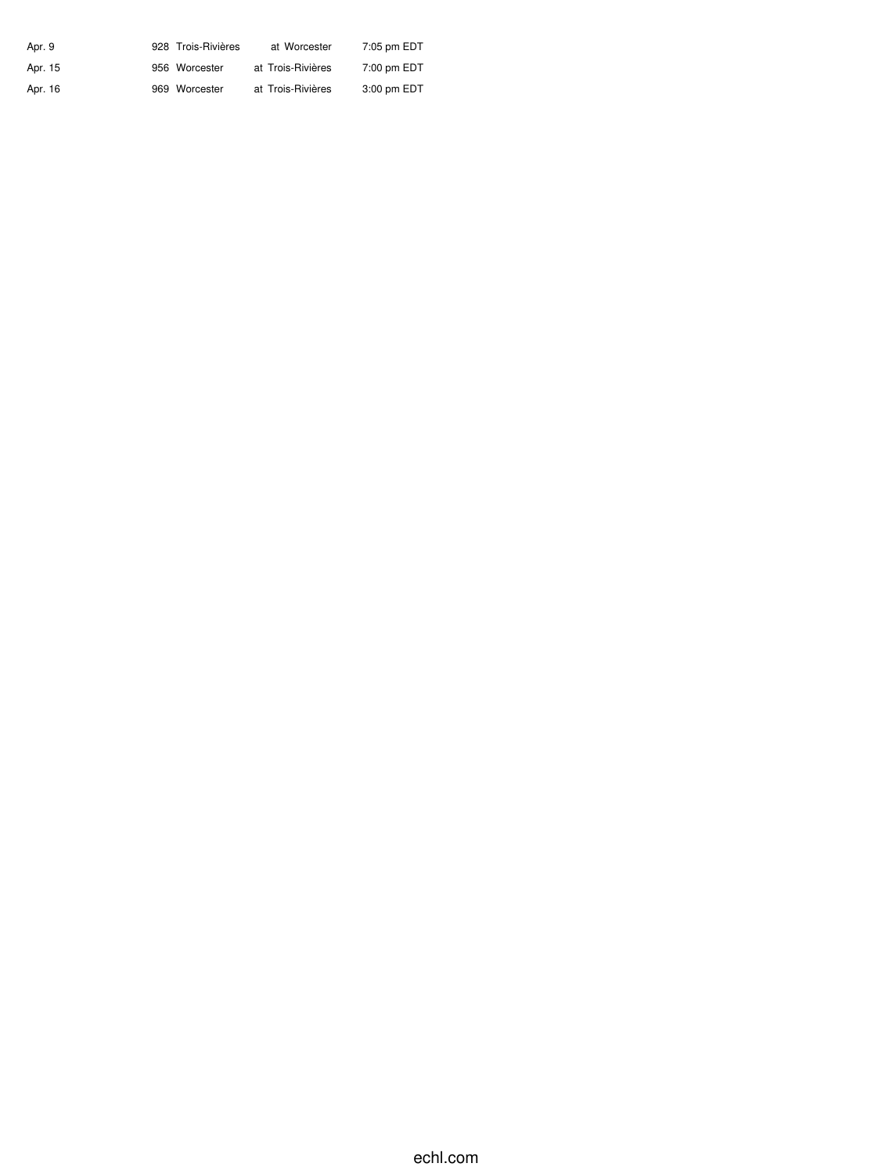| Apr. 9  | 928 Trois-Rivières | at Worcester      | 7:05 pm EDT |
|---------|--------------------|-------------------|-------------|
| Apr. 15 | 956 Worcester      | at Trois-Rivières | 7:00 pm EDT |
| Apr. 16 | 969 Worcester      | at Trois-Rivières | 3:00 pm EDT |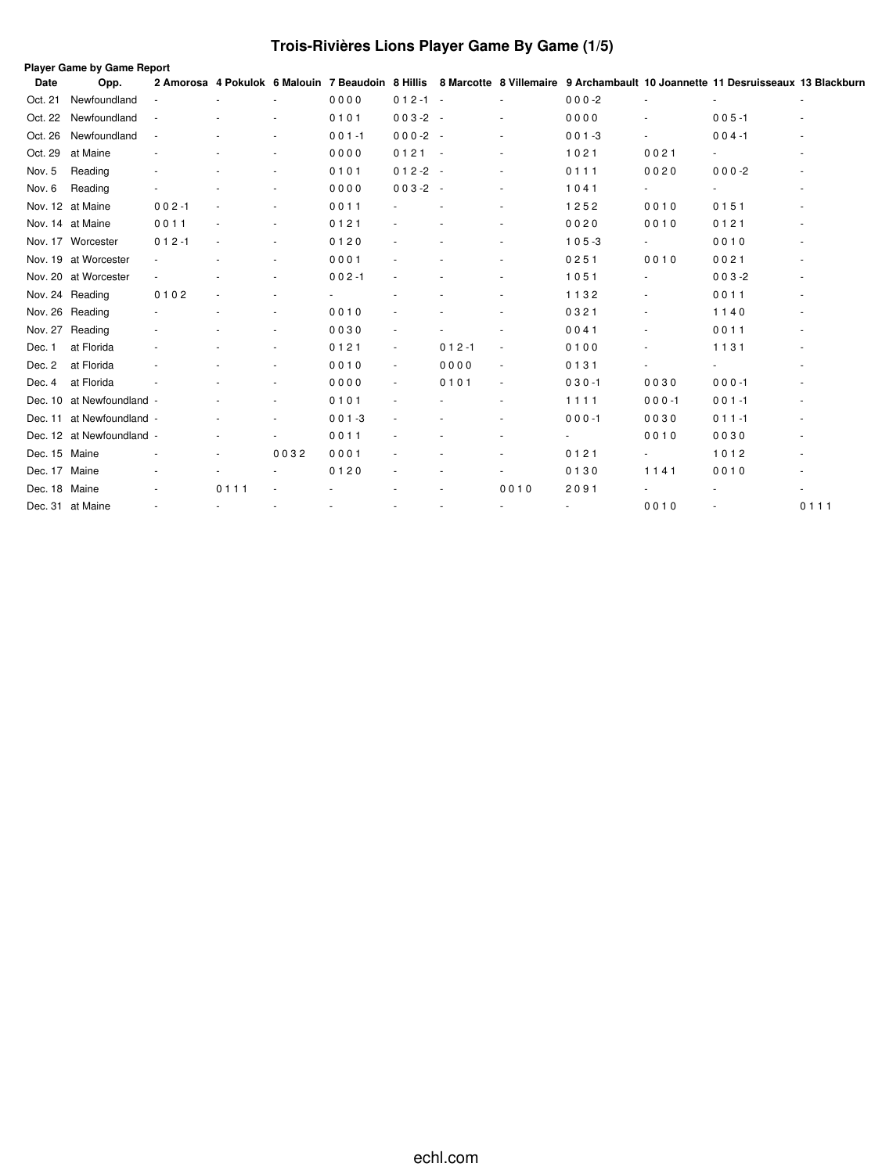# **Trois-Rivières Lions Player Game By Game (1/5)**

|               | <b>Player Game by Game Report</b> |           |      |                          |                                                   |                          |           |                          |           |                          |                                                                                 |        |
|---------------|-----------------------------------|-----------|------|--------------------------|---------------------------------------------------|--------------------------|-----------|--------------------------|-----------|--------------------------|---------------------------------------------------------------------------------|--------|
| Date          | Opp.                              |           |      |                          | 2 Amorosa 4 Pokulok 6 Malouin 7 Beaudoin 8 Hillis |                          |           |                          |           |                          | 8 Marcotte 8 Villemaire 9 Archambault 10 Joannette 11 Desruisseaux 13 Blackburn |        |
| Oct. 21       | Newfoundland                      |           |      |                          | 0000                                              | $012 - 1 -$              |           |                          | $000-2$   |                          |                                                                                 | ä,     |
| Oct. 22       | Newfoundland                      |           |      |                          | 0101                                              | $003-2 -$                |           |                          | 0000      |                          | $005 - 1$                                                                       |        |
| Oct. 26       | Newfoundland                      |           |      |                          | $001 - 1$                                         | $000-2 -$                |           |                          | $001 - 3$ |                          | $004 - 1$                                                                       |        |
| Oct. 29       | at Maine                          |           |      |                          | 0000                                              | $0121 -$                 |           |                          | 1021      | 0021                     |                                                                                 | $\sim$ |
| Nov. 5        | Reading                           |           |      | $\overline{\phantom{a}}$ | 0101                                              | $012-2 -$                |           |                          | 0111      | 0020                     | $000 - 2$                                                                       |        |
| Nov. 6        | Reading                           |           |      | $\overline{\phantom{a}}$ | 0000                                              | $003-2 -$                |           | $\overline{\phantom{a}}$ | 1041      | $\overline{\phantom{a}}$ | $\overline{\phantom{0}}$                                                        |        |
|               | Nov. 12 at Maine                  | $002 - 1$ |      |                          | 0011                                              |                          |           |                          | 1252      | 0010                     | 0151                                                                            |        |
|               | Nov. 14 at Maine                  | 0011      |      | $\overline{\phantom{a}}$ | 0121                                              |                          |           | ٠                        | 0020      | 0010                     | 0121                                                                            |        |
|               | Nov. 17 Worcester                 | $012 - 1$ |      | $\overline{\phantom{a}}$ | 0120                                              |                          |           |                          | $105 - 3$ |                          | 0010                                                                            |        |
|               | Nov. 19 at Worcester              |           |      | $\overline{\phantom{a}}$ | 0001                                              |                          |           |                          | 0251      | 0010                     | 0021                                                                            |        |
|               | Nov. 20 at Worcester              |           |      | ٠                        | $002 - 1$                                         |                          |           |                          | 1051      |                          | $003 - 2$                                                                       |        |
|               | Nov. 24 Reading                   | 0102      |      |                          |                                                   |                          |           |                          | 1132      |                          | 0011                                                                            |        |
|               | Nov. 26 Reading                   |           |      |                          | 0010                                              |                          |           |                          | 0321      |                          | 1140                                                                            |        |
|               | Nov. 27 Reading                   |           |      |                          | 0030                                              |                          |           |                          | 0041      |                          | 0011                                                                            |        |
| Dec. 1        | at Florida                        |           |      |                          | 0121                                              |                          | $012 - 1$ | $\overline{\phantom{a}}$ | 0100      | $\overline{\phantom{a}}$ | 1131                                                                            |        |
| Dec. 2        | at Florida                        |           |      | ٠                        | 0010                                              | $\overline{\phantom{a}}$ | 0000      | $\overline{\phantom{a}}$ | 0131      |                          | ä,                                                                              |        |
| Dec. 4        | at Florida                        |           |      | ٠                        | 0000                                              | $\overline{\phantom{a}}$ | 0101      | $\overline{\phantom{a}}$ | $030 - 1$ | 0030                     | $000 - 1$                                                                       |        |
| Dec. 10       | at Newfoundland -                 |           |      | ٠                        | 0101                                              |                          |           | $\overline{\phantom{a}}$ | 1111      | $000 - 1$                | $001 - 1$                                                                       |        |
| Dec. 11       | at Newfoundland -                 |           |      | $\overline{\phantom{a}}$ | $001 - 3$                                         |                          |           |                          | $000 - 1$ | 0030                     | $011 - 1$                                                                       |        |
|               | Dec. 12 at Newfoundland -         |           |      | $\overline{\phantom{a}}$ | 0011                                              |                          |           |                          |           | 0010                     | 0030                                                                            |        |
| Dec. 15 Maine |                                   |           |      | 0032                     | 0001                                              |                          |           |                          | 0121      | $\overline{\phantom{a}}$ | 1012                                                                            |        |
| Dec. 17 Maine |                                   |           |      |                          | 0120                                              |                          |           |                          | 0130      | 1141                     | 0010                                                                            |        |
| Dec. 18 Maine |                                   |           | 0111 |                          |                                                   |                          |           | 0010                     | 2091      |                          |                                                                                 |        |
|               | Dec. 31 at Maine                  |           |      |                          |                                                   |                          |           |                          |           | 0010                     |                                                                                 | 0111   |
|               |                                   |           |      |                          |                                                   |                          |           |                          |           |                          |                                                                                 |        |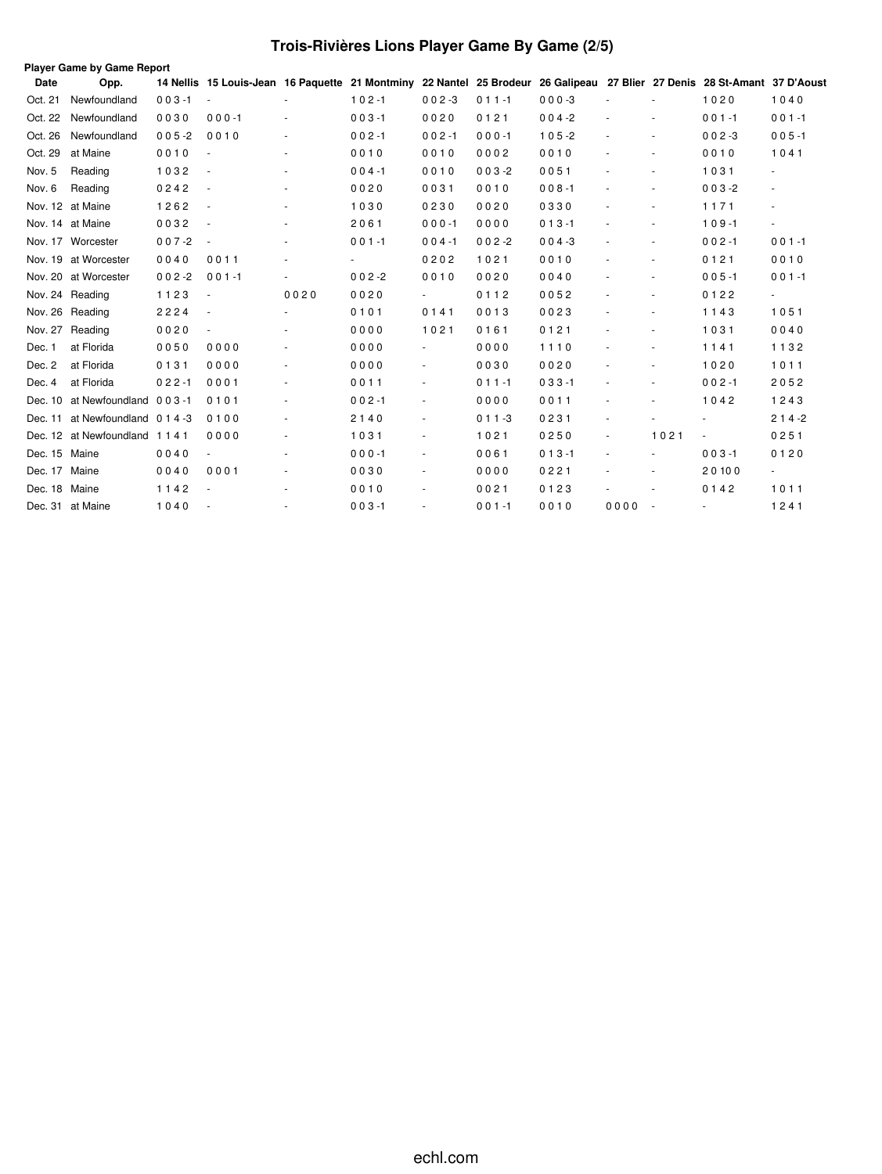# **Trois-Rivières Lions Player Game By Game (2/5)**

| Opp.         |                                                                                                                                                                                                                                              |                                                                                                                                        |                          |                          |                          |           |           |                              |                          |                          |                                                                                                                           |
|--------------|----------------------------------------------------------------------------------------------------------------------------------------------------------------------------------------------------------------------------------------------|----------------------------------------------------------------------------------------------------------------------------------------|--------------------------|--------------------------|--------------------------|-----------|-----------|------------------------------|--------------------------|--------------------------|---------------------------------------------------------------------------------------------------------------------------|
| Newfoundland | $003 - 1$                                                                                                                                                                                                                                    | $\overline{\phantom{a}}$                                                                                                               |                          | $102 - 1$                | $002 - 3$                | $011 - 1$ | $000-3$   |                              |                          | 1020                     | 1040                                                                                                                      |
| Newfoundland | 0030                                                                                                                                                                                                                                         | $000 - 1$                                                                                                                              | ÷,                       | $003 - 1$                | 0020                     | 0121      | $004 - 2$ | $\sim$                       |                          | $001 - 1$                | $001 - 1$                                                                                                                 |
| Newfoundland | $005 - 2$                                                                                                                                                                                                                                    | 0010                                                                                                                                   | ٠                        | $002 - 1$                | $002 - 1$                | $000 - 1$ | $105 - 2$ |                              |                          | $002 - 3$                | $005 - 1$                                                                                                                 |
| at Maine     | 0010                                                                                                                                                                                                                                         |                                                                                                                                        | ٠                        | 0010                     | 0010                     | 0002      | 0010      | $\qquad \qquad \blacksquare$ |                          | 0010                     | 1041                                                                                                                      |
| Reading      | 1032                                                                                                                                                                                                                                         |                                                                                                                                        | ٠                        | $004 - 1$                | 0010                     | $003 - 2$ | 0051      |                              | $\overline{\phantom{a}}$ | 1031                     |                                                                                                                           |
| Reading      | 0242                                                                                                                                                                                                                                         | $\overline{\phantom{a}}$                                                                                                               | ٠                        | 0020                     | 0031                     | 0010      | $008 - 1$ | $\overline{\phantom{a}}$     | $\overline{\phantom{a}}$ | $003 - 2$                | $\sim$                                                                                                                    |
|              | 1262                                                                                                                                                                                                                                         |                                                                                                                                        | ٠                        | 1030                     | 0230                     | 0020      | 0330      |                              | $\overline{\phantom{a}}$ | 1171                     | $\sim$                                                                                                                    |
|              | 0032                                                                                                                                                                                                                                         | $\overline{\phantom{a}}$                                                                                                               | ä,                       | 2061                     | $000 - 1$                | 0000      | $013 - 1$ | ٠                            | $\overline{\phantom{a}}$ | $109 - 1$                | $\blacksquare$                                                                                                            |
|              | $007 - 2$                                                                                                                                                                                                                                    | $\overline{\phantom{a}}$                                                                                                               | ٠                        | $001 - 1$                | $004 - 1$                | $002 - 2$ | $004 - 3$ | $\sim$                       | $\overline{\phantom{a}}$ | $002 - 1$                | $001 - 1$                                                                                                                 |
|              | 0040                                                                                                                                                                                                                                         | 0011                                                                                                                                   | $\overline{\phantom{a}}$ | $\overline{\phantom{a}}$ | 0202                     | 1021      | 0010      | $\qquad \qquad \blacksquare$ | $\overline{\phantom{a}}$ | 0121                     | 0010                                                                                                                      |
|              | $002 - 2$                                                                                                                                                                                                                                    | $001 - 1$                                                                                                                              | $\blacksquare$           | $002 - 2$                | 0010                     | 0020      | 0040      | $\qquad \qquad \blacksquare$ | $\overline{\phantom{a}}$ | $005 - 1$                | $001 - 1$                                                                                                                 |
|              | 1123                                                                                                                                                                                                                                         | $\overline{\phantom{a}}$                                                                                                               | 0020                     | 0020                     | $\sim$                   | 0112      | 0052      | $\qquad \qquad \blacksquare$ | $\overline{\phantom{a}}$ | 0122                     | $\sim$                                                                                                                    |
|              | 2224                                                                                                                                                                                                                                         | $\overline{\phantom{a}}$                                                                                                               |                          | 0101                     | 0141                     | 0013      | 0023      |                              | $\overline{\phantom{a}}$ | 1143                     | 1051                                                                                                                      |
|              | 0020                                                                                                                                                                                                                                         | ä,                                                                                                                                     |                          | 0000                     | 1021                     | 0161      | 0121      |                              | $\overline{\phantom{a}}$ | 1031                     | 0040                                                                                                                      |
| at Florida   | 0050                                                                                                                                                                                                                                         | 0000                                                                                                                                   |                          | 0000                     | $\sim$                   | 0000      | 1110      |                              |                          | 1141                     | 1132                                                                                                                      |
| at Florida   | 0131                                                                                                                                                                                                                                         | 0000                                                                                                                                   | ä,                       | 0000                     | $\blacksquare$           | 0030      | 0020      |                              |                          | 1020                     | 1011                                                                                                                      |
| at Florida   | $022 - 1$                                                                                                                                                                                                                                    | 0001                                                                                                                                   | ٠                        | 0011                     | $\blacksquare$           | $011 - 1$ | $033 - 1$ |                              |                          | $002 - 1$                | 2052                                                                                                                      |
|              |                                                                                                                                                                                                                                              | 0101                                                                                                                                   | $\overline{\phantom{a}}$ | $002 - 1$                | $\overline{\phantom{a}}$ | 0000      | 0011      |                              |                          | 1042                     | 1243                                                                                                                      |
|              |                                                                                                                                                                                                                                              | 0100                                                                                                                                   | $\blacksquare$           | 2140                     | $\blacksquare$           | $011 - 3$ | 0231      | $\overline{\phantom{a}}$     |                          |                          | $214-2$                                                                                                                   |
|              |                                                                                                                                                                                                                                              | 0000                                                                                                                                   | ٠                        | 1031                     | $\overline{\phantom{a}}$ | 1021      | 0250      | $\overline{\phantom{a}}$     | 1021                     | $\overline{\phantom{a}}$ | 0251                                                                                                                      |
|              | 0040                                                                                                                                                                                                                                         | ÷.                                                                                                                                     | $\blacksquare$           | $000 - 1$                | $\blacksquare$           | 0061      | $013 - 1$ | $\overline{\phantom{a}}$     | ÷.                       | $003 - 1$                | 0120                                                                                                                      |
|              | 0040                                                                                                                                                                                                                                         | 0001                                                                                                                                   | $\frac{1}{2}$            | 0030                     | $\blacksquare$           | 0000      | 0221      |                              | $\overline{\phantom{a}}$ | 20100                    | ÷.                                                                                                                        |
|              | 1142                                                                                                                                                                                                                                         |                                                                                                                                        | $\sim$                   | 0010                     | $\sim$                   | 0021      | 0123      |                              | $\overline{\phantom{a}}$ | 0142                     | 1011                                                                                                                      |
|              | 1040                                                                                                                                                                                                                                         |                                                                                                                                        |                          | $003 - 1$                | $\sim$                   | $001 - 1$ | 0010      | 0000                         |                          |                          | 1241                                                                                                                      |
|              | Nov. 12 at Maine<br>Nov. 14 at Maine<br>Nov. 17 Worcester<br>Nov. 19 at Worcester<br>Nov. 20 at Worcester<br>Nov. 24 Reading<br>Nov. 26 Reading<br>Nov. 27<br>Reading<br>Dec. 15 Maine<br>Dec. 17 Maine<br>Dec. 18 Maine<br>Dec. 31 at Maine | <b>Player Game by Game Report</b><br>Dec. 10 at Newfoundland 003-1<br>Dec. 11 at Newfoundland 0 1 4 -3<br>Dec. 12 at Newfoundland 1141 |                          |                          |                          |           |           |                              |                          | $\sim$                   | 14 Nellis 15 Louis-Jean 16 Paquette 21 Montminy 22 Nantel 25 Brodeur 26 Galipeau 27 Blier 27 Denis 28 St-Amant 37 D'Aoust |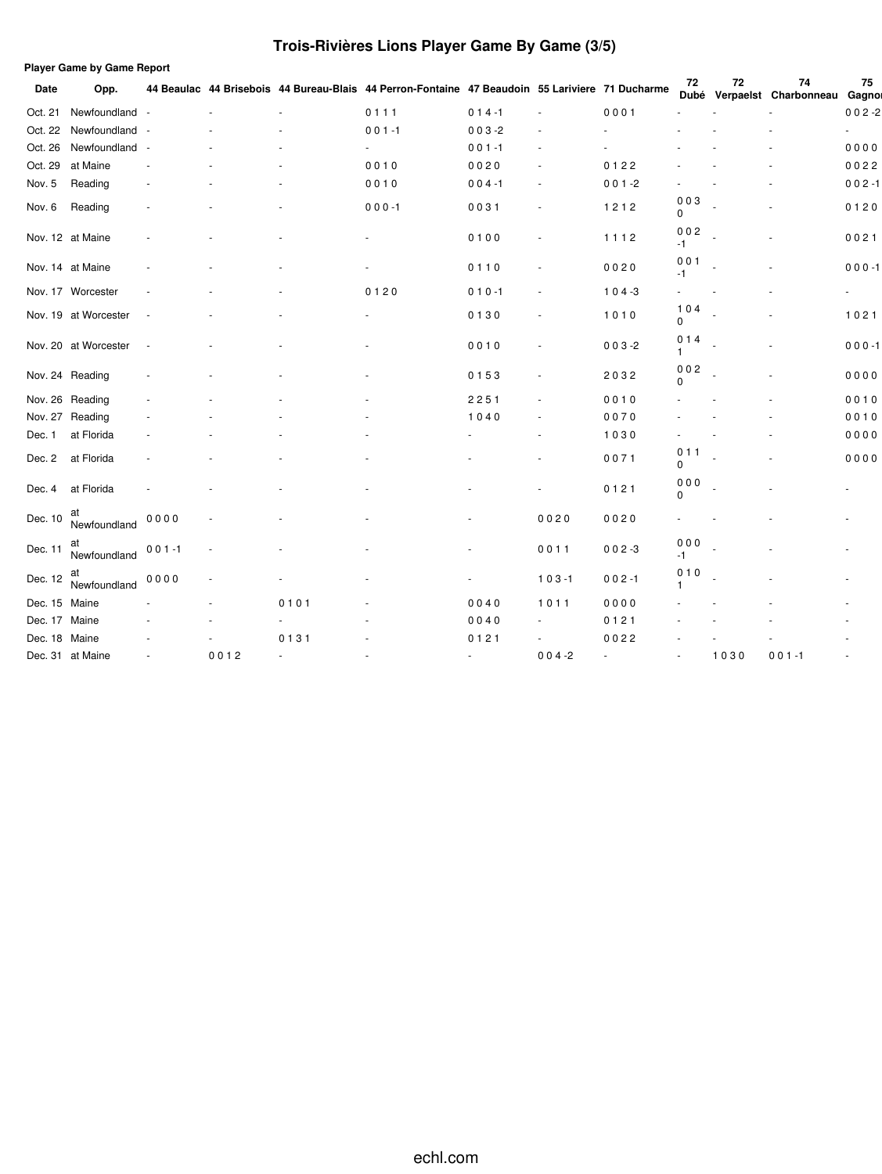# **Trois-Rivières Lions Player Game By Game (3/5)**

|               | <b>Player Game by Game Report</b> |           |      |        |                                                                                                 |           |                          |           |                   |      |                             |                          |
|---------------|-----------------------------------|-----------|------|--------|-------------------------------------------------------------------------------------------------|-----------|--------------------------|-----------|-------------------|------|-----------------------------|--------------------------|
| Date          | Opp.                              |           |      |        | 44 Beaulac 44 Brisebois 44 Bureau-Blais 44 Perron-Fontaine 47 Beaudoin 55 Lariviere 71 Ducharme |           |                          |           | 72<br><b>Dubé</b> | 72   | 74<br>Verpaelst Charbonneau | 75<br>Gagnor             |
| Oct. 21       | Newfoundland                      |           |      |        | 0111                                                                                            | $014 - 1$ | $\sim$                   | 0001      |                   |      |                             | $002 - 2$                |
|               | Oct. 22 Newfoundland              |           |      |        | $001 - 1$                                                                                       | $003 - 2$ |                          |           |                   |      |                             | ä,                       |
| Oct. 26       | Newfoundland                      |           |      |        |                                                                                                 | $001 - 1$ |                          |           |                   |      |                             | 0000                     |
| Oct. 29       | at Maine                          |           |      |        | 0010                                                                                            | 0020      |                          | 0122      |                   |      |                             | 0022                     |
| Nov. 5        | Reading                           |           |      |        | 0010                                                                                            | $004 - 1$ |                          | $001 - 2$ |                   |      |                             | $002 - 1$                |
| Nov. 6        | Reading                           |           |      |        | $000 - 1$                                                                                       | 0031      | ٠                        | 1212      | 003<br>$\Omega$   |      |                             | 0120                     |
|               | Nov. 12 at Maine                  |           |      |        |                                                                                                 | 0100      |                          | 1112      | 002<br>-1         |      |                             | 0021                     |
|               | Nov. 14 at Maine                  |           |      |        |                                                                                                 | 0110      |                          | 0020      | 001<br>-1         |      |                             | $000 - 1$                |
|               | Nov. 17 Worcester                 |           |      |        | 0120                                                                                            | $010 - 1$ |                          | $104 - 3$ |                   |      |                             | $\overline{\phantom{a}}$ |
|               | Nov. 19 at Worcester              |           |      |        |                                                                                                 | 0130      |                          | 1010      | 104<br>$\Omega$   |      |                             | 1021                     |
|               | Nov. 20 at Worcester              |           |      |        |                                                                                                 | 0010      |                          | $003 - 2$ | 014<br>1          |      |                             | $000 - 1$                |
|               | Nov. 24 Reading                   |           |      |        |                                                                                                 | 0153      |                          | 2032      | 002<br>$\Omega$   |      |                             | 0000                     |
|               | Nov. 26 Reading                   |           |      |        |                                                                                                 | 2251      |                          | 0010      |                   |      |                             | 0010                     |
|               | Nov. 27 Reading                   |           |      |        |                                                                                                 | 1040      |                          | 0070      |                   |      |                             | 0010                     |
| Dec. 1        | at Florida                        |           |      |        |                                                                                                 |           |                          | 1030      |                   |      |                             | 0000                     |
| Dec. 2        | at Florida                        |           |      |        |                                                                                                 |           |                          | 0071      | 011<br>0          |      |                             | 0000                     |
| Dec. 4        | at Florida                        |           |      |        |                                                                                                 |           |                          | 0121      | 000<br>$\Omega$   |      |                             |                          |
| Dec. 10       | at<br>Newfoundland                | 0000      |      |        |                                                                                                 |           | 0020                     | 0020      |                   |      |                             |                          |
| Dec. 11       | at<br>Newfoundland                | $001 - 1$ |      |        |                                                                                                 |           | 0011                     | $002 - 3$ | 000<br>$-1$       |      |                             |                          |
| Dec. 12       | at<br>Newfoundland                | 0000      |      |        |                                                                                                 |           | $103 - 1$                | $002 - 1$ | 010               |      |                             |                          |
| Dec. 15 Maine |                                   |           |      | 0101   |                                                                                                 | 0040      | 1011                     | 0000      |                   |      |                             |                          |
| Dec. 17 Maine |                                   |           |      |        |                                                                                                 | 0040      |                          | 0121      |                   |      |                             |                          |
| Dec. 18 Maine |                                   |           |      | 0131   |                                                                                                 | 0121      | $\overline{\phantom{a}}$ | 0022      |                   |      |                             |                          |
|               | Dec. 31 at Maine                  |           | 0012 | $\sim$ |                                                                                                 | $\sim$    | $004 - 2$                | ä,        |                   | 1030 | $001 - 1$                   |                          |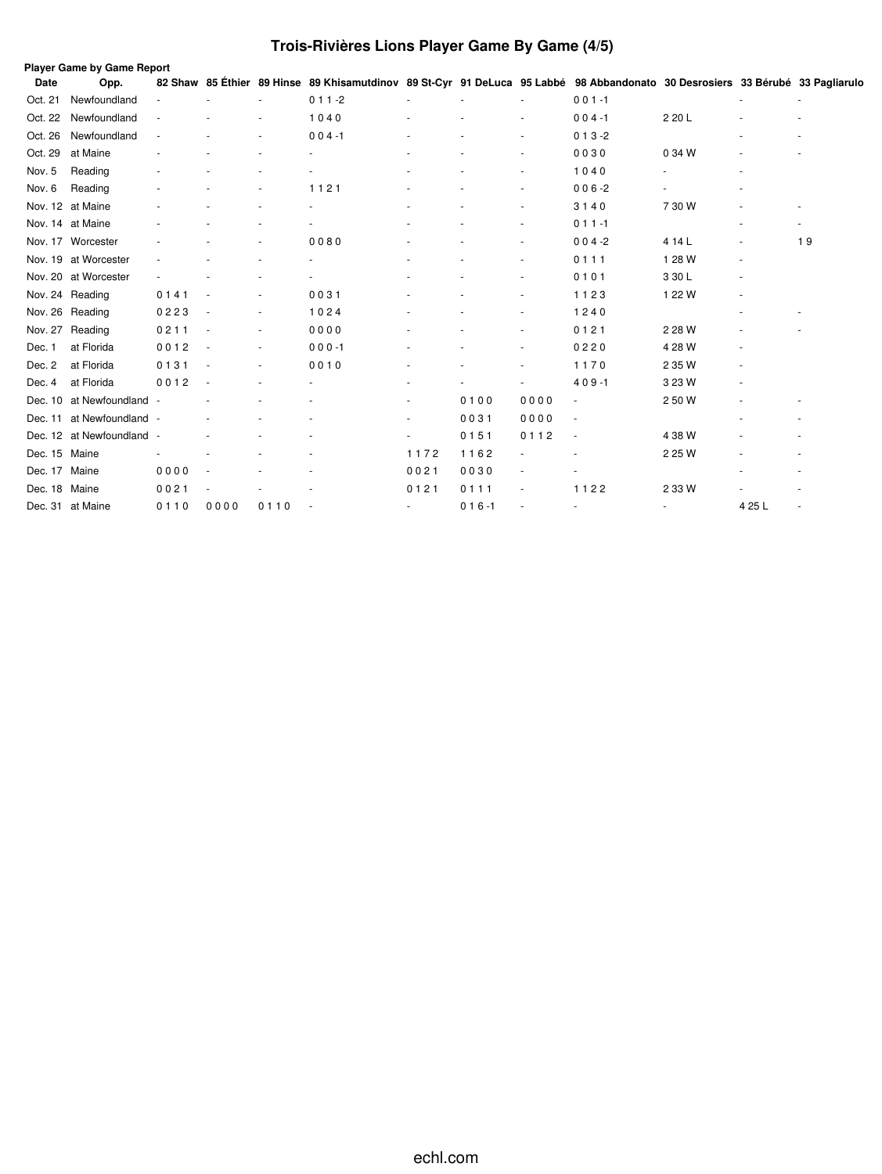# **Trois-Rivières Lions Player Game By Game (4/5)**

|               | Player Game by Game Report |      |      |      |                                                                                                                               |        |           |                          |           |        |                          |    |  |
|---------------|----------------------------|------|------|------|-------------------------------------------------------------------------------------------------------------------------------|--------|-----------|--------------------------|-----------|--------|--------------------------|----|--|
| Date          | Opp.                       |      |      |      | 82 Shaw 85 Éthier 89 Hinse 89 Khisamutdinov 89 St-Cyr 91 DeLuca 95 Labbé 98 Abbandonato 30 Desrosiers 33 Bérubé 33 Pagliarulo |        |           |                          |           |        |                          |    |  |
| Oct. 21       | Newfoundland               |      |      |      | $011 - 2$                                                                                                                     |        |           |                          | $001 - 1$ |        |                          |    |  |
| Oct. 22       | Newfoundland               |      |      |      | 1040                                                                                                                          |        |           |                          | $004 - 1$ | 2 20 L |                          |    |  |
| Oct. 26       | Newfoundland               |      |      |      | $004 - 1$                                                                                                                     |        |           |                          | $013 - 2$ |        |                          |    |  |
| Oct. 29       | at Maine                   |      |      |      |                                                                                                                               |        |           | ٠                        | 0030      | 0 34 W |                          |    |  |
| Nov. 5        | Reading                    |      |      |      |                                                                                                                               |        |           |                          | 1040      |        |                          |    |  |
| Nov. 6        | Reading                    |      |      |      | 1121                                                                                                                          |        |           | $\sim$                   | $006 - 2$ |        |                          |    |  |
|               | Nov. 12 at Maine           |      |      |      |                                                                                                                               |        |           |                          | 3140      | 7 30 W |                          |    |  |
|               | Nov. 14 at Maine           |      |      |      |                                                                                                                               |        |           | ٠                        | $011 - 1$ |        |                          | ۰  |  |
|               | Nov. 17 Worcester          |      |      |      | 0080                                                                                                                          |        |           |                          | $004 - 2$ | 4 14 L |                          | 19 |  |
|               | Nov. 19 at Worcester       |      |      |      |                                                                                                                               |        |           | ٠                        | 0111      | 1 28 W | $\overline{\phantom{a}}$ |    |  |
|               | Nov. 20 at Worcester       |      |      |      |                                                                                                                               |        |           |                          | 0101      | 3 30 L |                          |    |  |
|               | Nov. 24 Reading            | 0141 |      |      | 0031                                                                                                                          |        |           |                          | 1123      | 1 22 W |                          |    |  |
|               | Nov. 26 Reading            | 0223 |      |      | 1024                                                                                                                          |        |           |                          | 1240      |        |                          |    |  |
|               | Nov. 27 Reading            | 0211 |      |      | 0000                                                                                                                          |        |           |                          | 0121      | 2 28 W |                          |    |  |
| Dec. 1        | at Florida                 | 0012 |      |      | $000 - 1$                                                                                                                     |        |           |                          | 0220      | 4 28 W |                          |    |  |
| Dec. 2        | at Florida                 | 0131 |      |      | 0010                                                                                                                          |        |           |                          | 1170      | 2 35 W |                          |    |  |
| Dec. 4        | at Florida                 | 0012 |      |      |                                                                                                                               |        |           |                          | $409 - 1$ | 3 23 W |                          |    |  |
|               | Dec. 10 at Newfoundland -  |      |      |      |                                                                                                                               |        | 0100      | 0000                     |           | 2 50 W |                          |    |  |
|               | Dec. 11 at Newfoundland -  |      |      |      |                                                                                                                               |        | 0031      | 0000                     |           |        |                          |    |  |
|               | Dec. 12 at Newfoundland -  |      |      |      |                                                                                                                               | $\sim$ | 0151      | 0112                     |           | 4 38 W |                          |    |  |
| Dec. 15 Maine |                            |      |      |      |                                                                                                                               | 1172   | 1162      |                          |           | 2 25 W |                          |    |  |
| Dec. 17 Maine |                            | 0000 |      |      |                                                                                                                               | 0021   | 0030      |                          |           |        |                          |    |  |
| Dec. 18 Maine |                            | 0021 |      |      |                                                                                                                               | 0121   | 0111      | $\overline{\phantom{a}}$ | 1122      | 2 33 W |                          |    |  |
|               | Dec. 31 at Maine           | 0110 | 0000 | 0110 | $\overline{\phantom{a}}$                                                                                                      |        | $016 - 1$ | $\sim$                   |           |        | 4 25 L                   |    |  |
|               |                            |      |      |      |                                                                                                                               |        |           |                          |           |        |                          |    |  |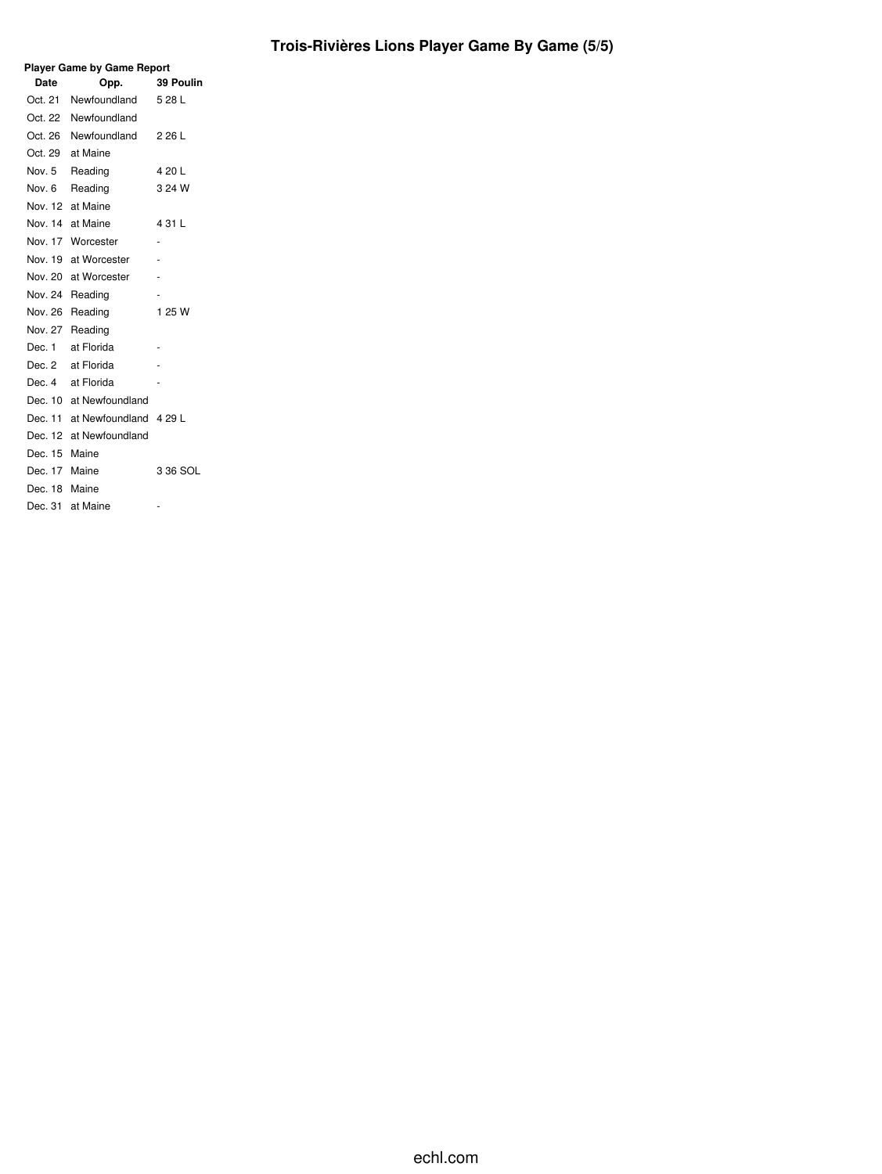# **Trois-Rivières Lions Player Game By Game (5/5)**

| <b>Player Game by Game Report</b> |                                |           |  |  |  |  |  |  |  |  |
|-----------------------------------|--------------------------------|-----------|--|--|--|--|--|--|--|--|
| Date                              | Opp.                           | 39 Poulin |  |  |  |  |  |  |  |  |
| Oct. 21                           | Newfoundland                   | 5 28 L    |  |  |  |  |  |  |  |  |
|                                   | Oct. 22 Newfoundland           |           |  |  |  |  |  |  |  |  |
|                                   | Oct. 26 Newfoundland           | 2 26 L    |  |  |  |  |  |  |  |  |
|                                   | Oct. 29 at Maine               |           |  |  |  |  |  |  |  |  |
|                                   | Nov. 5 Reading                 | 4 20 L    |  |  |  |  |  |  |  |  |
| Nov. 6                            | Reading                        | 3 24 W    |  |  |  |  |  |  |  |  |
|                                   | Nov. 12 at Maine               |           |  |  |  |  |  |  |  |  |
|                                   | Nov. 14 at Maine               | 4 31 L    |  |  |  |  |  |  |  |  |
|                                   | Nov. 17 Worcester              | ٠         |  |  |  |  |  |  |  |  |
|                                   | Nov. 19 at Worcester           |           |  |  |  |  |  |  |  |  |
|                                   | Nov. 20 at Worcester           |           |  |  |  |  |  |  |  |  |
|                                   | Nov. 24 Reading                |           |  |  |  |  |  |  |  |  |
|                                   | Nov. 26 Reading                | 1 25 W    |  |  |  |  |  |  |  |  |
|                                   | Nov. 27 Reading                |           |  |  |  |  |  |  |  |  |
| Dec. 1                            | at Florida                     |           |  |  |  |  |  |  |  |  |
|                                   | Dec. 2 at Florida              |           |  |  |  |  |  |  |  |  |
|                                   | Dec. 4 at Florida              |           |  |  |  |  |  |  |  |  |
|                                   | Dec. 10 at Newfoundland        |           |  |  |  |  |  |  |  |  |
|                                   | Dec. 11 at Newfoundland 4 29 L |           |  |  |  |  |  |  |  |  |
|                                   | Dec. 12 at Newfoundland        |           |  |  |  |  |  |  |  |  |
| Dec. 15 Maine                     |                                |           |  |  |  |  |  |  |  |  |
| Dec. 17 Maine                     |                                | 3 36 SOL  |  |  |  |  |  |  |  |  |
| Dec. 18 Maine                     |                                |           |  |  |  |  |  |  |  |  |
|                                   | Dec. 31 at Maine               |           |  |  |  |  |  |  |  |  |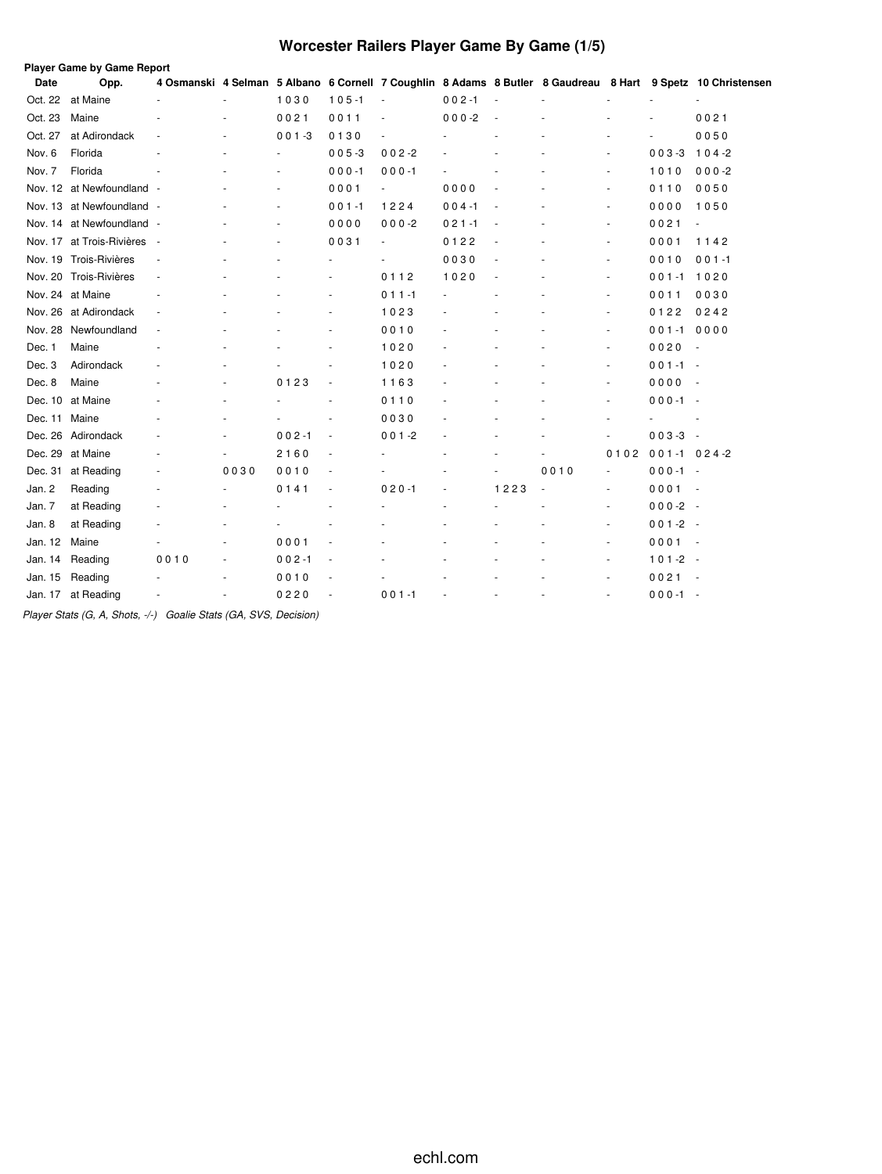# **Worcester Railers Player Game By Game (1/5)**

|         | Player Game by Game Report |        |      |           |                          |                          |           |      |      |                          |                  |                                                                                                             |
|---------|----------------------------|--------|------|-----------|--------------------------|--------------------------|-----------|------|------|--------------------------|------------------|-------------------------------------------------------------------------------------------------------------|
| Date    | Opp.                       |        |      |           |                          |                          |           |      |      |                          |                  | 4 Osmanski 4 Selman 5 Albano 6 Cornell 7 Coughlin 8 Adams 8 Butler 8 Gaudreau 8 Hart 9 Spetz 10 Christensen |
| Oct. 22 | at Maine                   |        |      | 1030      | $105 - 1$                |                          | $002 - 1$ |      |      |                          |                  |                                                                                                             |
| Oct. 23 | Maine                      |        |      | 0021      | 0011                     |                          | $000 - 2$ |      |      |                          |                  | 0021                                                                                                        |
| Oct. 27 | at Adirondack              |        |      | $001 - 3$ | 0130                     |                          |           |      |      |                          |                  | 0050                                                                                                        |
| Nov. 6  | Florida                    |        |      |           | $005 - 3$                | $002 - 2$                |           |      |      | ä,                       | $003 - 3$        | $104 - 2$                                                                                                   |
| Nov. 7  | Florida                    |        |      |           | $000 - 1$                | $000 - 1$                |           |      |      | ٠                        | 1010             | $000 - 2$                                                                                                   |
|         | Nov. 12 at Newfoundland -  |        |      |           | 0001                     | $\blacksquare$           | 0000      |      |      | ä,                       | 0110             | 0050                                                                                                        |
|         | Nov. 13 at Newfoundland -  |        |      |           | $001 - 1$                | 1224                     | $004 - 1$ |      |      | ٠                        | 0000             | 1050                                                                                                        |
|         | Nov. 14 at Newfoundland -  |        |      |           | 0000                     | $000 - 2$                | $021 - 1$ |      |      | $\overline{\phantom{a}}$ | 0021             |                                                                                                             |
|         | Nov. 17 at Trois-Rivières  | $\sim$ |      |           | 0031                     | $\overline{\phantom{a}}$ | 0122      | ٠    |      | $\sim$                   | 0001             | 1142                                                                                                        |
|         | Nov. 19 Trois-Rivières     |        |      |           |                          |                          | 0030      |      |      | ä,                       | 0010             | $001 - 1$                                                                                                   |
|         | Nov. 20 Trois-Rivières     |        |      |           |                          | 0112                     | 1020      |      |      | $\overline{\phantom{a}}$ | $001 - 1$        | 1020                                                                                                        |
|         | Nov. 24 at Maine           |        |      |           |                          | $011 - 1$                |           |      |      | ä,                       | 0011             | 0030                                                                                                        |
| Nov. 26 | at Adirondack              |        |      |           |                          | 1023                     |           |      |      | $\overline{\phantom{a}}$ | 0122             | 0242                                                                                                        |
| Nov. 28 | Newfoundland               |        |      |           |                          | 0010                     |           |      |      |                          | $001 - 1$        | 0000                                                                                                        |
| Dec. 1  | Maine                      |        |      |           |                          | 1020                     |           |      |      | ٠                        | 0020             | $\overline{\phantom{a}}$                                                                                    |
| Dec. 3  | Adirondack                 |        |      |           |                          | 1020                     |           |      |      | ٠                        | $001 - 1 -$      |                                                                                                             |
| Dec. 8  | Maine                      |        | ٠    | 0123      | $\overline{\phantom{a}}$ | 1163                     |           |      |      | $\overline{a}$           | 0000             | $\overline{\phantom{a}}$                                                                                    |
| Dec. 10 | at Maine                   |        |      |           |                          | 0110                     |           |      |      | ٠                        | $000 - 1 -$      |                                                                                                             |
| Dec. 11 | Maine                      |        |      |           |                          | 0030                     |           |      |      |                          |                  |                                                                                                             |
| Dec. 26 | Adirondack                 |        |      | $002 - 1$ | $\overline{\phantom{a}}$ | $001 - 2$                |           |      |      |                          | $003-3 -$        |                                                                                                             |
| Dec. 29 | at Maine                   |        |      | 2160      | ÷,                       |                          |           |      |      | 0102                     | $001 - 1024 - 2$ |                                                                                                             |
| Dec. 31 | at Reading                 |        | 0030 | 0010      | $\overline{\phantom{a}}$ |                          |           | ٠    | 0010 | $\blacksquare$           | $000 - 1 -$      |                                                                                                             |
| Jan. 2  | Reading                    |        |      | 0141      |                          | $020 - 1$                |           | 1223 |      | ä,                       | $0001 -$         |                                                                                                             |
| Jan. 7  | at Reading                 |        |      |           |                          |                          |           |      |      | ä,                       | $000-2 -$        |                                                                                                             |
| Jan. 8  | at Reading                 |        |      |           |                          |                          |           |      |      |                          | $001 - 2 -$      |                                                                                                             |
| Jan. 12 | Maine                      |        |      | 0001      |                          |                          |           |      |      | $\overline{\phantom{a}}$ | 0001             | $\sim$                                                                                                      |
| Jan. 14 | Reading                    | 0010   |      | $002 - 1$ |                          |                          |           |      |      |                          | $101 - 2 -$      |                                                                                                             |
| Jan. 15 | Reading                    |        |      | 0010      |                          |                          |           |      |      |                          | 0021             | $\sim$                                                                                                      |
| Jan. 17 | at Reading                 |        |      | 0220      |                          | $001 - 1$                |           | ÷.   |      |                          | $000 - 1 -$      |                                                                                                             |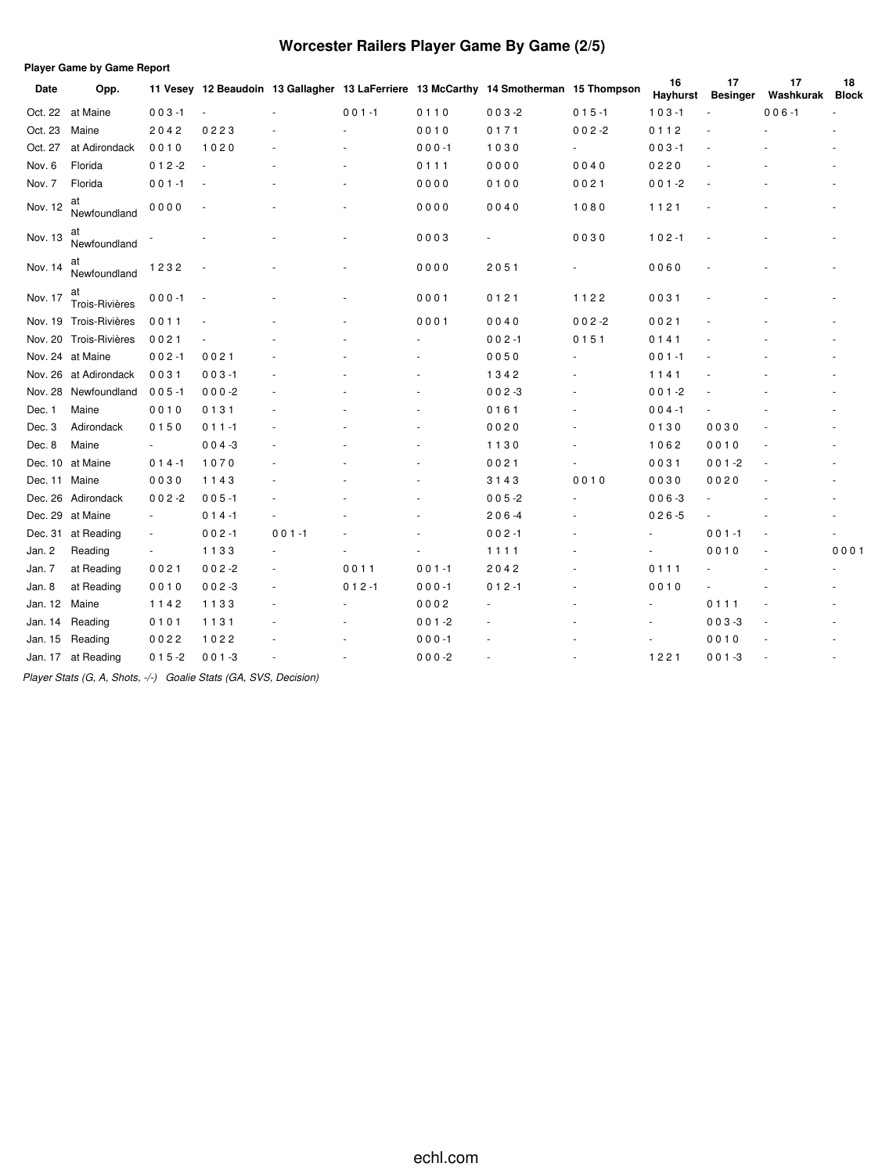# **Worcester Railers Player Game By Game (2/5)**

|               | <b>Player Game by Game Report</b> |                          |                |           |           |           |                                                                                       |                |                |                       |                 |                    |  |
|---------------|-----------------------------------|--------------------------|----------------|-----------|-----------|-----------|---------------------------------------------------------------------------------------|----------------|----------------|-----------------------|-----------------|--------------------|--|
| Date          | Opp.                              |                          |                |           |           |           | 11 Vesey 12 Beaudoin 13 Gallagher 13 LaFerriere 13 McCarthy 14 Smotherman 15 Thompson |                | 16<br>Hayhurst | 17<br><b>Besinger</b> | 17<br>Washkurak | 18<br><b>Block</b> |  |
| Oct. 22       | at Maine                          | $003 - 1$                | $\blacksquare$ |           | $001 - 1$ | 0110      | $003 - 2$                                                                             | $015 - 1$      | $103 - 1$      |                       | $006 - 1$       |                    |  |
| Oct. 23       | Maine                             | 2042                     | 0223           |           |           | 0010      | 0171                                                                                  | $002 - 2$      | 0112           |                       |                 |                    |  |
| Oct. 27       | at Adirondack                     | 0010                     | 1020           |           |           | $000 - 1$ | 1030                                                                                  | $\blacksquare$ | $003 - 1$      |                       |                 |                    |  |
| Nov. 6        | Florida                           | $012 - 2$                |                |           |           | 0111      | 0000                                                                                  | 0040           | 0220           |                       |                 |                    |  |
| Nov. 7        | Florida                           | $001 - 1$                |                |           |           | 0000      | 0100                                                                                  | 0021           | $001 - 2$      |                       |                 |                    |  |
| Nov. 12       | at<br>Newfoundland                | 0000                     |                |           |           | 0000      | 0040                                                                                  | 1080           | 1121           |                       |                 |                    |  |
| Nov. 13       | at<br>Newfoundland                |                          |                |           |           | 0003      |                                                                                       | 0030           | $102 - 1$      |                       |                 |                    |  |
| Nov. 14       | at<br>Newfoundland                | 1232                     |                |           |           | 0000      | 2051                                                                                  |                | 0060           |                       |                 |                    |  |
| Nov. 17       | at<br>Trois-Rivières              | $000 - 1$                |                |           |           | 0001      | 0121                                                                                  | 1122           | 0031           |                       |                 |                    |  |
|               | Nov. 19 Trois-Rivières            | 0011                     |                |           |           | 0001      | 0040                                                                                  | $002 - 2$      | 0021           |                       |                 |                    |  |
|               | Nov. 20 Trois-Rivières            | 0021                     |                |           |           |           | $002 - 1$                                                                             | 0151           | 0141           |                       |                 |                    |  |
|               | Nov. 24 at Maine                  | $002 - 1$                | 0021           |           |           |           | 0050                                                                                  |                | $001 - 1$      |                       |                 |                    |  |
| Nov. 26       | at Adirondack                     | 0031                     | $003 - 1$      |           |           |           | 1342                                                                                  |                | 1141           |                       |                 |                    |  |
| Nov. 28       | Newfoundland                      | $005 - 1$                | $000 - 2$      |           |           |           | $002 - 3$                                                                             |                | $001 - 2$      |                       |                 |                    |  |
| Dec. 1        | Maine                             | 0010                     | 0131           |           |           |           | 0161                                                                                  |                | $004 - 1$      |                       |                 |                    |  |
| Dec. 3        | Adirondack                        | 0150                     | $011 - 1$      |           |           |           | 0020                                                                                  |                | 0130           | 0030                  |                 |                    |  |
| Dec. 8        | Maine                             | $\blacksquare$           | $004 - 3$      |           |           |           | 1130                                                                                  |                | 1062           | 0010                  |                 |                    |  |
|               | Dec. 10 at Maine                  | $014 - 1$                | 1070           |           |           |           | 0021                                                                                  |                | 0031           | $001 - 2$             |                 |                    |  |
| Dec. 11 Maine |                                   | 0030                     | 1143           |           |           |           | 3143                                                                                  | 0010           | 0030           | 0020                  |                 |                    |  |
| Dec. 26       | Adirondack                        | $002 - 2$                | $005 - 1$      |           |           |           | $005 - 2$                                                                             |                | $006 - 3$      |                       |                 |                    |  |
| Dec. 29       | at Maine                          | $\overline{\phantom{a}}$ | $014 - 1$      |           |           |           | $206 - 4$                                                                             |                | $026 - 5$      |                       |                 |                    |  |
|               | Dec. 31 at Reading                | $\overline{\phantom{a}}$ | $002 - 1$      | $001 - 1$ |           |           | $002 - 1$                                                                             |                |                | $001 - 1$             |                 |                    |  |
| Jan. 2        | Reading                           | $\overline{\phantom{a}}$ | 1133           |           |           |           | 1111                                                                                  |                |                | 0010                  |                 | 0001               |  |
| Jan. 7        | at Reading                        | 0021                     | $002 - 2$      |           | 0011      | $001 - 1$ | 2042                                                                                  |                | 0111           |                       |                 |                    |  |
| Jan. 8        | at Reading                        | 0010                     | $002 - 3$      |           | $012 - 1$ | $000 - 1$ | $012 - 1$                                                                             |                | 0010           |                       |                 |                    |  |
| Jan. 12       | Maine                             | 1142                     | 1133           |           |           | 0002      |                                                                                       |                | ٠              | 0111                  |                 |                    |  |
| Jan. 14       | Reading                           | 0101                     | 1131           |           |           | $001 - 2$ |                                                                                       |                | ٠              | $003 - 3$             |                 |                    |  |
| Jan. 15       | Reading                           | 0022                     | 1022           |           |           | $000 - 1$ |                                                                                       |                |                | 0010                  |                 |                    |  |
| Jan. 17       | at Reading                        | $015 - 2$                | $001 - 3$      |           |           | $000-2$   |                                                                                       |                | 1221           | $001 - 3$             |                 |                    |  |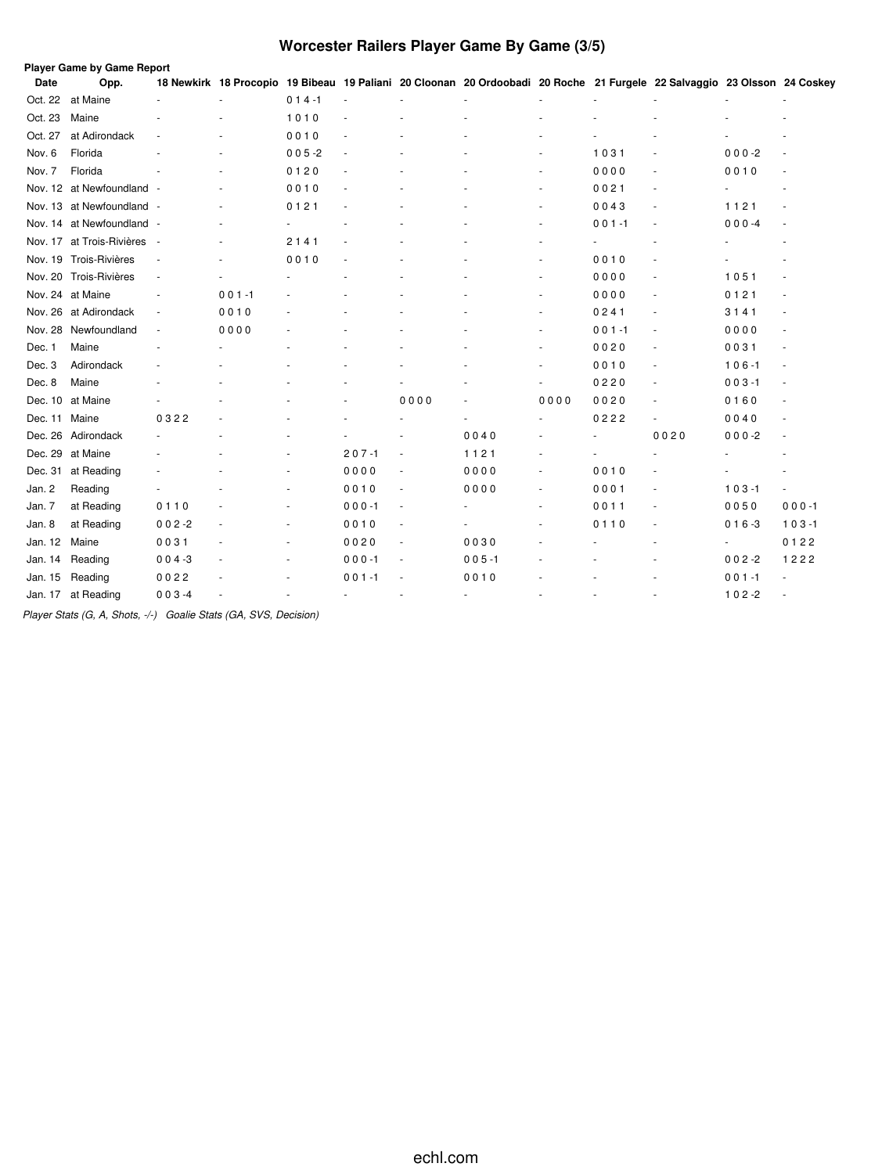# **Worcester Railers Player Game By Game (3/5)**

|               | Player Game by Game Report  |                          |           |           |           |                          |                                                                                                                          |                          |           |                          |           |                          |
|---------------|-----------------------------|--------------------------|-----------|-----------|-----------|--------------------------|--------------------------------------------------------------------------------------------------------------------------|--------------------------|-----------|--------------------------|-----------|--------------------------|
| Date          | Opp.                        |                          |           |           |           |                          | 18 Newkirk 18 Procopio 19 Bibeau 19 Paliani 20 Cloonan 20 Ordoobadi 20 Roche 21 Furgele 22 Salvaggio 23 Olsson 24 Coskey |                          |           |                          |           |                          |
| Oct. 22       | at Maine                    |                          |           | $014 - 1$ |           |                          |                                                                                                                          |                          |           |                          |           |                          |
| Oct. 23       | Maine                       |                          |           | 1010      |           |                          |                                                                                                                          |                          |           |                          |           |                          |
| Oct. 27       | at Adirondack               |                          |           | 0010      |           |                          |                                                                                                                          |                          |           |                          |           |                          |
| Nov. 6        | Florida                     |                          |           | $005 - 2$ |           |                          |                                                                                                                          |                          | 1031      |                          | $000-2$   |                          |
| Nov. 7        | Florida                     |                          |           | 0120      |           |                          |                                                                                                                          | $\sim$                   | 0000      | $\sim$                   | 0010      |                          |
|               | Nov. 12 at Newfoundland -   |                          |           | 0010      |           |                          |                                                                                                                          | $\sim$                   | 0021      | ä,                       |           |                          |
|               | Nov. 13 at Newfoundland -   |                          |           | 0121      |           |                          |                                                                                                                          |                          | 0043      | $\sim$                   | 1121      |                          |
|               | Nov. 14 at Newfoundland -   |                          |           |           |           |                          |                                                                                                                          |                          | $001 - 1$ |                          | $000 -4$  |                          |
|               | Nov. 17 at Trois-Rivières - |                          | ٠         | 2141      |           |                          |                                                                                                                          |                          |           |                          |           |                          |
|               | Nov. 19 Trois-Rivières      |                          |           | 0010      |           |                          |                                                                                                                          |                          | 0010      |                          |           |                          |
|               | Nov. 20 Trois-Rivières      | $\overline{\phantom{a}}$ |           |           |           |                          |                                                                                                                          |                          | 0000      | ٠                        | 1051      |                          |
|               | Nov. 24 at Maine            |                          | $001 - 1$ |           |           |                          |                                                                                                                          |                          | 0000      | $\sim$                   | 0121      |                          |
|               | Nov. 26 at Adirondack       | $\overline{\phantom{a}}$ | 0010      |           |           |                          |                                                                                                                          | $\overline{\phantom{a}}$ | 0241      | $\overline{\phantom{a}}$ | 3141      |                          |
|               | Nov. 28 Newfoundland        | $\overline{\phantom{a}}$ | 0000      |           |           |                          |                                                                                                                          | $\overline{\phantom{a}}$ | $001 - 1$ | $\sim$                   | 0000      |                          |
| Dec. 1        | Maine                       |                          |           |           |           |                          |                                                                                                                          |                          | 0020      | $\overline{\phantom{a}}$ | 0031      | $\overline{\phantom{a}}$ |
| Dec. 3        | Adirondack                  |                          |           |           |           |                          |                                                                                                                          |                          | 0010      | $\overline{\phantom{a}}$ | $106 - 1$ | $\sim$                   |
| Dec. 8        | Maine                       |                          |           |           |           |                          |                                                                                                                          |                          | 0220      | $\overline{\phantom{a}}$ | $003 - 1$ | $\sim$                   |
|               | Dec. 10 at Maine            |                          |           |           |           | 0000                     |                                                                                                                          | 0000                     | 0020      | $\sim$                   | 0160      | $\sim$                   |
| Dec. 11 Maine |                             | 0322                     |           |           |           |                          |                                                                                                                          |                          | 0222      | $\blacksquare$           | 0040      |                          |
|               | Dec. 26 Adirondack          |                          |           |           |           |                          | 0040                                                                                                                     |                          |           | 0020                     | $000-2$   |                          |
|               | Dec. 29 at Maine            |                          |           |           | $207 - 1$ |                          | 1121                                                                                                                     |                          |           |                          |           |                          |
|               | Dec. 31 at Reading          |                          |           | $\sim$    | 0000      | $\sim$                   | 0000                                                                                                                     |                          | 0010      |                          |           |                          |
| Jan. 2        | Reading                     |                          |           |           | 0010      | $\sim$                   | 0000                                                                                                                     |                          | 0001      | ٠                        | $103 - 1$ | $\overline{\phantom{a}}$ |
| Jan. 7        | at Reading                  | 0110                     |           | ×.        | $000 - 1$ | $\overline{\phantom{a}}$ |                                                                                                                          | ٠                        | 0011      |                          | 0050      | $000 - 1$                |
| Jan. 8        | at Reading                  | $002 - 2$                |           | $\sim$    | 0010      | $\overline{\phantom{a}}$ |                                                                                                                          |                          | 0110      |                          | $016 - 3$ | $103 - 1$                |
| Jan. 12       | Maine                       | 0031                     |           | $\sim$    | 0020      | $\overline{\phantom{a}}$ | 0030                                                                                                                     |                          |           |                          | ÷         | 0122                     |
| Jan. 14       | Reading                     | $004 - 3$                |           | ٠         | $000 - 1$ | $\overline{\phantom{a}}$ | $005 - 1$                                                                                                                |                          |           |                          | $002 - 2$ | 1222                     |
| Jan. 15       | Reading                     | 0022                     |           |           | $001 - 1$ |                          | 0010                                                                                                                     |                          |           |                          | $001 - 1$ |                          |
|               | Jan. 17 at Reading          | $003 - 4$                |           |           |           | $\sim$                   | $\sim$                                                                                                                   |                          |           |                          | $102 - 2$ |                          |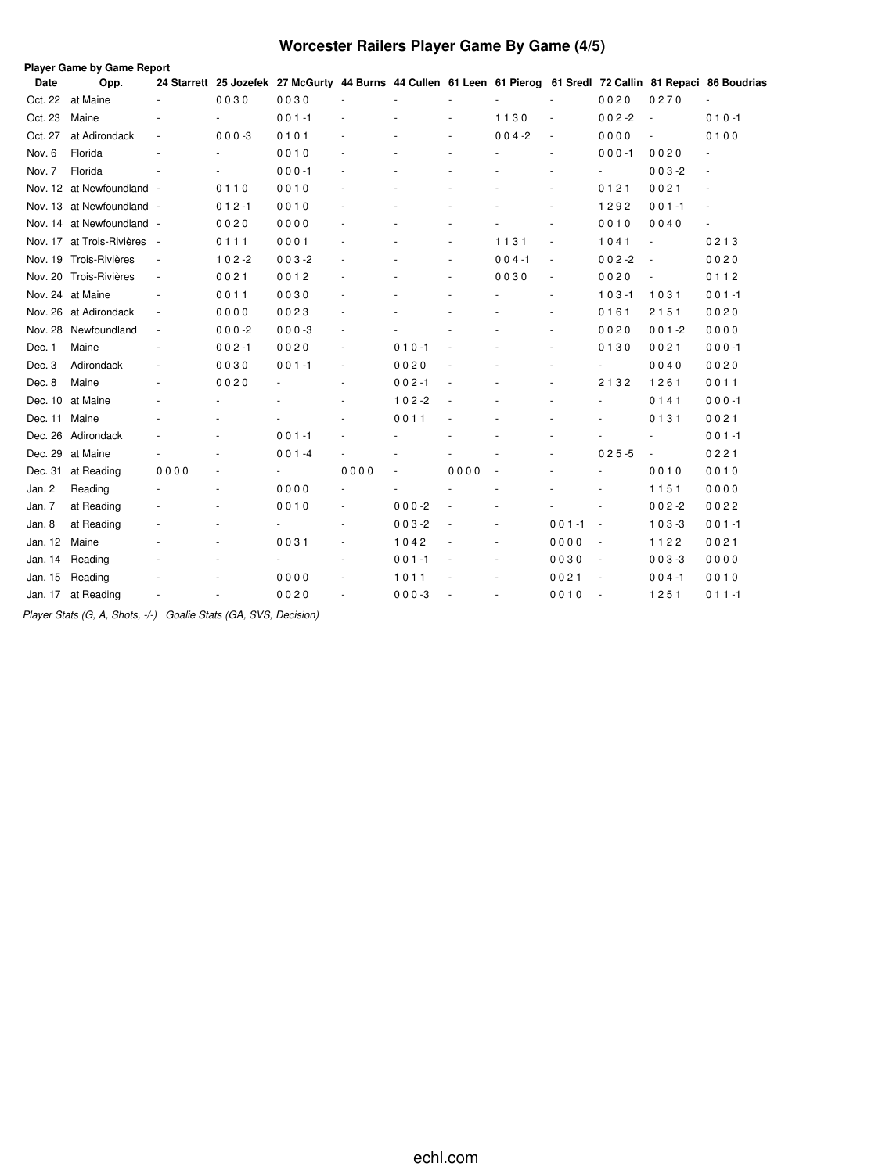# **Worcester Railers Player Game By Game (4/5)**

|             | Player Game by Game Report  |                          |           |                                                                                                                 |      |           |      |           |                          |                          |           |                          |
|-------------|-----------------------------|--------------------------|-----------|-----------------------------------------------------------------------------------------------------------------|------|-----------|------|-----------|--------------------------|--------------------------|-----------|--------------------------|
| <b>Date</b> | Opp.                        |                          |           | 24 Starrett 25 Jozefek 27 McGurty 44 Burns 44 Cullen 61 Leen 61 Pierog 61 Sredl 72 Callin 81 Repaci 86 Boudrias |      |           |      |           |                          |                          |           |                          |
| Oct. 22     | at Maine                    |                          | 0030      | 0030                                                                                                            |      |           |      |           |                          | 0020                     | 0270      |                          |
| Oct. 23     | Maine                       |                          | $\sim$    | $001 - 1$                                                                                                       |      |           |      | 1130      | $\overline{\phantom{a}}$ | $002 - 2$                | ÷,        | $010 - 1$                |
| Oct. 27     | at Adirondack               | ä,                       | $000-3$   | 0101                                                                                                            |      |           |      | $004 - 2$ | ä,                       | 0000                     |           | 0100                     |
| Nov. 6      | Florida                     |                          | ä,        | 0010                                                                                                            |      |           |      |           | $\sim$                   | $000 - 1$                | 0020      | $\sim$                   |
| Nov. 7      | Florida                     |                          |           | $000 - 1$                                                                                                       |      |           |      |           |                          | $\overline{\phantom{a}}$ | $003 - 2$ | $\overline{\phantom{a}}$ |
|             | Nov. 12 at Newfoundland -   |                          | 0110      | 0010                                                                                                            |      |           |      |           |                          | 0121                     | 0021      | ä,                       |
|             | Nov. 13 at Newfoundland -   |                          | $012 - 1$ | 0010                                                                                                            |      |           |      |           |                          | 1292                     | $001 - 1$ | $\sim$                   |
|             | Nov. 14 at Newfoundland -   |                          | 0020      | 0000                                                                                                            |      |           |      |           | ÷,                       | 0010                     | 0040      | ä,                       |
|             | Nov. 17 at Trois-Rivières - |                          | 0111      | 0001                                                                                                            |      |           | ٠    | 1131      | $\sim$                   | 1041                     | ÷,        | 0213                     |
|             | Nov. 19 Trois-Rivières      | ä,                       | $102 - 2$ | $003 - 2$                                                                                                       |      |           |      | $004 - 1$ | ä,                       | $002 - 2$                |           | 0020                     |
|             | Nov. 20 Trois-Rivières      | $\blacksquare$           | 0021      | 0012                                                                                                            |      |           |      | 0030      | $\overline{\phantom{a}}$ | 0020                     |           | 0112                     |
|             | Nov. 24 at Maine            |                          | 0011      | 0030                                                                                                            |      |           |      |           |                          | $103 - 1$                | 1031      | $001 - 1$                |
| Nov. 26     | at Adirondack               | $\overline{\phantom{a}}$ | 0000      | 0023                                                                                                            |      |           |      |           | ٠                        | 0161                     | 2151      | 0020                     |
| Nov. 28     | Newfoundland                | $\overline{\phantom{a}}$ | $000 - 2$ | $000 - 3$                                                                                                       | ÷,   |           |      |           |                          | 0020                     | $001 - 2$ | 0000                     |
| Dec. 1      | Maine                       | $\sim$                   | $002 - 1$ | 0020                                                                                                            | ٠    | $010 - 1$ |      |           |                          | 0130                     | 0021      | $000 - 1$                |
| Dec. 3      | Adirondack                  | $\sim$                   | 0030      | $001 - 1$                                                                                                       | ٠    | 0020      |      |           |                          | ÷.                       | 0040      | 0020                     |
| Dec. 8      | Maine                       | ٠                        | 0020      | ä,                                                                                                              | ٠    | $002 - 1$ | ٠    |           | ٠                        | 2132                     | 1261      | 0011                     |
| Dec. 10     | at Maine                    |                          |           |                                                                                                                 | ÷,   | $102 - 2$ |      |           |                          | ä,                       | 0141      | $000 - 1$                |
| Dec. 11     | Maine                       |                          |           |                                                                                                                 | ÷,   | 0011      |      |           |                          |                          | 0131      | 0021                     |
| Dec. 26     | Adirondack                  |                          |           | $001 - 1$                                                                                                       |      |           |      |           |                          |                          |           | $001 - 1$                |
| Dec. 29     | at Maine                    |                          | ä,        | $001 - 4$                                                                                                       |      |           |      |           |                          | $025 - 5$                | ä,        | 0221                     |
| Dec. 31     | at Reading                  | 0000                     | ٠         | L,                                                                                                              | 0000 |           | 0000 | ÷,        |                          | ٠                        | 0010      | 0010                     |
| Jan. 2      | Reading                     |                          |           | 0000                                                                                                            |      |           |      |           |                          |                          | 1151      | 0000                     |
| Jan. 7      | at Reading                  |                          |           | 0010                                                                                                            | ä,   | $000 - 2$ |      |           |                          |                          | $002 - 2$ | 0022                     |
| Jan. 8      | at Reading                  |                          |           |                                                                                                                 | ä,   | $003 - 2$ |      |           | $001 - 1$                | $\sim$                   | $103 - 3$ | $001 - 1$                |
| Jan. 12     | Maine                       |                          |           | 0031                                                                                                            | ٠    | 1042      |      | ٠         | 0000                     | $\overline{\phantom{a}}$ | 1122      | 0021                     |
| Jan. 14     | Reading                     |                          |           |                                                                                                                 |      | $001 - 1$ |      |           | 0030                     | $\overline{\phantom{a}}$ | $003 - 3$ | 0000                     |
| Jan. 15     | Reading                     |                          |           | 0000                                                                                                            | ÷,   | 1011      |      |           | 0021                     | $\overline{\phantom{a}}$ | $004 - 1$ | 0010                     |
| Jan. 17     | at Reading                  |                          |           | 0020                                                                                                            |      | $000-3$   |      |           | 0010                     |                          | 1251      | $011 - 1$                |